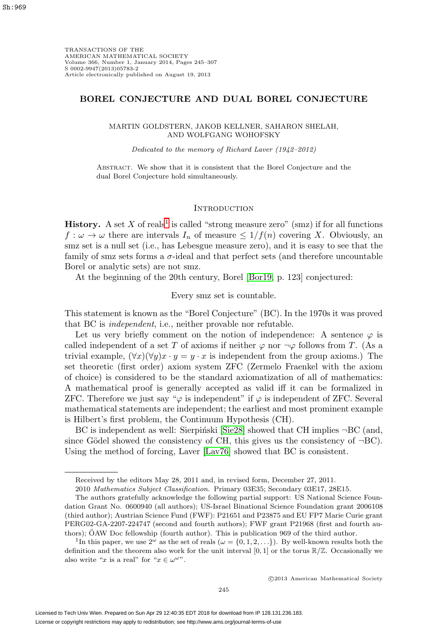# **BOREL CONJECTURE AND DUAL BOREL CONJECTURE**

MARTIN GOLDSTERN, JAKOB KELLNER, SAHARON SHELAH, AND WOLFGANG WOHOFSKY

Dedicated to the memory of Richard Laver (1942–2012)

Abstract. We show that it is consistent that the Borel Conjecture and the dual Borel Conjecture hold simultaneously.

### **INTRODUCTION**

**History.** A set X of reals<sup>[1](#page-0-0)</sup> is called "strong measure zero" (smz) if for all functions  $f: \omega \to \omega$  there are intervals  $I_n$  of measure  $\leq 1/f(n)$  covering X. Obviously, an smz set is a null set (i.e., has Lebesgue measure zero), and it is easy to see that the family of smz sets forms a  $\sigma$ -ideal and that perfect sets (and therefore uncountable Borel or analytic sets) are not smz.

At the beginning of the 20th century, Borel [\[Bor19,](#page-61-0) p. 123] conjectured:

Every smz set is countable.

This statement is known as the "Borel Conjecture" (BC). In the 1970s it was proved that BC is independent, i.e., neither provable nor refutable.

Let us very briefly comment on the notion of independence: A sentence  $\varphi$  is called independent of a set T of axioms if neither  $\varphi$  nor  $\neg \varphi$  follows from T. (As a trivial example,  $(\forall x)(\forall y)x \cdot y = y \cdot x$  is independent from the group axioms.) The set theoretic (first order) axiom system ZFC (Zermelo Fraenkel with the axiom of choice) is considered to be the standard axiomatization of all of mathematics: A mathematical proof is generally accepted as valid iff it can be formalized in ZFC. Therefore we just say " $\varphi$  is independent" if  $\varphi$  is independent of ZFC. Several mathematical statements are independent; the earliest and most prominent example is Hilbert's first problem, the Continuum Hypothesis (CH).

BC is independent as well: Sierpiński [\[Sie28\]](#page-62-0) showed that CH implies  $\neg BC$  (and, since Gödel showed the consistency of CH, this gives us the consistency of  $\neg BC$ ). Using the method of forcing, Laver [\[Lav76\]](#page-62-1) showed that BC is consistent.

Received by the editors May 28, 2011 and, in revised form, December 27, 2011.

<sup>2010</sup> Mathematics Subject Classification. Primary 03E35; Secondary 03E17, 28E15.

The authors gratefully acknowledge the following partial support: US National Science Foundation Grant No. 0600940 (all authors); US-Israel Binational Science Foundation grant 2006108 (third author); Austrian Science Fund (FWF): P21651 and P23875 and EU FP7 Marie Curie grant PERG02-GA-2207-224747 (second and fourth authors); FWF grant P21968 (first and fourth authors); OAW Doc fellowship (fourth author). This is publication 969 of the third author.

<span id="page-0-0"></span><sup>&</sup>lt;sup>1</sup>In this paper, we use  $2^{\omega}$  as the set of reals  $(\omega = \{0, 1, 2, \ldots\})$ . By well-known results both the definition and the theorem also work for the unit interval  $[0,1]$  or the torus  $\mathbb{R}/\mathbb{Z}$ . Occasionally we also write "x is a real" for " $x \in \omega^{\omega}$ ".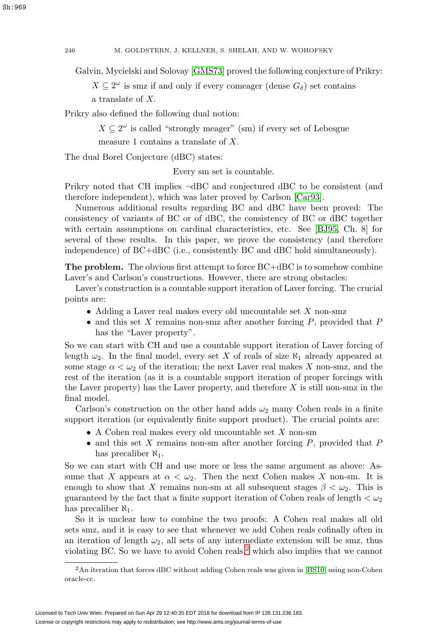Galvin, Mycielski and Solovay [\[GMS73\]](#page-61-1) proved the following conjecture of Prikry:

 $X \subseteq 2^{\omega}$  is smz if and only if every comeager (dense  $G_{\delta}$ ) set contains a translate of X.

Prikry also defined the following dual notion:

 $X \subseteq 2^{\omega}$  is called "strongly meager" (sm) if every set of Lebesgue measure 1 contains a translate of X.

The dual Borel Conjecture (dBC) states:

Every sm set is countable.

Prikry noted that CH implies ¬dBC and conjectured dBC to be consistent (and therefore independent), which was later proved by Carlson [\[Car93\]](#page-61-2).

Numerous additional results regarding BC and dBC have been proved: The consistency of variants of BC or of dBC, the consistency of BC or dBC together with certain assumptions on cardinal characteristics, etc. See [\[BJ95,](#page-61-3) Ch. 8] for several of these results. In this paper, we prove the consistency (and therefore independence) of BC+dBC (i.e., consistently BC and dBC hold simultaneously).

**The problem.** The obvious first attempt to force  $BC+ABC$  is to somehow combine Laver's and Carlson's constructions. However, there are strong obstacles:

Laver's construction is a countable support iteration of Laver forcing. The crucial points are:

- Adding a Laver real makes every old uncountable set  $X$  non-smz
- and this set  $X$  remains non-smz after another forcing  $P$ , provided that  $P$ has the "Laver property".

So we can start with CH and use a countable support iteration of Laver forcing of length  $\omega_2$ . In the final model, every set X of reals of size  $\aleph_1$  already appeared at some stage  $\alpha < \omega_2$  of the iteration; the next Laver real makes X non-smz, and the rest of the iteration (as it is a countable support iteration of proper forcings with the Laver property) has the Laver property, and therefore  $X$  is still non-smz in the final model.

Carlson's construction on the other hand adds  $\omega_2$  many Cohen reals in a finite support iteration (or equivalently finite support product). The crucial points are:

- A Cohen real makes every old uncountable set  $X$  non-sm
- and this set  $X$  remains non-sm after another forcing  $P$ , provided that  $P$ has precaliber  $\aleph_1$ .

So we can start with CH and use more or less the same argument as above: Assume that X appears at  $\alpha < \omega_2$ . Then the next Cohen makes X non-sm. It is enough to show that X remains non-sm at all subsequent stages  $\beta < \omega_2$ . This is guaranteed by the fact that a finite support iteration of Cohen reals of length  $\langle \omega_2 \rangle$ has precaliber  $\aleph_1$ .

So it is unclear how to combine the two proofs: A Cohen real makes all old sets smz, and it is easy to see that whenever we add Cohen reals cofinally often in an iteration of length  $\omega_2$ , all sets of any intermediate extension will be smz, thus violating BC. So we have to avoid Cohen reals, $<sup>2</sup>$  $<sup>2</sup>$  $<sup>2</sup>$  which also implies that we cannot</sup>

<span id="page-1-0"></span><sup>2</sup>An iteration that forces dBC without adding Cohen reals was given in [\[BS10\]](#page-61-4) using non-Cohen oracle-cc.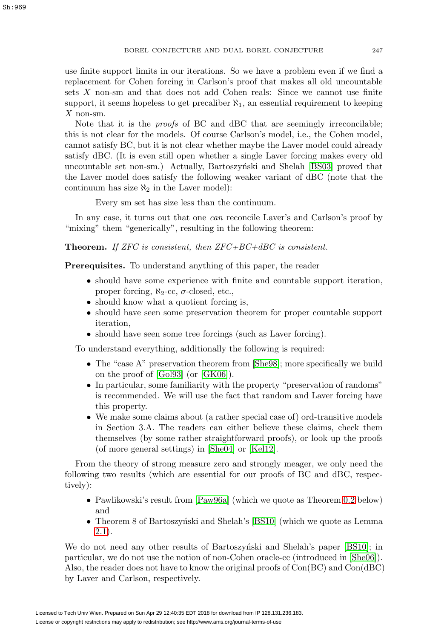use finite support limits in our iterations. So we have a problem even if we find a replacement for Cohen forcing in Carlson's proof that makes all old uncountable sets X non-sm and that does not add Cohen reals: Since we cannot use finite support, it seems hopeless to get precaliber  $\aleph_1$ , an essential requirement to keeping  $X$  non-sm.

Note that it is the *proofs* of BC and dBC that are seemingly irreconcilable; this is not clear for the models. Of course Carlson's model, i.e., the Cohen model, cannot satisfy BC, but it is not clear whether maybe the Laver model could already satisfy dBC. (It is even still open whether a single Laver forcing makes every old uncountable set non-sm.) Actually, Bartoszyn'ski and Shelah [\[BS03\]](#page-61-5) proved that the Laver model does satisfy the following weaker variant of dBC (note that the continuum has size  $\aleph_2$  in the Laver model):

Every sm set has size less than the continuum.

In any case, it turns out that one *can* reconcile Laver's and Carlson's proof by "mixing" them "generically", resulting in the following theorem:

**Theorem.** If ZFC is consistent, then ZFC+BC+dBC is consistent.

**Prerequisites.** To understand anything of this paper, the reader

- should have some experience with finite and countable support iteration, proper forcing,  $\aleph_2$ -cc,  $\sigma$ -closed, etc.,
- should know what a quotient forcing is,
- should have seen some preservation theorem for proper countable support iteration,
- should have seen some tree forcings (such as Laver forcing).

To understand everything, additionally the following is required:

- The "case A" preservation theorem from [\[She98\]](#page-62-2); more specifically we build on the proof of [\[Gol93\]](#page-61-6) (or [\[GK06\]](#page-61-7)).
- In particular, some familiarity with the property "preservation of randoms" is recommended. We will use the fact that random and Laver forcing have this property.
- We make some claims about (a rather special case of) ord-transitive models in Section 3.A. The readers can either believe these claims, check them themselves (by some rather straightforward proofs), or look up the proofs (of more general settings) in [\[She04\]](#page-62-3) or [\[Kel12\]](#page-61-8).

From the theory of strong measure zero and strongly meager, we only need the following two results (which are essential for our proofs of BC and dBC, respectively):

- Pawlikowski's result from [\[Paw96a\]](#page-62-4) (which we quote as Theorem [0.2](#page-4-0) below) and
- Theorem 8 of Bartoszynski and Shelah's  $[BS10]$  (which we quote as Lemma [2.1\)](#page-20-0).

We do not need any other results of Bartoszynski and Shelah's paper [\[BS10\]](#page-61-4); in particular, we do not use the notion of non-Cohen oracle-cc (introduced in [\[She06\]](#page-62-5)). Also, the reader does not have to know the original proofs of Con(BC) and Con(dBC) by Laver and Carlson, respectively.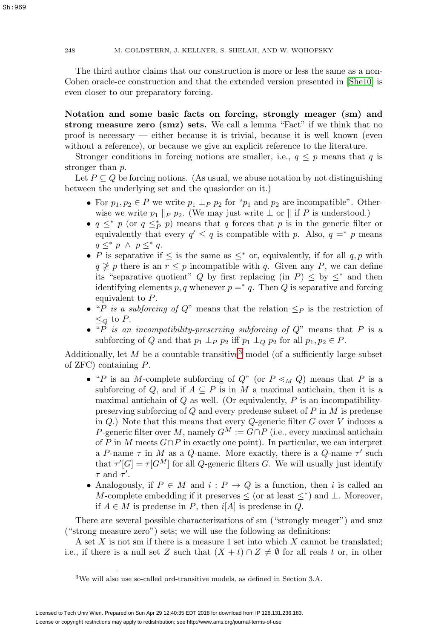248 M. GOLDSTERN, J. KELLNER, S. SHELAH, AND W. WOHOFSKY

The third author claims that our construction is more or less the same as a non-Cohen oracle-cc construction and that the extended version presented in [\[She10\]](#page-62-6) is even closer to our preparatory forcing.

<span id="page-3-1"></span>**Notation and some basic facts on forcing, strongly meager (sm) and strong measure zero (smz) sets.** We call a lemma "Fact" if we think that no proof is necessary — either because it is trivial, because it is well known (even without a reference), or because we give an explicit reference to the literature.

Stronger conditions in forcing notions are smaller, i.e.,  $q \leq p$  means that q is stronger than p.

Let  $P \subseteq Q$  be forcing notions. (As usual, we abuse notation by not distinguishing between the underlying set and the quasiorder on it.)

- For  $p_1, p_2 \in P$  we write  $p_1 \perp_P p_2$  for " $p_1$  and  $p_2$  are incompatible". Otherwise we write  $p_1 \parallel_P p_2$ . (We may just write  $\perp$  or  $\parallel$  if P is understood.)
- $q \leq^* p$  (or  $q \leq^* p$ ) means that q forces that p is in the generic filter or equivalently that every  $q' \leq q$  is compatible with p. Also,  $q = * p$  means  $q \leq^* p \land p \leq^* q$ .
- P is separative if  $\leq$  is the same as  $\leq^*$  or, equivalently, if for all q, p with  $q \ngeq p$  there is an  $r \leq p$  incompatible with q. Given any P, we can define its "separative quotient" Q by first replacing (in  $P$ )  $\leq$  by  $\leq$ \* and then identifying elements p, q whenever  $p = * q$ . Then Q is separative and forcing equivalent to P.
- "P is a subforcing of Q" means that the relation  $\leq_P$  is the restriction of  $\leq_O$  to P.
- "P is an incompatibility-preserving subforcing of  $Q$ " means that P is a subforcing of Q and that  $p_1 \perp_P p_2$  iff  $p_1 \perp_Q p_2$  for all  $p_1, p_2 \in P$ .

Additionally, let  $M$  be a countable transitive<sup>[3](#page-3-0)</sup> model (of a sufficiently large subset of ZFC) containing P.

- "P is an M-complete subforcing of  $Q$ " (or  $P \leq_M Q$ ) means that P is a subforcing of Q, and if  $A \subseteq P$  is in M a maximal antichain, then it is a maximal antichain of  $Q$  as well. (Or equivalently,  $P$  is an incompatibilitypreserving subforcing of  $Q$  and every predense subset of  $P$  in  $M$  is predense in  $Q$ .) Note that this means that every  $Q$ -generic filter  $G$  over  $V$  induces a P-generic filter over M, namely  $G^M := G \cap P$  (i.e., every maximal antichain of P in M meets  $G \cap P$  in exactly one point). In particular, we can interpret a P-name  $\tau$  in M as a Q-name. More exactly, there is a Q-name  $\tau'$  such that  $\tau'[G] = \tau[G^M]$  for all Q-generic filters G. We will usually just identify  $\tau$  and  $\tau'$ .
- Analogously, if  $P \in M$  and  $i : P \to Q$  is a function, then i is called an M-complete embedding if it preserves  $\leq$  (or at least  $\leq^*$ ) and  $\perp$ . Moreover, if  $A \in M$  is predense in P, then  $i[A]$  is predense in Q.

There are several possible characterizations of sm ("strongly meager") and smz ("strong measure zero") sets; we will use the following as definitions:

A set  $X$  is not sm if there is a measure 1 set into which  $X$  cannot be translated; i.e., if there is a null set Z such that  $(X + t) \cap Z \neq \emptyset$  for all reals t or, in other

<span id="page-3-0"></span><sup>3</sup>We will also use so-called ord-transitive models, as defined in Section 3.A.

Sh:969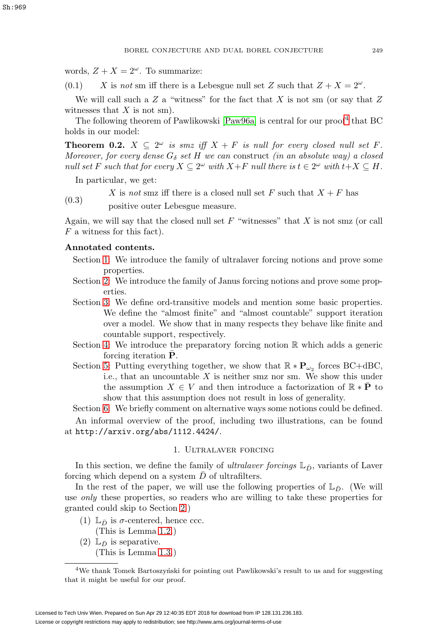words,  $Z + X = 2^{\omega}$ . To summarize:

<span id="page-4-3"></span> $(0.1)$  X is not sm iff there is a Lebesgue null set Z such that  $Z + X = 2^{\omega}$ .

We will call such a  $Z$  a "witness" for the fact that  $X$  is not sm (or say that  $Z$ witnesses that  $X$  is not sm).

The following theorem of Pawlikowski [\[Paw96a\]](#page-62-4) is central for our proof<sup>[4](#page-4-1)</sup> that BC holds in our model:

<span id="page-4-0"></span>**Theorem 0.2.**  $X \subseteq 2^{\omega}$  is smz iff  $X + F$  is null for every closed null set F. Moreover, for every dense  $G_{\delta}$  set H we can construct (in an absolute way) a closed null set F such that for every  $X \subseteq 2^{\omega}$  with  $X+F$  null there is  $t \in 2^{\omega}$  with  $t+X \subseteq H$ .

In particular, we get:

(0.3)

X is not smz iff there is a closed null set F such that  $X + F$  has

positive outer Lebesgue measure.

Again, we will say that the closed null set  $F$  "witnesses" that  $X$  is not smz (or call F a witness for this fact).

# **Annotated contents.**

- Section [1:](#page-4-2) We introduce the family of ultralaver forcing notions and prove some properties.
- Section [2:](#page-18-0) We introduce the family of Janus forcing notions and prove some properties.
- Section [3:](#page-26-0) We define ord-transitive models and mention some basic properties. We define the "almost finite" and "almost countable" support iteration over a model. We show that in many respects they behave like finite and countable support, respectively.
- Section [4:](#page-43-0) We introduce the preparatory forcing notion  $\mathbb R$  which adds a generic forcing iteration  $\bar{P}$ .
- Section [5:](#page-54-0) Putting everything together, we show that  $\mathbb{R} * \mathbf{P}_{\omega_2}$  forces BC+dBC, i.e., that an uncountable  $X$  is neither smz nor sm. We show this under the assumption  $X \in V$  and then introduce a factorization of  $\mathbb{R} * \overline{P}$  to show that this assumption does not result in loss of generality.

Section [6:](#page-59-0) We briefly comment on alternative ways some notions could be defined. An informal overview of the proof, including two illustrations, can be found at <http://arxiv.org/abs/1112.4424/>.

## 1. Ultralaver forcing

<span id="page-4-2"></span>In this section, we define the family of *ultralaver forcings*  $\mathbb{L}_{\bar{D}}$ , variants of Laver forcing which depend on a system  $D$  of ultrafilters.

In the rest of the paper, we will use the following properties of  $\mathbb{L}_{\bar{D}}$ . (We will use only these properties, so readers who are willing to take these properties for granted could skip to Section [2.](#page-18-0))

- (1)  $\mathbb{L}_{\bar{D}}$  is  $\sigma$ -centered, hence ccc.
	- (This is Lemma [1.2.](#page-6-0))
- (2)  $\mathbb{L}_{\bar{D}}$  is separative.
	- (This is Lemma [1.3.](#page-6-1))

<span id="page-4-1"></span> $4$ We thank Tomek Bartoszyński for pointing out Pawlikowski's result to us and for suggesting that it might be useful for our proof.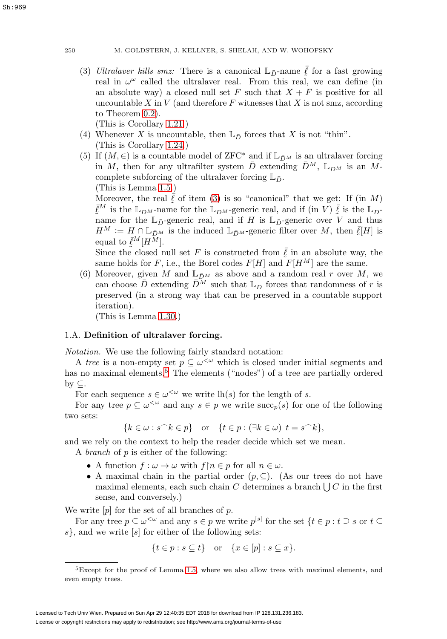<span id="page-5-0"></span>(3) Ultralaver kills smz: There is a canonical  $\mathbb{L}_{\bar{D}}$ -name  $\bar{\ell}$  for a fast growing real in  $\omega^{\omega}$  called the ultralaver real. From this real, we can define (in an absolute way) a closed null set F such that  $X + F$  is positive for all uncountable X in V (and therefore F witnesses that X is not smz, according to Theorem [0.2\)](#page-4-0).

(This is Corollary [1.21.](#page-9-0))

- (4) Whenever X is uncountable, then  $\mathbb{L}_{\bar{D}}$  forces that X is not "thin". (This is Corollary [1.24.](#page-10-0))
- (5) If  $(M, \in)$  is a countable model of ZFC<sup>\*</sup> and if  $\mathbb{L}_{\bar{D}^M}$  is an ultralaver forcing in M, then for any ultrafilter system  $\bar{D}$  extending  $\bar{D}^M$ ,  $\mathbb{L}_{\bar{D}^M}$  is an Mcomplete subforcing of the ultralaver forcing  $\mathbb{L}_{\bar{D}}$ .

(This is Lemma [1.5.](#page-6-2))

Moreover, the real  $\ell$  of item [\(3\)](#page-5-0) is so "canonical" that we get: If (in M)  $\bar{\ell}^M$  is the  $\mathbb{L}_{\bar{D}^M}$ -name for the  $\mathbb{L}_{\bar{D}^M}$ -generic real, and if (in V)  $\bar{\ell}$  is the  $\mathbb{L}_{\bar{D}^M}$ name for the  $\mathbb{L}_{\bar{D}}$ -generic real, and if H is  $\mathbb{L}_{\bar{D}}$ -generic over V and thus  $H^M := H \cap \mathbb{L}_{\bar{D}^M}$  is the induced  $\mathbb{L}_{\bar{D}^M}$ -generic filter over M, then  $\bar{\ell}[H]$  is equal to  $\bar{\ell}^M[H^M].$ 

Since the closed null set F is constructed from  $\overline{\ell}$  in an absolute way, the same holds for F, i.e., the Borel codes  $F[H]$  and  $F[H^M]$  are the same.

(6) Moreover, given M and  $\mathbb{L}_{\bar{D}M}$  as above and a random real r over M, we can choose  $\bar{D}$  extending  $\bar{D}^M$  such that  $\mathbb{L}_{\bar{D}}$  forces that randomness of r is preserved (in a strong way that can be preserved in a countable support iteration).

(This is Lemma [1.30.](#page-12-0))

# 1.A. **Definition of ultralaver forcing.**

Notation. We use the following fairly standard notation:

A tree is a non-empty set  $p \subseteq \omega^{\leq \omega}$  which is closed under initial segments and has no maximal elements.<sup>[5](#page-5-1)</sup> The elements ("nodes") of a tree are partially ordered by  $\subset$ .

For each sequence  $s \in \omega^{\langle \omega \rangle}$  we write  $\text{lh}(s)$  for the length of s.

For any tree  $p \subseteq \omega^{\leq \omega}$  and any  $s \in p$  we write  $succ_p(s)$  for one of the following two sets:

$$
\{k \in \omega : s^\frown k \in p\} \quad \text{or} \quad \{t \in p : (\exists k \in \omega) \ t = s^\frown k\},
$$

and we rely on the context to help the reader decide which set we mean.

A branch of p is either of the following:

- A function  $f: \omega \to \omega$  with  $f \mid n \in p$  for all  $n \in \omega$ .
- A maximal chain in the partial order  $(p, \subseteq)$ . (As our trees do not have maximal elements, each such chain C determines a branch  $\bigcup C$  in the first sense, and conversely.)

We write  $[p]$  for the set of all branches of p.

For any tree  $p \subseteq \omega^{\leq \omega}$  and any  $s \in p$  we write  $p^{[s]}$  for the set  $\{t \in p : t \supseteq s \text{ or } t \subseteq$  $s$ , and we write  $[s]$  for either of the following sets:

$$
\{t \in p : s \subseteq t\} \quad \text{or} \quad \{x \in [p] : s \subseteq x\}.
$$

<span id="page-5-1"></span><sup>&</sup>lt;sup>5</sup>Except for the proof of Lemma [1.5,](#page-6-2) where we also allow trees with maximal elements, and even empty trees.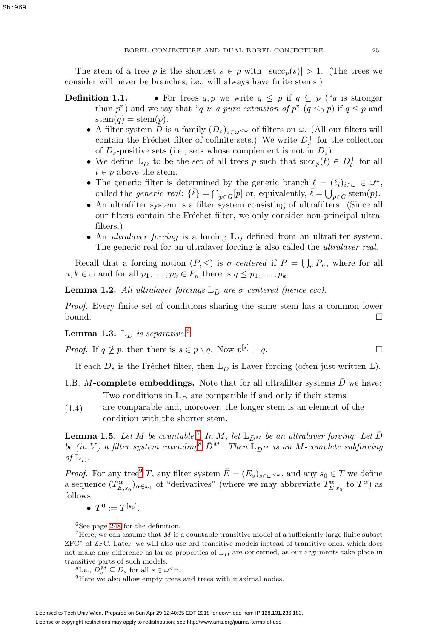The stem of a tree p is the shortest  $s \in p$  with  $|\text{succ}_p(s)| > 1$ . (The trees we consider will never be branches, i.e., will always have finite stems.)

- **Definition 1.1.** For trees  $q, p$  we write  $q \leq p$  if  $q \subseteq p$  ("q is stronger than p") and we say that "q is a pure extension of p"  $(q \leq_0 p)$  if  $q \leq p$  and  $stem(q)=stem(p).$ 
	- A filter system D is a family  $(D_s)_{s\in\omega}<\omega$  of filters on  $\omega$ . (All our filters will contain the Fréchet filter of cofinite sets.) We write  $D_s^+$  for the collection of  $D_s$ -positive sets (i.e., sets whose complement is not in  $D_s$ ).
	- We define  $\mathbb{L}_{\bar{D}}$  to be the set of all trees p such that  $succ_p(t) \in D_t^+$  for all  $t \in p$  above the stem.
	- The generic filter is determined by the generic branch  $\bar{\ell} = (\ell_i)_{i \in \omega} \in \omega^{\omega}$ , called the *generic real*:  $\{\bar{\ell}\} = \bigcap_{p \in G} [p]$  or, equivalently,  $\bar{\ell} = \bigcup_{p \in G}$  stem $(p)$ .
	- An ultrafilter system is a filter system consisting of ultrafilters. (Since all our filters contain the Fréchet filter, we only consider non-principal ultrafilters.)
	- An *ultralaver forcing* is a forcing  $\mathbb{L}_{\bar{D}}$  defined from an ultrafilter system. The generic real for an ultralaver forcing is also called the ultralaver real.

Recall that a forcing notion  $(P, \leq)$  is  $\sigma$ -centered if  $P = \bigcup_n P_n$ , where for all  $n, k \in \omega$  and for all  $p_1, \ldots, p_k \in P_n$  there is  $q \leq p_1, \ldots, p_k$ .

<span id="page-6-0"></span>**Lemma 1.2.** All ultralaver forcings  $\mathbb{L}_{\bar{D}}$  are  $\sigma$ -centered (hence ccc).

Proof. Every finite set of conditions sharing the same stem has a common lower bound.  $\square$ 

<span id="page-6-1"></span>**Lemma 1.3.**  $\mathbb{L}_{\bar{D}}$  is separative.<sup>[6](#page-6-3)</sup>

*Proof.* If  $q \ngeq p$ , then there is  $s \in p \setminus q$ . Now  $p^{[s]} \perp q$ .

If each  $D_s$  is the Fréchet filter, then  $\mathbb{L}_{\bar{D}}$  is Laver forcing (often just written  $\mathbb{L}$ ).

- 1.B.  $M$ -complete embeddings. Note that for all ultrafilter systems  $D$  we have: Two conditions in  $\mathbb{L}_{\bar{D}}$  are compatible if and only if their stems
- <span id="page-6-7"></span>(1.4) are comparable and, moreover, the longer stem is an element of the condition with the shorter stem.

<span id="page-6-2"></span>**Lemma 1.5.** Let M be countable.<sup>[7](#page-6-4)</sup> In M, let  $\mathbb{L}_{\bar{D}^M}$  be an ultralaver forcing. Let  $\bar{D}$ be (in V) a filter system extending  $\bar{D}^M$ . Then  $\mathbb{L}_{\bar{D}^M}$  is an M-complete subforcing of  $\mathbb{L}_{\bar{D}}$ .

*Proof.* For any tree<sup>[9](#page-6-6)</sup> T, any filter system  $\overline{E} = (E_s)_{s \in \omega^{\leq \omega}}$ , and any  $s_0 \in T$  we define a sequence  $(T^{\alpha}_{\bar{E},s_0})_{\alpha\in\omega_1}$  of "derivatives" (where we may abbreviate  $T^{\alpha}_{\bar{E},s_0}$  to  $T^{\alpha}$ ) as follows:

•  $T^0 := T^{[s_0]}.$ 

<span id="page-6-4"></span><span id="page-6-3"></span> ${}^{6}$ See page [248](#page-3-1) for the definition.

There, we can assume that  $M$  is a countable transitive model of a sufficiently large finite subset ZFC∗ of ZFC. Later, we will also use ord-transitive models instead of transitive ones, which does not make any difference as far as properties of  $\mathbb{L}_{\bar{D}}$  are concerned, as our arguments take place in transitive parts of such models.<br><sup>8</sup>I.e.,  $D_s^M \subseteq D_s$  for all  $s \in \omega^{<\omega}$ .

<span id="page-6-6"></span><span id="page-6-5"></span> $9$ Here we also allow empty trees and trees with maximal nodes.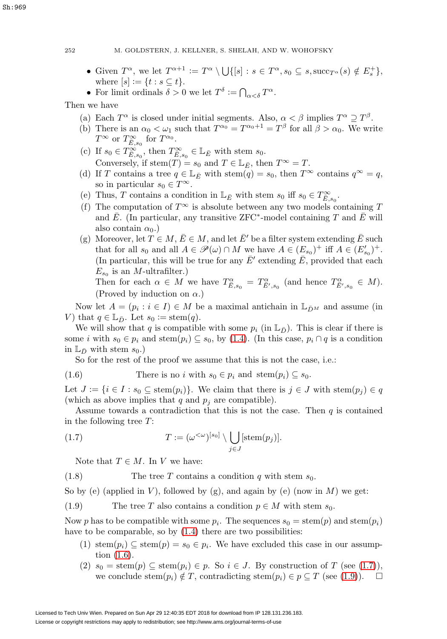- Given  $T^{\alpha}$ , we let  $T^{\alpha+1} := T^{\alpha} \setminus \bigcup \{ [s] : s \in T^{\alpha}, s_0 \subseteq s, \mathrm{succ}_{T^{\alpha}}(s) \notin E_s^+ \},\$ where  $[s] := \{t : s \subseteq t\}.$
- For limit ordinals  $\delta > 0$  we let  $T^{\delta} := \bigcap_{\alpha < \delta} T^{\alpha}$ .

Then we have

- (a) Each  $T^{\alpha}$  is closed under initial segments. Also,  $\alpha < \beta$  implies  $T^{\alpha} \supseteq T^{\beta}$ .
- (b) There is an  $\alpha_0 < \omega_1$  such that  $T^{\alpha_0} = T^{\alpha_0+1} = T^{\beta}$  for all  $\beta > \alpha_0$ . We write  $T^{\infty}$  or  $T^{\infty}_{\bar{E},s_0}$  for  $T^{\alpha_0}$ .
- (c) If  $s_0 \in T^{\infty}_{\overline{E}, s_0}$ , then  $T^{\infty}_{\overline{E}, s_0} \in \mathbb{L}_{\overline{E}}$  with stem  $s_0$ . Conversely, if stem $(T) = s_0$  and  $T \in \mathbb{L}_{\bar{E}}$ , then  $T^{\infty} = T$ .
- (d) If T contains a tree  $q \in \mathbb{L}_{\bar{E}}$  with stem $(q) = s_0$ , then  $T^{\infty}$  contains  $q^{\infty} = q$ , so in particular  $s_0 \in T^{\infty}$ .
- (e) Thus, T contains a condition in  $\mathbb{L}_{\bar{E}}$  with stem  $s_0$  iff  $s_0 \in T^{\infty}_{\bar{E}, s_0}$ .
- (f) The computation of  $T^{\infty}$  is absolute between any two models containing T and  $\bar{E}$ . (In particular, any transitive ZFC<sup>\*</sup>-model containing T and  $\bar{E}$  will also contain  $\alpha_0$ .)
- (g) Moreover, let  $T \in M$ ,  $\overline{E} \in M$ , and let  $\overline{E}'$  be a filter system extending  $\overline{E}$  such that for all  $s_0$  and all  $A \in \mathscr{P}(\omega) \cap M$  we have  $A \in (E_{s_0})^+$  iff  $A \in (E'_{s_0})^+$ . (In particular, this will be true for any  $\bar{E}'$  extending  $\bar{E}$ , provided that each  $E_{s_0}$  is an *M*-ultrafilter.)

Then for each  $\alpha \in M$  we have  $T^{\alpha}_{\overline{E},s_0} = T^{\alpha}_{\overline{E}',s_0}$  (and hence  $T^{\alpha}_{\overline{E}',s_0} \in M$ ). (Proved by induction on  $\alpha$ .)

Now let  $A = (p_i : i \in I) \in M$  be a maximal antichain in  $\mathbb{L}_{\bar{D}M}$  and assume (in V) that  $q \in \mathbb{L}_{\bar{D}}$ . Let  $s_0 := \operatorname{stem}(q)$ .

We will show that q is compatible with some  $p_i$  (in  $\mathbb{L}_{\bar{D}}$ ). This is clear if there is some i with  $s_0 \in p_i$  and stem $(p_i) \subseteq s_0$ , by [\(1.4\)](#page-6-7). (In this case,  $p_i \cap q$  is a condition in  $\mathbb{L}_{\bar{D}}$  with stem  $s_0$ .)

So for the rest of the proof we assume that this is not the case, i.e.:

<span id="page-7-0"></span>(1.6) There is no *i* with 
$$
s_0 \in p_i
$$
 and  $\text{stem}(p_i) \subseteq s_0$ .

Let  $J := \{i \in I : s_0 \subseteq \text{stem}(p_i)\}\$ . We claim that there is  $j \in J$  with  $\text{stem}(p_i) \in q$ (which as above implies that q and  $p_i$  are compatible).

Assume towards a contradiction that this is not the case. Then  $q$  is contained in the following tree T:

<span id="page-7-1"></span>(1.7) 
$$
T := (\omega^{<\omega})^{[s_0]} \setminus \bigcup_{j \in J} [\operatorname{stem}(p_j)].
$$

Note that  $T \in M$ . In V we have:

(1.8) The tree T contains a condition q with stem  $s_0$ .

So by (e) (applied in V), followed by (g), and again by (e) (now in  $M$ ) we get:

<span id="page-7-2"></span>(1.9) The tree T also contains a condition  $p \in M$  with stem  $s_0$ .

Now p has to be compatible with some  $p_i$ . The sequences  $s_0 = \operatorname{stem}(p)$  and  $\operatorname{stem}(p_i)$ have to be comparable, so by  $(1.4)$  there are two possibilities:

- (1) stem $(p_i) \subseteq$  stem $(p) = s_0 \in p_i$ . We have excluded this case in our assumption [\(1.6\)](#page-7-0).
- (2)  $s_0 = \operatorname{stem}(p) \subseteq \operatorname{stem}(p_i) \in p$ . So  $i \in J$ . By construction of T (see [\(1.7\)](#page-7-1)), we conclude stem $(p_i) \notin T$ , contradicting stem $(p_i) \in p \subseteq T$  (see [\(1.9\)](#page-7-2)).  $\Box$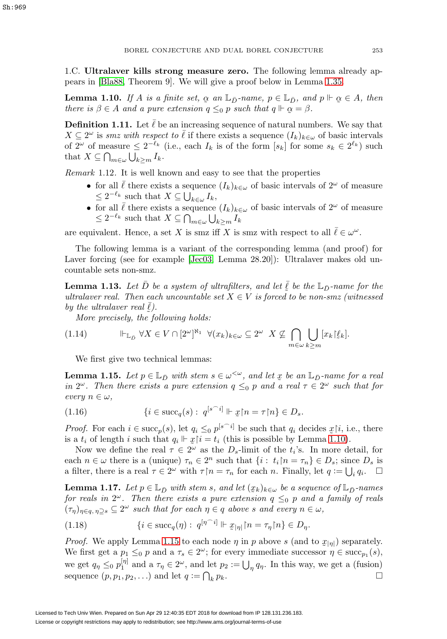1.C. **Ultralaver kills strong measure zero.** The following lemma already appears in [\[Bla88,](#page-61-9) Theorem 9]. We will give a proof below in Lemma [1.35.](#page-13-0)

<span id="page-8-0"></span>**Lemma 1.10.** If A is a finite set,  $\alpha$  an  $\mathbb{L}_{\bar{D}}$ -name,  $p \in \mathbb{L}_{\bar{D}}$ , and  $p \Vdash \alpha \in A$ , then<br>there is  $\beta \in A$  and a nure extension  $a \leq_{\alpha} n$  such that  $a \Vdash \alpha = \beta$ there is  $\beta \in A$  and a pure extension  $q \leq_0 p$  such that  $q \Vdash \alpha = \beta$ .

**Definition 1.11.** Let  $\bar{\ell}$  be an increasing sequence of natural numbers. We say that  $X \subseteq 2^{\omega}$  is smz with respect to  $\overline{\ell}$  if there exists a sequence  $(I_k)_{k \in \omega}$  of basic intervals of  $2^{\omega}$  of measure  $\leq 2^{-\ell_k}$  (i.e., each  $I_k$  is of the form  $[s_k]$  for some  $s_k \in 2^{\ell_k}$ ) such that  $X \subseteq \bigcap_{m \in \omega} \bigcup_{k \geq m} I_k$ .

Remark 1.12. It is well known and easy to see that the properties

- for all  $\bar{\ell}$  there exists a sequence  $(I_k)_{k\in\omega}$  of basic intervals of  $2^{\omega}$  of measure  $\leq 2^{-\ell_k}$  such that  $X \subseteq \bigcup_{k \in \omega} I_k$ ,
- for all  $\bar{\ell}$  there exists a sequence  $(I_k)_{k\in\omega}$  of basic intervals of  $2^{\omega}$  of measure  $\leq 2^{-\ell_k}$  such that  $X \subseteq \bigcap_{m \in \omega} \bigcup_{k \geq m} I_k$

are equivalent. Hence, a set X is smz iff X is smz with respect to all  $\bar{\ell} \in \omega^{\omega}$ .

The following lemma is a variant of the corresponding lemma (and proof) for Laver forcing (see for example [\[Jec03,](#page-61-10) Lemma 28.20]): Ultralaver makes old uncountable sets non-smz.

<span id="page-8-2"></span>**Lemma 1.13.** Let  $\bar{D}$  be a system of ultrafilters, and let  $\bar{\ell}$  be the  $\mathbb{L}_{\bar{D}}$ -name for the ultralaver real. Then each uncountable set  $X \in V$  is forced to be non-smz (witnessed by the ultralaver real  $\overline{\ell}$ ).

 $\sum_{i=1}^{n}$  and  $\sum_{i=1}^{n}$  of  $\sum_{i=1}^{n}$  following holds:

<span id="page-8-3"></span>
$$
(1.14) \qquad \qquad \Vdash_{\mathbb{L}_{\bar{D}}} \forall X \in V \cap [2^{\omega}]^{\aleph_1} \ \ \forall (x_k)_{k \in \omega} \subseteq 2^{\omega} \ \ X \not\subseteq \bigcap_{m \in \omega} \bigcup_{k \ge m} [x_k] \xi_k].
$$

We first give two technical lemmas:

<span id="page-8-1"></span>**Lemma 1.15.** Let  $p \in \mathbb{L}_{\bar{D}}$  with stem  $s \in \omega^{\leq \omega}$ , and let  $\bar{x}$  be an  $\mathbb{L}_{\bar{D}}$ -name for a real<br>in  $2^{\omega}$ . Then there exists a nure extension  $a \leq s$  p and a real  $\tau \in 2^{\omega}$  such that for in  $2^{\omega}$ . Then there exists a pure extension  $q \leq_0 p$  and a real  $\tau \in 2^{\omega}$  such that for every  $n \in \omega$ ,

(1.16) 
$$
\{i \in \mathrm{succ}_q(s): \ q^{[s^\frown i]} \Vdash \underline{x} \upharpoonright n = \tau \upharpoonright n\} \in D_s.
$$

*Proof.* For each  $i \in \text{succ}_p(s)$ , let  $q_i \leq_0 p^{[s-i]}$  be such that  $q_i$  decides  $x[i]$ , i.e., there is a t, of length i such that  $q_i \Vdash r[i]$  t, (this is possible by Lemma 1.10) is a  $t_i$  of length i such that  $q_i \Vdash \mathcal{Z} \Vdash = t_i$  (this is possible by Lemma [1.10\)](#page-8-0).<br>Now we define the real  $\tau \in 2^\omega$  as the D limit of the t.'s. In more de-

Now we define the real  $\tau \in 2^{\omega}$  as the  $D_s$ -limit of the  $t_i$ 's. In more detail, for each  $n \in \omega$  there is a (unique)  $\tau_n \in 2^n$  such that  $\{i : t_i | n = \tau_n\} \in D_s$ ; since  $D_s$  is a filter, there is a real  $\tau \in 2^{\omega}$  with  $\tau \upharpoonright n = \tau_n$  for each n. Finally, let  $q := \bigcup_i q_i$ .  $\Box$ 

<span id="page-8-4"></span>**Lemma 1.17.** Let  $p \in \mathbb{L}_{\bar{D}}$  with stem s, and let  $(x_k)_{k \in \omega}$  be a sequence of  $\mathbb{L}_{\bar{D}}$ -names for reals in  $2^{\omega}$ . Then there exists a pure extension  $q \leq_0 p$  and a family of reals  $(\tau_{\eta})_{\eta \in q, \eta \supseteq s} \subseteq 2^{\omega}$  such that for each  $\eta \in q$  above s and every  $n \in \omega$ ,

<span id="page-8-5"></span>(1.18) 
$$
\{i \in \text{succ}_q(\eta) : q^{[\eta^\frown i]} \Vdash \mathcal{Z}_{|\eta|} \upharpoonright n = \tau_\eta \upharpoonright n\} \in D_\eta.
$$

*Proof.* We apply Lemma [1.15](#page-8-1) to each node  $\eta$  in p above s (and to  $x_{|\eta|}$ ) separately.<br>We first get a  $n \leq n$  and a  $\tau \in 2^{\omega}$  for every immediate successor  $n \in \text{succ}(s)$ . We first get a  $p_1 \leq_0 p$  and a  $\tau_s \in 2^\omega$ ; for every immediate successor  $\eta \in \text{succ}_{p_1}(s)$ , we get  $q_{\eta} \leq_0 p_1^{[\eta]}$  and a  $\tau_{\eta} \in 2^{\omega}$ , and let  $p_2 := \bigcup_{\eta} q_{\eta}$ . In this way, we get a (fusion) sequence  $(p, p_1, p_2, \ldots)$  and let  $q := \bigcap_k p_k$ .  $k p_k$ .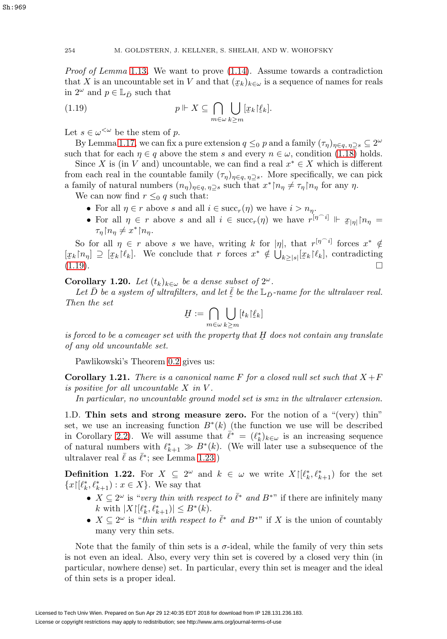*Proof of Lemma* [1.13](#page-8-2). We want to prove  $(1.14)$ . Assume towards a contradiction that X is an uncountable set in V and that  $(x_k)_{k \in \omega}$  is a sequence of names for reals<br>in  $2^{\omega}$  and  $n \in \mathbb{I}$  = such that in  $2^{\omega}$  and  $p \in \mathbb{L}_{\bar{D}}$  such that

<span id="page-9-1"></span>(1.19) 
$$
p \Vdash X \subseteq \bigcap_{m \in \omega} \bigcup_{k \geq m} [x_k] \xi_k].
$$

Let  $s \in \omega^{\langle \omega \rangle}$  be the stem of p.

By Lemma [1.17,](#page-8-4) we can fix a pure extension  $q \leq_0 p$  and a family  $(\tau_\eta)_{\eta \in q, \eta \supset s} \subseteq 2^\omega$ such that for each  $\eta \in q$  above the stem s and every  $n \in \omega$ , condition [\(1.18\)](#page-8-5) holds.

Since X is (in V and) uncountable, we can find a real  $x^* \in X$  which is different from each real in the countable family  $(\tau_{\eta})_{\eta \in q, \eta \supseteq s}$ . More specifically, we can pick a family of natural numbers  $(n_{\eta})_{\eta \in q, \eta \supseteq s}$  such that  $x^* \upharpoonright n_{\eta} \neq \tau_{\eta} \upharpoonright n_{\eta}$  for any  $\eta$ .

We can now find  $r \leq_0 q$  such that:

- For all  $\eta \in r$  above s and all  $i \in \text{succ}_r(\eta)$  we have  $i > n_n$ .
- For all  $\eta \in r$  above s and all  $i \in \text{succ}_r(\eta)$  we have  $r^{[\eta \cap i]} \Vdash \mathcal{Z}_{|\eta|}[n_\eta =$  $\tau_{\eta} \mathord{\restriction} n_{\eta} \neq x^* \mathord{\restriction} n_{\eta}.$

So for all  $\eta \in r$  above s we have, writing k for  $|\eta|$ , that  $r^{[\eta \cap i]}$  forces  $x^* \notin$  $[x_k[n_\eta]] \supseteq [x_k[\ell_k]]$ . We conclude that r forces  $x^* \notin \bigcup_{k \geq |s|} [x_k[\ell_k]]$ , contradicting  $(1.19).$  $(1.19)$ .

**Corollary 1.20.** Let  $(t_k)_{k \in \omega}$  be a dense subset of  $2^{\omega}$ .

Let  $\overline{D}$  be a system of ultrafilters, and let  $\overline{\ell}$  be the  $\mathbb{L}_{\overline{D}}$ -name for the ultralaver real.<br>
en the set Then the set

$$
\underline{H} := \bigcap_{m \in \omega} \bigcup_{k \geq m} [t_k | \underline{\ell}_k]
$$

is forced to be a comeager set with the property that  $H$  does not contain any translate<br>of any old uncountable set of any old uncountable set.

Pawlikowski's Theorem [0.2](#page-4-0) gives us:

<span id="page-9-0"></span>**Corollary 1.21.** There is a canonical name F for a closed null set such that  $X + F$ is positive for all uncountable  $X$  in  $V$ .

In particular, no uncountable ground model set is smz in the ultralaver extension.

1.D. **Thin sets and strong measure zero.** For the notion of a "(very) thin" set, we use an increasing function  $B^*(k)$  (the function we use will be described in Corollary [2.2\)](#page-20-1). We will assume that  $\bar{\ell}^* = (\ell_k^*)_{k \in \omega}$  is an increasing sequence of natural numbers with  $\ell_{k+1}^* \gg B^*(k)$ . (We will later use a subsequence of the ultralaver real  $\bar{\ell}$  as  $\bar{\ell}^*$ ; see Lemma [1.23.](#page-10-1))

<span id="page-9-2"></span>**Definition 1.22.** For  $X \subseteq 2^{\omega}$  and  $k \in \omega$  we write  $X\left[\ell_k^*, \ell_{k+1}^*\right]$  for the set  ${x \mid} \ell_k^*, \ell_{k+1}^*$ :  $x \in X$ . We say that

- $X \subseteq 2^{\omega}$  is "very thin with respect to  $\bar{\ell}^*$  and  $B^{*}$ " if there are infinitely many k with  $|X|[\ell_k^*, \ell_{k+1}^*]| \leq B^*(k)$ .
- $X \subseteq 2^{\omega}$  is "thin with respect to  $\overline{\ell}^*$  and  $B^{*}$ " if X is the union of countably many very thin sets.

Note that the family of thin sets is a  $\sigma$ -ideal, while the family of very thin sets is not even an ideal. Also, every very thin set is covered by a closed very thin (in particular, nowhere dense) set. In particular, every thin set is meager and the ideal of thin sets is a proper ideal.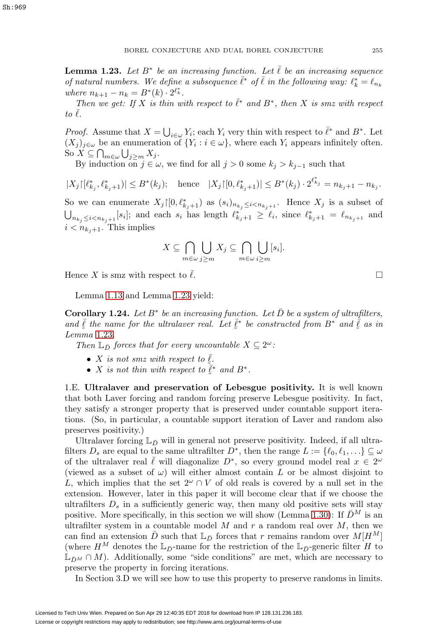<span id="page-10-1"></span>**Lemma 1.23.** Let  $B^*$  be an increasing function. Let  $\overline{\ell}$  be an increasing sequence of natural numbers. We define a subsequence  $\bar{\ell}^*$  of  $\bar{\ell}$  in the following way:  $\ell_k^* = \ell_{n_k}$ where  $n_{k+1} - n_k = B^*(k) \cdot 2^{\ell^*_k}$ .

Then we get: If X is thin with respect to  $\bar{l}^*$  and  $B^*$ , then X is smz with respect to  $\ell$ .

*Proof.* Assume that  $X = \bigcup_{i \in \omega} Y_i$ ; each  $Y_i$  very thin with respect to  $\bar{\ell}^*$  and  $B^*$ . Let  $(X_i)_{i\in\omega}$  be an enumeration of  $\{Y_i : i\in\omega\}$ , where each  $Y_i$  appears infinitely often. So  $X \subseteq \bigcap_{m \in \omega} \bigcup_{j \geq m} X_j$ .

By induction on  $j \in \omega$ , we find for all  $j > 0$  some  $k_j > k_{j-1}$  such that

 $|X_j|[\ell_{k_j}^*, \ell_{k_j+1}^*]| \leq B^*(k_j); \quad \text{hence} \quad |X_j| [0, \ell_{k_j+1}^*]| \leq B^*(k_j) \cdot 2^{\ell_{k_j}^*} = n_{k_j+1} - n_{k_j}.$ 

So we can enumerate  $X_j \mid [0, \ell_{k_j+1}^*]$  as  $(s_i)_{n_{k_j} \leq i \leq n_{k_j+1}}$ . Hence  $X_j$  is a subset of  $\bigcup_{n_{k_j}\leq i\leq n_{k_j+1}} [s_i];$  and each  $s_i$  has length  $\ell_{k_j+1}^* \geq \ell_i$ , since  $\ell_{k_j+1}^* = \ell_{n_{k_j+1}}$  and  $i \lt n_{k_i+1}$ . This implies

$$
X \subseteq \bigcap_{m \in \omega} \bigcup_{j \geq m} X_j \subseteq \bigcap_{m \in \omega} \bigcup_{i \geq m} [s_i].
$$

Hence X is smz with respect to  $\ell$ .

Lemma [1.13](#page-8-2) and Lemma [1.23](#page-10-1) yield:

<span id="page-10-0"></span>**Corollary 1.24.** Let  $B^*$  be an increasing function. Let  $\overline{D}$  be a system of ultrafilters, and  $\bar{\ell}$  the name for the ultralaver real. Let  $\bar{\ell}^*$  be constructed from  $B^*$  and  $\bar{\ell}$  as in<br>Lemma 1.23 Lemma [1.23](#page-10-1).

Then  $\mathbb{L}_{\bar{D}}$  forces that for every uncountable  $X \subseteq 2^{\omega}$ :

- X is not smz with respect to  $\ell$ <br>• X is not thin with respect to  $\tilde{\ell}$ • X is not smz with respect to  $\overline{\ell}$ .
- X is not thin with respect to  $\bar{\ell}^*$  and  $B^*$ .

1.E. **Ultralaver and preservation of Lebesgue positivity.** It is well known that both Laver forcing and random forcing preserve Lebesgue positivity. In fact, they satisfy a stronger property that is preserved under countable support iterations. (So, in particular, a countable support iteration of Laver and random also preserves positivity.)

Ultralaver forcing  $\mathbb{L}_{\bar{D}}$  will in general not preserve positivity. Indeed, if all ultrafilters  $D_s$  are equal to the same ultrafilter  $D^*$ , then the range  $L := \{ \ell_0, \ell_1, \ldots \} \subseteq \omega$ of the ultralaver real  $\ell$  will diagonalize  $D^*$ , so every ground model real  $x \in 2^{\omega}$ (viewed as a subset of  $\omega$ ) will either almost contain L or be almost disjoint to L, which implies that the set  $2^{\omega} \cap V$  of old reals is covered by a null set in the extension. However, later in this paper it will become clear that if we choose the ultrafilters  $D_s$  in a sufficiently generic way, then many old positive sets will stay positive. More specifically, in this section we will show (Lemma [1.30\)](#page-12-0): If  $\bar{D}^M$  is an ultrafilter system in a countable model  $M$  and  $r$  a random real over  $M$ , then we can find an extension D such that  $L_{\bar{D}}$  forces that r remains random over  $M[H^M]$ (where  $H^M$  denotes the  $\mathbb{L}_{\bar{D}}$ -name for the restriction of the  $\mathbb{L}_{\bar{D}}$ -generic filter H to  $\mathbb{L}_{\bar{D}^M} \cap M$ ). Additionally, some "side conditions" are met, which are necessary to preserve the property in forcing iterations.

In Section 3.D we will see how to use this property to preserve randoms in limits.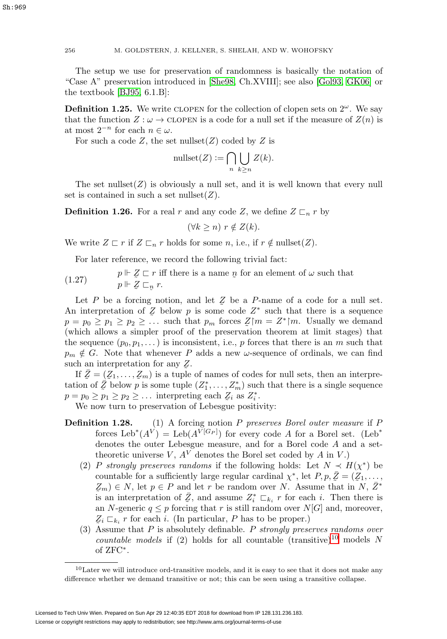The setup we use for preservation of randomness is basically the notation of "Case A" preservation introduced in [\[She98,](#page-62-2) Ch.XVIII]; see also [\[Gol93,](#page-61-6) [GK06\]](#page-61-7) or the textbook [\[BJ95,](#page-61-3) 6.1.B]:

**Definition 1.25.** We write CLOPEN for the collection of clopen sets on  $2^{\omega}$ . We say that the function  $Z : \omega \to \text{CLOPEN}$  is a code for a null set if the measure of  $Z(n)$  is at most  $2^{-n}$  for each  $n \in \omega$ .

For such a code  $Z$ , the set nullset $(Z)$  coded by  $Z$  is

$$
\text{nullset}(Z) := \bigcap_{n} \bigcup_{k \ge n} Z(k).
$$

The set nullset $(Z)$  is obviously a null set, and it is well known that every null set is contained in such a set nullset $(Z)$ .

<span id="page-11-2"></span>**Definition 1.26.** For a real r and any code Z, we define  $Z \nightharpoonup_n r$  by

$$
(\forall k \ge n) \ r \notin Z(k).
$$

We write  $Z \sqsubset r$  if  $Z \sqsubset_n r$  holds for some n, i.e., if  $r \notin \text{nullset}(Z)$ .

For later reference, we record the following trivial fact:

<span id="page-11-1"></span> $(1.27)$  $Z \n\subset r$  iff there is a name  $p$  for an element of  $\omega$  such that  $Z \subset r$ .  $p \Vdash \mathcal{Z} \sqsubset_{\mathcal{D}} r.$ 

Let P be a forcing notion, and let  $Z$  be a P-name of a code for a null set.<br>interpretation of Z below n is some code  $Z^*$  such that there is a sequence An interpretation of Z below p is some code  $Z^*$  such that there is a sequence  $n - n_0 > n_1 > n_2 > \dots > n_n$  $p = p_0 \geq p_1 \geq p_2 \geq \dots$  such that  $p_m$  forces  $\mathcal{Z}\vert m = \mathcal{Z}^* \vert m$ . Usually we demand (which allows a simpler proof of the preservation theorem at limit stages) that the sequence  $(p_0, p_1, \dots)$  is inconsistent, i.e., p forces that there is an m such that  $p_m \notin G$ . Note that whenever P adds a new  $\omega$ -sequence of ordinals, we can find such an interpretation for any  $\mathcal{Z}$ .<br>If  $\bar{Z} - (Z_1 - Z_2)$  is a tuple

If  $\bar{Z} = (Z_1, \ldots, Z_m)$  is a tuple of names of codes for null sets, then an interpre-<br>ion of  $\bar{Z}$  below n is some tuple  $(Z^* - Z^*)$  such that there is a single sequence tation of  $\bar{Z}$  below p is some tuple  $(Z_1^*, \ldots, Z_m^*)$  such that there is a single sequence  $p = p_0 \geq p_1 \geq p_2 \geq \dots$  interpreting each  $Z_i$  as  $Z_i^*$ .<br>We now turn to preservation of Lebesgue positive

We now turn to preservation of Lebesgue positivity:

- **Definition 1.28.** (1) A forcing notion P preserves Borel outer measure if P forces  $\text{Leb}^*(A^V) = \text{Leb}(A^V[G_P])$  for every code A for a Borel set. (Leb<sup>\*</sup> denotes the outer Lebesgue measure, and for a Borel code A and a settheoretic universe V,  $A<sup>V</sup>$  denotes the Borel set coded by A in V.)
	- (2) P strongly preserves randoms if the following holds: Let  $N \prec H(\chi^*)$  be countable for a sufficiently large regular cardinal  $\chi^*$ , let  $P, p, \bar{Z} = (\bar{Z}_1, \ldots, \bar{Z}_n) \in N$  let  $n \in P$  and let  $r$  be random over  $N$  assume that in  $N \bar{Z}^*$  $\mathcal{Z}_m$ )  $\in N$ , let  $p \in P$  and let r be random over N. Assume that in N,  $\bar{Z}^*$ is an interpretation of  $\overline{Z}$ , and assume  $Z_i^* \sqsubset_{k_i} r$  for each i. Then there is<br>an *N*-generic  $a \le n$  forcing that r is still random over *NIC* and moreover an N-generic  $q \leq p$  forcing that r is still random over  $N[G]$  and, moreover,  $Z_i \sqsubset_{k_i} r$  for each i. (In particular, P has to be proper.)
	- (3) Assume that P is absolutely definable. P strongly preserves randoms over countable models if (2) holds for all countable (transitive)<sup>[10](#page-11-0)</sup> models N of ZFC∗.

<span id="page-11-0"></span> $10$ Later we will introduce ord-transitive models, and it is easy to see that it does not make any difference whether we demand transitive or not; this can be seen using a transitive collapse.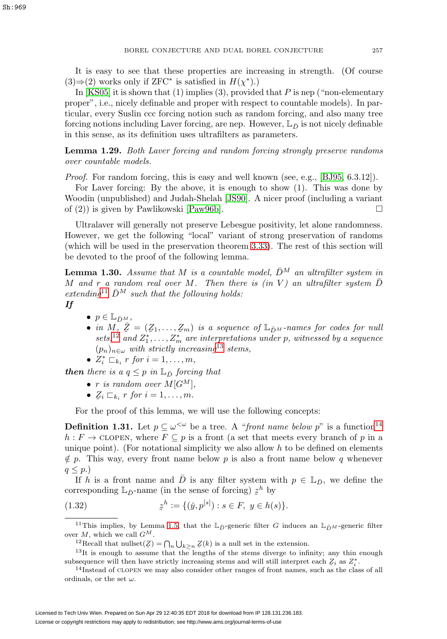It is easy to see that these properties are increasing in strength. (Of course  $(3) \Rightarrow (2)$  works only if ZFC<sup>\*</sup> is satisfied in  $H(\chi^*)$ .)

In [\[KS05\]](#page-61-11) it is shown that  $(1)$  implies  $(3)$ , provided that P is nep ("non-elementary") proper", i.e., nicely definable and proper with respect to countable models). In particular, every Suslin ccc forcing notion such as random forcing, and also many tree forcing notions including Laver forcing, are nep. However,  $\mathbb{L}_{\bar{D}}$  is not nicely definable in this sense, as its definition uses ultrafilters as parameters.

<span id="page-12-5"></span>**Lemma 1.29.** Both Laver forcing and random forcing strongly preserve randoms over countable models.

Proof. For random forcing, this is easy and well known (see, e.g., [\[BJ95,](#page-61-3) 6.3.12]).

For Laver forcing: By the above, it is enough to show (1). This was done by Woodin (unpublished) and Judah-Shelah [\[JS90\]](#page-61-12). A nicer proof (including a variant of (2)) is given by Pawlikowski [\[Paw96b\]](#page-62-7).  $\square$ 

Ultralaver will generally not preserve Lebesgue positivity, let alone randomness. However, we get the following "local" variant of strong preservation of randoms (which will be used in the preservation theorem [3.33\)](#page-40-0). The rest of this section will be devoted to the proof of the following lemma.

<span id="page-12-0"></span>**Lemma 1.30.** Assume that M is a countable model,  $\bar{D}^M$  an ultrafilter system in M and r a random real over M. Then there is (in V) an ultrafilter system  $\overline{D}$ extending<sup>[11](#page-12-1)</sup>  $\bar{D}^M$  such that the following holds:

*If*

- $p \in \mathbb{L}_{\bar{D}M}$ ,
- in M,  $Z = (Z_1, \ldots, Z_m)$  is a sequence of  $\mathbb{L}_{\bar{D}^M}$ -names for codes for null sets,<sup>[12](#page-12-2)</sup> and  $Z_1^*, \ldots, Z_m^*$  are interpretations under p, witnessed by a sequence  $\bar{Z} = (Z_1, \ldots, Z_m)$  is a sequence of  $\mathbb{L}_{\bar{D}^M}$ -names for codes for null<br>and  $Z^*$  are interpretations under now increased by a sequence  $(p_n)_{n \in \omega}$  with strictly increasing<sup>[13](#page-12-3)</sup> stems,

•  $Z_i^* \sqsubset_{k_i} r$  for  $i = 1, \ldots, m$ ,

*then* there is a  $q \leq p$  in  $\mathbb{L}_{\bar{D}}$  forcing that

- r is random over  $M[G^M],$
- $\mathcal{Z}_i \sqsubset_{k_i} r$  for  $i = 1, \ldots, m$ .

For the proof of this lemma, we will use the following concepts:

**Definition 1.31.** Let  $p \subseteq \omega^{\lt \omega}$  be a tree. A "front name below p" is a function<sup>[14](#page-12-4)</sup>  $h : F \to \text{CLOPEN}$ , where  $F \subseteq p$  is a front (a set that meets every branch of p in a unique point). (For notational simplicity we also allow  $h$  to be defined on elements  $\notin p$ . This way, every front name below p is also a front name below q whenever  $q \leq p.$ 

If h is a front name and  $\bar{D}$  is any filter system with  $p \in \mathbb{L}_{\bar{D}}$ , we define the corresponding  $\mathbb{L}_{\bar{D}}$ -name (in the sense of forcing)  $z^h$  by

(1.32) 
$$
z^{h} := \{ (\check{y}, p^{[s]}) : s \in F, y \in h(s) \}.
$$

<sup>11</sup>This implies, by Lemma [1.5,](#page-6-2) that the  $\mathbb{L}_{\bar{D}}$ -generic filter G induces an  $\mathbb{L}_{\bar{D}^M}$ -generic filter over  $M$ , which we call  $G^M$ .

<span id="page-12-3"></span><span id="page-12-2"></span><span id="page-12-1"></span><sup>12</sup>Recall that nullset $(Z) = \bigcap_n \bigcup_{k \geq n} Z(k)$  is a null set in the extension.

<sup>13</sup>It is enough to assume that the lengths of the stems diverge to infinity; any thin enough subsequence will then have strictly increasing stems and will still interpret each  $Z_i$  as  $Z_i^*$ <br><sup>14</sup>Instead of CLOEN we may also consider other ranges of front names, such as the cla

<span id="page-12-4"></span> $14$ Instead of CLOPEN we may also consider other ranges of front names, such as the class of all ordinals, or the set  $\omega$ .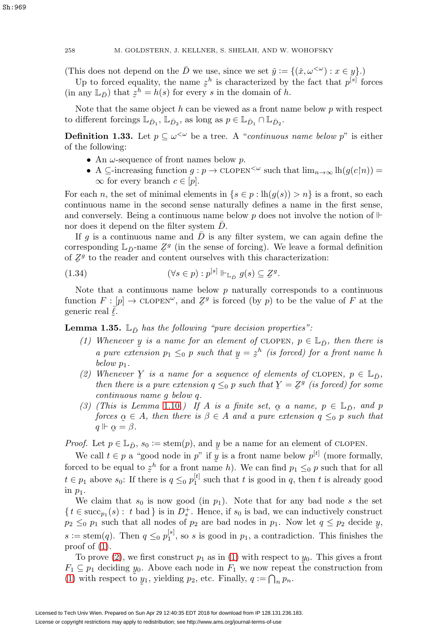# 258 M. GOLDSTERN, J. KELLNER, S. SHELAH, AND W. WOHOFSKY

(This does not depend on the  $\overline{D}$  we use, since we set  $\check{y} := \{(\check{x}, \omega^{\lt \omega}) : x \in y\}.$ )

Up to forced equality, the name  $z^h$  is characterized by the fact that  $p^{[s]}$  forces any  $\mathbb{F}_{p}$  = that  $z^h - h(s)$  for every s in the domain of h  $(\text{in any } \mathbb{L}_{\bar{D}})$  that  $z^h = h(s)$  for every s in the domain of h.

Note that the same object  $h$  can be viewed as a front name below  $p$  with respect to different forcings  $\mathbb{L}_{\bar{D}_1}$ ,  $\mathbb{L}_{\bar{D}_2}$ , as long as  $p \in \mathbb{L}_{\bar{D}_1} \cap \mathbb{L}_{\bar{D}_2}$ .

**Definition 1.33.** Let  $p \subseteq \omega^{\leq \omega}$  be a tree. A "*continuous name below p*" is either of the following:

- An  $\omega$ -sequence of front names below p.
- A ⊆-increasing function  $g : p \to \text{cLOPEN}^{\leq \omega}$  such that  $\lim_{n \to \infty} \text{lh}(g(c \upharpoonright n)) =$  $\infty$  for every branch  $c \in [p]$ .

For each n, the set of minimal elements in  $\{s \in p : \text{lh}(g(s)) > n\}$  is a front, so each continuous name in the second sense naturally defines a name in the first sense, and conversely. Being a continuous name below p does not involve the notion of  $\mathbb H$ nor does it depend on the filter system  $D$ .

If g is a continuous name and  $\overline{D}$  is any filter system, we can again define the corresponding  $\mathbb{L}_{\bar{D}}$ -name  $\mathbb{Z}^g$  (in the sense of forcing). We leave a formal definition<br>of  $\mathbb{Z}^g$  to the reader and content ourselves with this characterization: of  $Z<sup>g</sup>$  to the reader and content ourselves with this characterization:

(1.34) 
$$
(\forall s \in p) : p^{[s]} \Vdash_{\mathbb{L}_D} g(s) \subseteq \mathcal{Z}^g.
$$

Note that a continuous name below  $p$  naturally corresponds to a continuous function  $F : [p] \to \text{CLOPEN}^{\omega}$ , and  $\mathcal{Z}^g$  is forced (by p) to be the value of F at the generic real  $\bar{\ell}$ generic real  $\bar{\ell}$ .

<span id="page-13-1"></span><span id="page-13-0"></span>**Lemma 1.35.**  $\mathbb{L}_{\bar{D}}$  has the following "pure decision properties":

- (1) Whenever y is a name for an element of CLOPEN,  $p \in \mathbb{L}_{\bar{D}}$ , then there is<br>a nure extension  $p_1 \leq_0 p_2$  such that  $y = z^h$  (is forced) for a front name h a pure extension  $p_1 \leq_0 p$  such that  $y = z^h$  (is forced) for a front name h<br>below  $p_1$ . below  $p_1$ .
- <span id="page-13-2"></span>(2) Whenever Y is a name for a sequence of elements of CLOPEN,  $p \in \mathbb{L}_{\bar{D}}$ ,<br>then there is a name extension  $a \leq_{\alpha} p$  such that  $Y = Z^g$  (is forced) for some then there is a pure extension  $q \leq_0 p$  such that  $\overline{Y} = \overline{Z}^g$  (is forced) for some continuous name a below a continuous name g below q.
- <span id="page-13-3"></span>(3) (This is Lemma [1.10](#page-8-0).) If A is a finite set,  $\alpha$  a name,  $p \in \mathbb{L}_{\bar{D}}$ , and p<br>forces  $\alpha \in A$ , then there is  $\beta \in A$  and a nure extension  $a \leq_{\alpha} n$  such that forces  $\alpha \in A$ , then there is  $\beta \in A$  and a pure extension  $q \leq_0 p$  such that  $a \Vdash \alpha - \beta$  $q \Vdash \alpha = \beta.$

*Proof.* Let  $p \in \mathbb{L}_{\bar{D}}$ ,  $s_0 := \operatorname{stem}(p)$ , and y be a name for an element of CLOPEN.<br>We call  $t \in n$  a "good node in n" if u is a front name below  $n^{[t]}$  (more form

We call  $t \in p$  a "good node in p" if y is a front name below  $p^{[t]}$  (more formally, ced to be equal to  $z^h$  for a front name b). We can find  $v_1 \leq_0 p$  such that for all forced to be equal to  $z^h$  for a front name h). We can find  $p_1 \leq_0 p$  such that for all<br>t  $\epsilon$  we share that for a faith such that the used in a than the disc weak  $t \in p_1$  above  $s_0$ : If there is  $q \leq_0 p_1^{[t]}$  such that t is good in q, then t is already good in  $p_1$ .

We claim that  $s_0$  is now good (in  $p_1$ ). Note that for any bad node s the set  $\{t \in \operatorname{succ}_{p_1}(s): t \text{ bad } \}$  is in  $D_s^+$ . Hence, if  $s_0$  is bad, we can inductively construct  $p_2 \leq_0 p_1$  such that all nodes of  $p_2$  are bad nodes in  $p_1$ . Now let  $q \leq p_2$  decide y,  $s := \operatorname{stem}(q)$ . Then  $q \leq_0 p_1^{[s]}$ , so s is good in  $p_1$ , a contradiction. This finishes the proof of  $(1)$ .

To prove [\(2\)](#page-13-2), we first construct  $p_1$  as in [\(1\)](#page-13-1) with respect to  $y_0$ . This gives a front  $\subset p_1$  deciding  $y_0$ . Above each node in  $F_1$  we now repeat the construction from  $F_1 \subseteq p_1$  deciding  $y_0$ . Above each node in  $F_1$  we now repeat the construction from (1) with respect to  $y_1$ , yielding  $p_2$ , etc. Finally,  $a := \bigcap p_1$ . [\(1\)](#page-13-1) with respect to  $y_1$ , yielding  $p_2$ , etc. Finally,  $q := \bigcap_n p_n$ .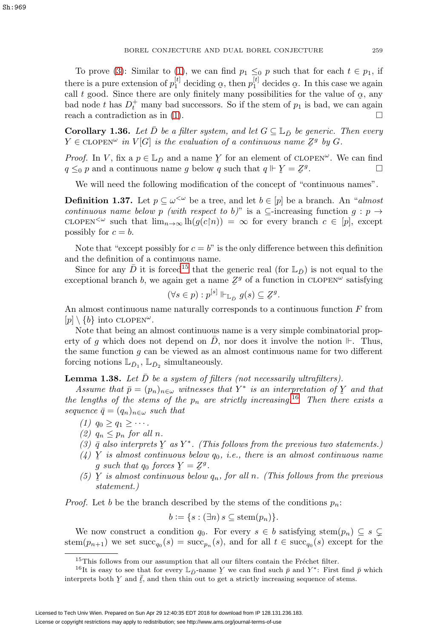To prove [\(3\)](#page-13-3): Similar to [\(1\)](#page-13-1), we can find  $p_1 \leq_0 p$  such that for each  $t \in p_1$ , if there is a pure extension of  $p_1^{[t]}$  deciding  $\alpha$ , then  $p_1^{[t]}$  decides  $\alpha$ . In this case we again call t good. Since there are only finitely many possibilities for the value of  $\alpha$  any call t good. Since there are only finitely many possibilities for the value of  $\alpha$ , any had node t has  $D^+$  many had successors. So if the stem of n, is had we can again bad node t has  $D_t^+$  many bad successors. So if the stem of  $p_1$  is bad, we can again reach a contradiction as in [\(1\)](#page-13-1).

<span id="page-14-2"></span>**Corollary 1.36.** Let D be a filter system, and let  $G \subseteq \mathbb{L}_{\bar{D}}$  be generic. Then every  $Y \in \text{CLOPEN}^{\omega}$  in  $V[G]$  is the evaluation of a continuous name  $Z^g$  by G.

*Proof.* In V, fix a  $p \in \mathbb{L}_{\bar{D}}$  and a name Y for an element of CLOPEN<sup> $\omega$ </sup>. We can find  $a \leq_{\alpha} p$  and a continuous name g below g such that  $a \Vdash Y = Z^g$  $q \leq_0 p$  and a continuous name g below q such that  $q \Vdash \mathcal{Y} = \mathcal{Z}^g$ .

We will need the following modification of the concept of "continuous names".

**Definition 1.37.** Let  $p \subseteq \omega^{\leq \omega}$  be a tree, and let  $b \in [p]$  be a branch. An "almost" continuous name below p (with respect to b)" is a  $\subseteq$ -increasing function  $g : p \to$ clopen<sup> $<\omega$ </sup> such that  $\lim_{n\to\infty}$  lh $(g(c|n)) = \infty$  for every branch  $c \in [p]$ , except possibly for  $c = b$ .

Note that "except possibly for  $c = b$ " is the only difference between this definition and the definition of a continuous name.

Since for any  $\bar{D}$  it is forced<sup>[15](#page-14-0)</sup> that the generic real (for  $\mathbb{L}_{\bar{D}}$ ) is not equal to the exceptional branch b, we again get a name  $\mathbb{Z}^g$  of a function in CLOPEN<sup> $\omega$ </sup> satisfying

$$
(\forall s \in p) : p^{[s]} \Vdash_{\mathbb{L}_{\bar{D}}} g(s) \subseteq \mathcal{Z}^g.
$$

An almost continuous name naturally corresponds to a continuous function  $F$  from  $[p] \setminus \{b\}$  into CLOPEN<sup> $\omega$ </sup>.

Note that being an almost continuous name is a very simple combinatorial property of g which does not depend on D, nor does it involve the notion  $\mathbb{H}$ . Thus, the same function  $g$  can be viewed as an almost continuous name for two different forcing notions  $\mathbb{L}_{\bar{D}_1}$ ,  $\mathbb{L}_{\bar{D}_2}$  simultaneously.

<span id="page-14-3"></span>**Lemma 1.38.** Let  $\bar{D}$  be a system of filters (not necessarily ultrafilters).

Assume that  $\bar{p} = (p_n)_{n \in \omega}$  witnesses that  $Y^*$  is an interpretation of  $Y$  and that  $p$  and the stems of the n are strictly increasing  $^{16}$ . Then there erists a the lengths of the stems of the  $p_n$  are strictly increasing.<sup>[16](#page-14-1)</sup> Then there exists a sequence  $\bar{q} = (q_n)_{n \in \omega}$  such that

- (1)  $q_0 \geq q_1 \geq \cdots$ .
- (2)  $q_n \leq p_n$  for all n.
- (3)  $\bar{q}$  also interprets  $\bar{Y}$  as  $Y^*$ . (This follows from the previous two statements.)<br>(1)  $\bar{Y}$  is almost continuous below as i.e. there is an almost continuous name
- (4) Y is almost continuous below  $q_0$ , i.e., there is an almost continuous name<br>a such that  $q_0$  forces  $Y = Z^g$ g such that  $q_0$  forces  $\ddot{Y} = \ddot{Z}^g$ .<br>V is almost continuous below.
- (5)  $Y$  is almost continuous below  $q_n$ , for all n. (This follows from the previous etatement) statement.)

*Proof.* Let b be the branch described by the stems of the conditions  $p_n$ :

$$
b := \{ s : (\exists n) \ s \subseteq \operatorname{stem}(p_n) \}.
$$

We now construct a condition  $q_0$ . For every  $s \in b$  satisfying stem $(p_n) \subseteq s \subsetneq$ stem $(p_{n+1})$  we set  $succ_{q_0}(s) = succ_{p_n}(s)$ , and for all  $t \in succ_{q_0}(s)$  except for the

<span id="page-14-1"></span><span id="page-14-0"></span> $15$ This follows from our assumption that all our filters contain the Fréchet filter.

<sup>&</sup>lt;sup>16</sup>It is easy to see that for every  $\mathbb{L}_{\bar{D}}$ -name Y we can find such  $\bar{p}$  and Y<sup>\*</sup>: First find  $\bar{p}$  which interprets both  $Y$  and  $\bar{\ell}$ , and then thin out to get a strictly increasing sequence of stems.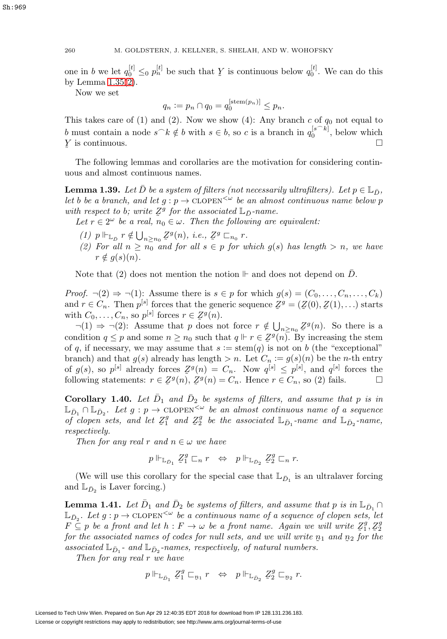one in b we let  $q_0^{[t]} \leq_0 p_n^{[t]}$  be such that  $\overline{Y}$  is continuous below  $q_0^{[t]}$ . We can do this by Lemma 1.35(2) by Lemma [1.35\(](#page-13-0)[2\)](#page-13-2).

Now we set

$$
q_n := p_n \cap q_0 = q_0^{[\operatorname{stem}(p_n)]} \le p_n.
$$

This takes care of  $(1)$  and  $(2)$ . Now we show  $(4)$ : Any branch c of  $q_0$  not equal to b must contain a node  $s\hat{ }k\notin b$  with  $s\in b$ , so c is a branch in  $q_0^{[s\hat{ }k]}$ , below which  $\tilde{a}$ Y is continuous.

The following lemmas and corollaries are the motivation for considering continuous and almost continuous names.

**Lemma 1.39.** Let D be a system of filters (not necessarily ultrafilters). Let  $p \in \mathbb{L}_D$ , let b be a branch, and let  $g : p \to \text{CLOPEN}^{\leq \omega}$  be an almost continuous name below p with respect to b; write  $Z^g$  for the associated  $\mathbb{L}_{\bar{D}}$ -name.<br>Let  $r \in 2^\omega$  be a real  $n \in \omega$ . Then the following are

Let  $r \in 2^{\omega}$  be a real,  $n_0 \in \omega$ . Then the following are equivalent:

- (1)  $p \Vdash_{\mathbb{L}_D} r \notin \bigcup_{n \geq n_0} \mathbb{Z}^g(n)$ , i.e.,  $\mathbb{Z}^g \sqsubset_{n_0} r$ .<br>(2) For all  $n > n_0$  and for all  $s \in n$  for us
- (1)  $P^{\Pi} \mathbb{L}_D$  '  $\in \bigcup_{n \geq n_0} \mathbb{Z}^{\circ}(\mu)$ , i.e.,  $\mathbb{Z}^{\circ} \mathbb{L}_{n_0}$  '.<br>(2) For all  $n \geq n_0$  and for all  $s \in p$  for which  $g(s)$  has length  $> n$ , we have  $r \notin g(s)(n)$ .

Note that (2) does not mention the notion  $\mathbb{F}$  and does not depend on D.

*Proof.*  $\neg(2) \Rightarrow \neg(1)$ : Assume there is  $s \in p$  for which  $g(s)=(C_0,\ldots,C_n,\ldots,C_k)$ and  $r \in C_n$ . Then  $p^{[s]}$  forces that the generic sequence  $\mathcal{Z}^g = (\mathcal{Z}(0), \mathcal{Z}(1), \ldots)$  starts<br>with  $C_n$ ,  $C_n$  so  $p^{[s]}$  forces  $r \in \mathcal{Z}^g(n)$ . with  $C_0, \ldots, C_n$ , so  $p^{[s]}$  forces  $r \in \mathbb{Z}^g(n)$ .<br>  $\lnot(1) \rightarrow \lnot(2)$ . Assume that n does not

 $\neg(1) \Rightarrow \neg(2)$ : Assume that p does not force  $r \notin \bigcup_{n \ge n_0} \mathbb{Z}^g(n)$ . So there is a relation  $g \le n$  and some  $n \ge n_0$  such that  $g \Vdash g \subseteq \mathbb{Z}^g(n)$ . By increasing the stame condition  $q \leq p$  and some  $n \geq n_0$  such that  $q \Vdash r \in \mathbb{Z}^g(n)$ . By increasing the stem<br>of a if necessary we may assume that  $s := \text{stem}(a)$  is not on b (the "exceptional" of q, if necessary, we may assume that  $s := \operatorname{stem}(q)$  is not on b (the "exceptional" branch) and that  $g(s)$  already has length  $>n$ . Let  $C_n := g(s)(n)$  be the *n*-th entry of  $g(s)$ , so  $p^{[s]}$  already forces  $Z^g(n) = C_n$ . Now  $q^{[s]} \le p^{[s]}$ , and  $q^{[s]}$  forces the following statements:  $r \in Z^g(n) - C$  Hence  $r \in C$ , so (2) fails following statements:  $r \in \mathcal{Z}^g(n)$ ,  $\mathcal{Z}^g(n) = C_n$ . Hence  $r \in C_n$ , so (2) fails.  $\Box$ 

<span id="page-15-0"></span>**Corollary 1.40.** Let  $\bar{D}_1$  and  $\bar{D}_2$  be systems of filters, and assume that p is in  $\mathbb{L}_{\bar{D}_1} \cap \mathbb{L}_{\bar{D}_2}$ . Let  $g : p \to \text{CLOPEN}^{\leq \omega}$  be an almost continuous name of a sequence of clopen sets, and let  $Z_1^g$  and  $Z_2^g$  be the associated  $\mathbb{L}_{\bar{D}_1}$ -name and  $\mathbb{L}_{\bar{D}_2}$ -name,<br>respectively respectively.

Then for any real r and  $n \in \omega$  we have

$$
p \Vdash_{\mathbb{L}_{\bar{D}_1}} \mathbb{Z}_1^g \sqsubset_n r \ \Leftrightarrow \ p \Vdash_{\mathbb{L}_{\bar{D}_2}} \mathbb{Z}_2^g \sqsubset_n r.
$$

(We will use this corollary for the special case that  $\mathbb{L}_{\bar{D}_1}$  is an ultralaver forcing and  $\mathbb{L}_{\bar{D}_2}$  is Laver forcing.)

**Lemma 1.41.** Let  $\bar{D}_1$  and  $\bar{D}_2$  be systems of filters, and assume that p is in  $\mathbb{L}_{\bar{D}_1} \cap$  $\mathbb{L}_{\bar{D}_2}$ . Let  $g: p \to \text{CLOPEN}^{\leq \omega}$  be a continuous name of a sequence of clopen sets, let  $F \subseteq p$  be a front and let  $h : F \to \omega$  be a front name. Again we will write  $Z_1^g$ ,  $Z_2^g$ <br>for the associated names of codes for null sets, and we will write n, and no for the for the associated names of codes for null sets, and we will write  $p_1$  and  $p_2$  for the<br>associated  $\mathbb{I} =$  and  $\mathbb{I} =$  anomes respectively of natural numbers associated  $\mathbb{L}_{\bar{D}_1}$  - and  $\mathbb{L}_{\bar{D}_2}$  -names, respectively, of natural numbers.

Then for any real r we have

$$
p \Vdash_{\mathbb{L}_{\bar{D}_1}} \mathcal{Z}_1^g \sqsubset_{\underline{n}_1} r \ \ \Leftrightarrow \ \ p \Vdash_{\mathbb{L}_{\bar{D}_2}} \mathcal{Z}_2^g \sqsubset_{\underline{n}_2} r.
$$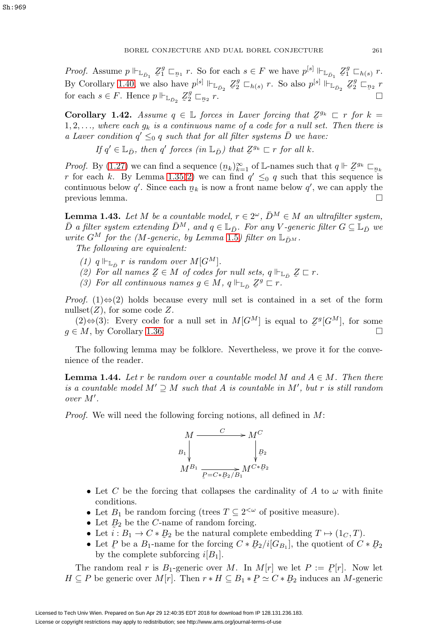*Proof.* Assume  $p \Vdash_{\mathbb{L}_{\bar{D}_1}} \mathcal{Z}_1^g \sqsubset_{\mathbb{R}_1} r$ . So for each  $s \in F$  we have  $p^{[s]} \Vdash_{\mathbb{L}_{\bar{D}_1}} \mathcal{Z}_1^g \sqsubset_{h(s)} r$ . By Corollary [1.40,](#page-15-0) we also have  $p^{[s]} \Vdash_{\mathbb{L}_{D_2}} \mathbb{Z}_2^g \sqsubset_{h(s)} r$ . So also  $p^{[s]} \Vdash_{\mathbb{L}_{D_2}} \mathbb{Z}_2^g \sqsubset_{n_2} r$ for each  $s \in F$ . Hence  $p \Vdash_{\mathbb{L}_{\bar{D}_2}} \mathbb{Z}_2^g \sqsubset_{\mathbb{Z}}$  $n_2$  r.

<span id="page-16-1"></span>**Corollary 1.42.** Assume  $q \in \mathbb{L}$  forces in Laver forcing that  $\mathbb{Z}^{g_k} \subset r$  for  $k = 1, 2$  where each  $g_k$  is a continuous name of a code for a null set. Then there is 1, 2,..., where each  $g_k$  is a continuous name of a code for a null set. Then there is a Laver condition  $q' \leq_0 q$  such that for all filter systems  $\overline{D}$  we have:

If  $q' \in \mathbb{L}_{\bar{D}}$ , then  $q'$  forces  $(in \mathbb{L}_{\bar{D}})$  that  $\mathcal{Z}^{g_k} \sqsubset r$  for all k.

*Proof.* By [\(1.27\)](#page-11-1) we can find a sequence  $(p_k)_{k=1}^{\infty}$  of L-names such that  $q \Vdash \mathcal{Z}^{g_k} \square_{p_k}$ <br>*r* for each k. By Lemma 1.35(2) we can find  $q' \leq q$  such that this sequence is r for each k. By Lemma [1.35](#page-13-0)[\(2\)](#page-13-2) we can find  $q' \leq_0 q$  such that this sequence is continuous below q'. Since each  $p_k$  is now a front name below q', we can apply the previous lemma previous lemma.

<span id="page-16-2"></span>**Lemma 1.43.** Let M be a countable model,  $r \in 2^{\omega}$ ,  $\bar{D}^M \in M$  an ultrafilter system,  $\bar{D}$  a filter system extending  $\bar{D}^M$ , and  $q \in \mathbb{L}_{\bar{D}}$ . For any V-generic filter  $G \subseteq \mathbb{L}_{\bar{D}}$  we write  $G^M$  for the (M-generic, by Lemma [1.5](#page-6-2)) filter on  $\mathbb{L}_{\bar{D}^M}$ .

The following are equivalent:

- (1)  $q \Vdash_{\mathbb{L}_{\bar{D}}} r$  is random over  $M[G^M]$ .
- (2) For all names  $Z \in M$  of codes for null sets,  $q \Vdash_{\mathbb{L}_D} Z \sqsubset r$ .<br>(3) For all continuous names  $q \in M$ ,  $q \Vdash_{\mathbb{L}} Zg \sqsubset r$ .
- (3) For all continuous names  $g \in M$ ,  $q \Vdash_{\mathbb{L}_D} \mathbb{Z}^g \subset r$ .

*Proof.* (1) $\Leftrightarrow$  (2) holds because every null set is contained in a set of the form nullset  $(Z)$ , for some code Z.

(2)⇔(3): Every code for a null set in  $M[G^M]$  is equal to  $\mathcal{Z}^g[G^M]$ , for some<br>  $\Box M$  by Corollary 1.36  $q \in M$ , by Corollary [1.36.](#page-14-2)

The following lemma may be folklore. Nevertheless, we prove it for the convenience of the reader.

<span id="page-16-0"></span>**Lemma 1.44.** Let r be random over a countable model M and  $A \in M$ . Then there is a countable model  $M' \supseteq M$  such that A is countable in  $M'$ , but r is still random over M .

Proof. We will need the following forcing notions, all defined in M:



- Let C be the forcing that collapses the cardinality of A to  $\omega$  with finite conditions.
- Let  $B_1$  be random forcing (trees  $T \subseteq 2^{<\omega}$  of positive measure).
- Let  $B_2$  be the C-name of random forcing.<br>• Let  $i : B_1 \to C * B_2$  be the natural complete
- Let  $i : B_1 \to C * B_2$  be the natural complete embedding  $T \mapsto (1_C, T)$ .<br>• Let P be a B-name for the forcing  $C * B_2/i[G_2]$  the quotient of C
- Let P be a  $B_1$ -name for the forcing  $C * B_2/i[G_{B_1}]$ , the quotient of  $C * B_2$ <br>by the complete subforcing  $i[B_1]$ by the complete subforcing  $i[B_1]$ .

The random real r is  $B_1$ -generic over M. In  $M[r]$  we let  $P := P[r]$ . Now let  $C \supseteq P$  be generic over  $M[r]$ . Then  $r * H \subseteq B_1 * P \approx C * B_2$  induces an M-generic  $H \subseteq P$  be generic over  $M[r]$ . Then  $r * H \subseteq B_1 * P \simeq C * P_2$  induces an  $M$ -generic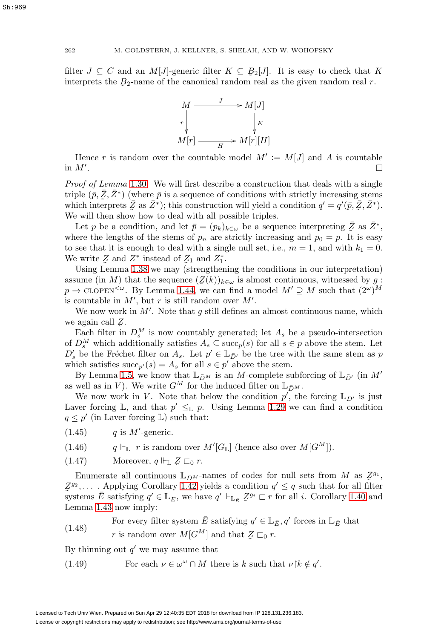filter  $J \subseteq C$  and an  $M[J]$ -generic filter  $K \subseteq B_2[J]$ . It is easy to check that K interprets the B<sub>2</sub>-parme of the canonical random real as the given random real r interprets the  $B_2$ -name of the canonical random real as the given random real r.



Hence r is random over the countable model  $M' := M[J]$  and A is countable in  $M'$ . .

Proof of Lemma [1.30](#page-12-0). We will first describe a construction that deals with a single triple  $(\bar{p}, \bar{Z}, \bar{Z}^*)$  (where  $\bar{p}$  is a sequence of conditions with strictly increasing stems which interprets  $\bar{Z}$  as  $\bar{Z}^*$ ); this construction will yield a condition  $q' = q'(\bar{p}, \bar{Z}, \bar{Z}^*)$ .<br>We will then show how to deal with all possible triples We will then show how to deal with all possible triples.

Let p be a condition, and let  $\bar{p} = (p_k)_{k \in \omega}$  be a sequence interpreting  $\bar{Z}$  as  $\bar{Z}^*$ , where the lengths of the stems of  $p_n$  are strictly increasing and  $p_0 = p$ . It is easy to see that it is enough to deal with a single null set, i.e.,  $m = 1$ , and with  $k_1 = 0$ . We write  $Z$  and  $Z^*$  instead of  $Z_1$  and  $Z_1^*$ .<br>Using Lemma 1.38 we may (strengthen

Using Lemma [1.38](#page-14-3) we may (strengthening the conditions in our interpretation) assume (in M) that the sequence  $(\mathcal{Z}(k))_{k \in \omega}$  is almost continuous, witnessed by g:<br> $x \to CLOEN^{\leq \omega}$ . By Lemma 1.44, we can find a model  $M' \supset M$  such that  $(2^{\omega})^M$  $p \to \text{cLOPEN}^{\leq \omega}$ . By Lemma [1.44,](#page-16-0) we can find a model  $M' \supseteq M$  such that  $(2^{\omega})^M$ is countable in  $M'$ , but r is still random over  $M'$ .

We now work in  $M'$ . Note that g still defines an almost continuous name, which we again call  $Z$ .<br>Each filter in

Each filter in  $D_s^M$  is now countably generated; let  $A_s$  be a pseudo-intersection of  $D_s^M$  which additionally satisfies  $A_s \subseteq \text{succ}_p(s)$  for all  $s \in p$  above the stem. Let  $D'_s$  be the Fréchet filter on  $A_s$ . Let  $p' \in \mathbb{L}_{\bar{D}'}$  be the tree with the same stem as p which satisfies  $succ_{p'}(s) = A_s$  for all  $s \in p'$  above the stem.

By Lemma [1.5,](#page-6-2) we know that  $\mathbb{L}_{\bar{D}^M}$  is an M-complete subforcing of  $\mathbb{L}_{\bar{D}'}$  (in  $M'$ as well as in V). We write  $G^M$  for the induced filter on  $\mathbb{L}_{\bar{D}^M}$ .

We now work in V. Note that below the condition  $p'$ , the forcing  $\mathbb{L}_{\bar{D}'}$  is just Laver forcing L, and that  $p' \leq_{\mathbb{L}} p$ . Using Lemma [1.29](#page-12-5) we can find a condition  $q \leq p'$  (in Laver forcing L) such that:

 $(1.45)$  q is M'-generic.

(1.46)  $q \Vdash_{\mathbb{L}} r$  is random over  $M'[G_{\mathbb{L}}]$  (hence also over  $M[G^M])$ .

 $(1.47)$  Moreover,  $q \Vdash_{\mathbb{L}} \mathbb{Z} \sqsubset_0 r$ .

Enumerate all continuous  $\mathbb{L}_{\bar{D}^M}$ -names of codes for null sets from M as  $\mathbb{Z}^{g_1}$ ,<br>2. Applying Corollary 1.42 yields a condition  $g' \leq g$  such that for all filter systems  $\overline{E}$  satisfying  $q' \in \mathbb{L}_{\overline{E}}$ , we have  $q' \Vdash_{\mathbb{L}_{\overline{E}}} \mathbb{Z}^{g_i} \subset r$  for all *i*. Corollary [1.40](#page-15-0) and  $Z^{g_2}$ ,.... Applying Corollary [1.42](#page-16-1) yields a condition  $q' \leq q$  such that for all filter Lemma [1.43](#page-16-2) now imply:

<span id="page-17-1"></span>For every filter system  $\overline{E}$  satisfying  $q' \in \mathbb{L}_{\overline{E}}$ ,  $q'$  forces in  $\mathbb{L}_{\overline{E}}$  that  $(1.48)$ r is random over  $M[G^M]$  and that  $Z \sqsubset_0 r$ .

By thinning out  $q'$  we may assume that

<span id="page-17-0"></span>(1.49) For each  $\nu \in \omega^{\omega} \cap M$  there is k such that  $\nu \upharpoonright k \notin q'.$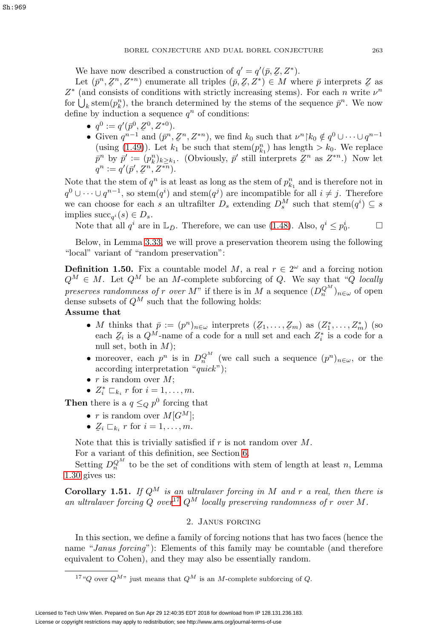We have now described a construction of  $q' = q'(\bar{p}, Z, Z^*)$ .<br>Let  $(\bar{p}^n, Z^n, Z^{*n})$  enumerate all triples  $(\bar{p}, Z, Z^*) \in M$  where

Let  $(\bar{p}^n, \mathcal{Z}^n, Z^{*n})$  enumerate all triples  $(\bar{p}, \mathcal{Z}, \mathcal{Z}^*) \in M$  where  $\bar{p}$  interprets  $\mathcal{Z}$  as  $(\text{and consists of conditions with strictly increasing stems})$ . For each n write  $\nu^n$  $Z^*$  (and consists of conditions with strictly increasing stems). For each *n* write  $\nu^n$ for  $\bigcup_k \operatorname{stem}(p_k^n)$ , the branch determined by the stems of the sequence  $\bar{p}^n$ . We now define by induction a sequence  $q^n$  of conditions:

- $q^0 := q'(\bar{p}^0, \mathcal{Z}^0, Z^{*0}).$
- Given  $q^{n-1}$  and  $(\bar{p}^n, \bar{z}^n, Z^{*n})$ , we find  $k_0$  such that  $\nu^n | k_0 \notin q^0 \cup \cdots \cup q^{n-1}$ (using [\(1.49\)](#page-17-0)). Let  $k_1$  be such that stem $(p_{k_1}^n)$  has length  $> k_0$ . We replace  $\bar{p}^n$  by  $\bar{p}' := (p_k^n)_{k \geq k_1}$ . (Obviously,  $\bar{p}'$  still interprets  $\mathcal{Z}^n$  as  $Z^{*n}$ .) Now let  $q^n := q'(\bar{p}', Z^n, Z^{*n}).$

Note that the stem of  $q^n$  is at least as long as the stem of  $p_{k_1}^n$  and is therefore not in  $q^0 \cup \cdots \cup q^{n-1}$ , so stem $(q^i)$  and stem $(q^j)$  are incompatible for all  $i \neq j$ . Therefore we can choose for each s an ultrafilter  $D_s$  extending  $D_s^M$  such that  $\text{stem}(q^i) \subseteq s$ implies  $succ_{a^i}(s) \in D_s$ .

Note that all  $q^i$  are in  $\mathbb{L}_{\bar{D}}$ . Therefore, we can use [\(1.48\)](#page-17-1). Also,  $q^i \leq p_0^i$ . <sup>0</sup>.

Below, in Lemma [3.33,](#page-40-0) we will prove a preservation theorem using the following "local" variant of "random preservation":

<span id="page-18-3"></span>**Definition 1.50.** Fix a countable model M, a real  $r \in 2^{\omega}$  and a forcing notion  $Q^M \in M$ . Let  $Q^M$  be an M-complete subforcing of Q. We say that "Q locally preserves randomness of r over M" if there is in M a sequence  $(D_n^{Q_M})_{n \in \omega}$  of open dense subsets of  $Q^M$  such that the following holds:

# **Assume that**

- M thinks that  $\bar{p} := (p^n)_{n \in \omega}$  interprets  $(Z_1, \ldots, Z_m)$  as  $(Z_1^*, \ldots, Z_m^*)$  (so each  $Z_i$  is a  $OM$ -name of a code for a null set and each  $Z^*$  is a code for a each  $Z_i$  is a  $Q^M$ -name of a code for a null set and each  $Z_i^*$  is a code for a null set both in  $M$ . null set, both in  $M$ );
- moreover, each  $p^n$  is in  $D_n^{Q^M}$  (we call such a sequence  $(p^n)_{n \in \omega}$ , or the according interpretation "quick");
- $r$  is random over  $M$ ;
- $Z_i^* \sqsubset_{k_i} r$  for  $i = 1, \ldots, m$ .

**Then** there is a  $q \leq_Q p^0$  forcing that

- r is random over  $M[G^M];$
- $\mathcal{Z}_i \sqsubset_{k_i} r$  for  $i = 1, \ldots, m$ .

Note that this is trivially satisfied if  $r$  is not random over  $M$ .

For a variant of this definition, see Section [6.](#page-59-0)

Setting  $D_n^{Q^M}$  to be the set of conditions with stem of length at least n, Lemma [1.30](#page-12-0) gives us:

<span id="page-18-2"></span><span id="page-18-0"></span>**Corollary 1.51.** If  $Q^M$  is an ultralaver forcing in M and r a real, then there is an ultralaver forcing Q over<sup>[17](#page-18-1)</sup>  $Q^M$  locally preserving randomness of r over M.

# 2. Janus forcing

In this section, we define a family of forcing notions that has two faces (hence the name "Janus forcing"): Elements of this family may be countable (and therefore equivalent to Cohen), and they may also be essentially random.

<span id="page-18-1"></span><sup>&</sup>lt;sup>17</sup>"Q over  $Q^{M}$ " just means that  $Q^M$  is an M-complete subforcing of Q.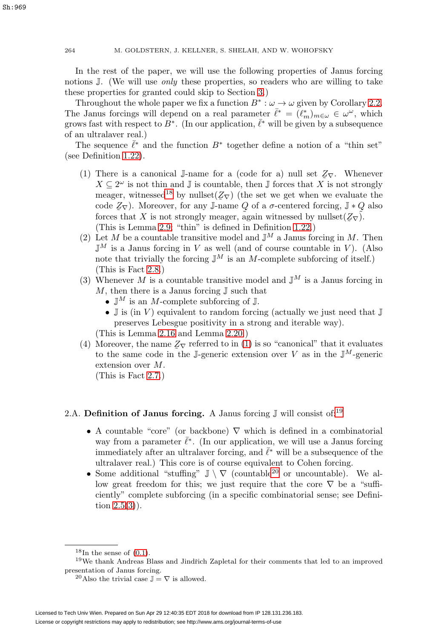In the rest of the paper, we will use the following properties of Janus forcing notions  $\mathbb{J}$ . (We will use *only* these properties, so readers who are willing to take these properties for granted could skip to Section [3.](#page-26-0))

Throughout the whole paper we fix a function  $B^* : \omega \to \omega$  given by Corollary [2.2.](#page-20-1) The Janus forcings will depend on a real parameter  $\bar{\ell}^* = (\ell_m^*)_{m \in \omega} \in \omega^{\omega}$ , which grows fast with respect to  $B^*$ . (In our application,  $\bar{\ell}^*$  will be given by a subsequence of an ultralaver real.)

<span id="page-19-1"></span>The sequence  $\bar{\ell}^*$  and the function  $B^*$  together define a notion of a "thin set" (see Definition [1.22\)](#page-9-2).

- (1) There is a canonical J-name for a (code for a) null set  $Z_{\nabla}$ . Whenever  $X \subset 2^{\omega}$  is not thin and I is countable then I forces that X is not strongly  $X \subseteq 2^{\omega}$  is not thin and  $\mathbb{J}$  is countable, then  $\mathbb{J}$  forces that X is not strongly meager, witnessed<sup>[18](#page-19-0)</sup> by nullset( $\mathbb{Z}_{\nabla}$ ) (the set we get when we evaluate the code  $\mathbb{Z}_{\nabla}$ ). Moreover, for any Langue Q of a  $\sigma$ -centered forcing  $\mathbb{I} * Q$  also code  $Z_{\nabla}$ ). Moreover, for any J-name Q of a  $\sigma$ -centered forcing, J  $*$  Q also forces that X is not strongly meager, again witnessed by nullset  $(Z_{\nabla})$ . forces that X is not strongly meager, again witnessed by nullset $(\mathcal{Z}_{\nabla})$ .<br>(This is Lemma 2.9; "thin" is defined in Definition 1.22.) (This is Lemma [2.9;](#page-22-0) "thin" is defined in Definition [1.22.](#page-9-2))
- (2) Let M be a countable transitive model and  $\mathbb{J}^M$  a Janus forcing in M. Then  $\mathbb{J}^M$  is a Janus forcing in V as well (and of course countable in V). (Also note that trivially the forcing  $\mathbb{J}^M$  is an M-complete subforcing of itself.) (This is Fact [2.8.](#page-21-0))
- (3) Whenever M is a countable transitive model and  $\mathbb{J}^M$  is a Janus forcing in  $M$ , then there is a Janus forcing  $\mathbb J$  such that
	- $\mathbb{J}^M$  is an M-complete subforcing of  $\mathbb{J}$ .
	- $\mathbb J$  is (in V) equivalent to random forcing (actually we just need that  $\mathbb J$ preserves Lebesgue positivity in a strong and iterable way).

(This is Lemma [2.16](#page-23-0) and Lemma [2.20.](#page-25-0))

(4) Moreover, the name  $Z_{\nabla}$  referred to in [\(1\)](#page-19-1) is so "canonical" that it evaluates<br>to the same code in the Leoneric extension over V as in the  $\mathbb{I}^M$ -generic to the same code in the J-generic extension over V as in the  $\mathbb{J}^M$ -generic extension over M.

(This is Fact [2.7.](#page-21-1))

# 2.A. **Definition of Janus forcing.** A Janus forcing  $\mathbb{J}$  will consist of:<sup>[19](#page-19-2)</sup>

- A countable "core" (or backbone)  $\nabla$  which is defined in a combinatorial way from a parameter  $\bar{\ell}^*$ . (In our application, we will use a Janus forcing immediately after an ultralaver forcing, and  $\bar{\ell}^*$  will be a subsequence of the ultralaver real.) This core is of course equivalent to Cohen forcing.
- Some additional "stuffing"  $\mathbb{J} \setminus \nabla$  (countable<sup>[20](#page-19-3)</sup> or uncountable). We allow great freedom for this; we just require that the core  $\nabla$  be a "sufficiently" complete subforcing (in a specific combinatorial sense; see Definition  $2.5(3)$  $2.5(3)$ ).

<span id="page-19-0"></span> $18\text{In the sense of } (0.1)$  $18\text{In the sense of } (0.1)$ .

<sup>&</sup>lt;sup>19</sup>We thank Andreas Blass and Jindřich Zapletal for their comments that led to an improved presentation of Janus forcing.

<span id="page-19-3"></span><span id="page-19-2"></span><sup>&</sup>lt;sup>20</sup>Also the trivial case  $\mathbb{J} = \nabla$  is allowed.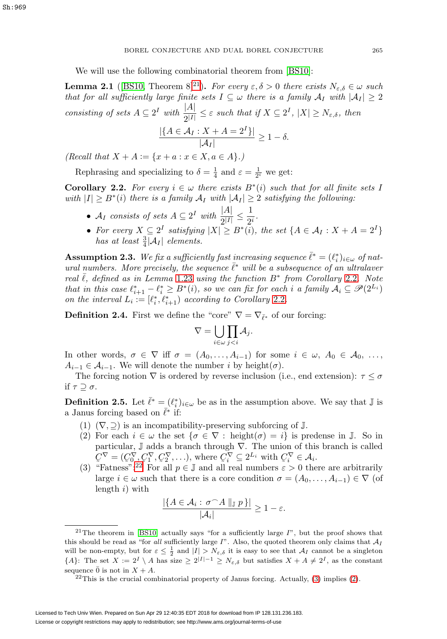We will use the following combinatorial theorem from [\[BS10\]](#page-61-4):

<span id="page-20-0"></span>**Lemma 2.1** ([\[BS10,](#page-61-4) Theorem 8]<sup>[21](#page-20-4)</sup>). For every  $\varepsilon, \delta > 0$  there exists  $N_{\varepsilon,\delta} \in \omega$  such that for all sufficiently large finite sets  $I \subseteq \omega$  there is a family  $A_I$  with  $|A_I| \geq 2$ consisting of sets  $A \subseteq 2^I$  with  $\frac{|A|}{2^{|I|}} \leq \varepsilon$  such that if  $X \subseteq 2^I$ ,  $|X| \geq N_{\varepsilon,\delta}$ , then

$$
\frac{|\{A \in \mathcal{A}_I : X + A = 2^I\}|}{|\mathcal{A}_I|} \ge 1 - \delta.
$$

(Recall that  $X + A := \{x + a : x \in X, a \in A\}$ .)

Rephrasing and specializing to  $\delta = \frac{1}{4}$  and  $\varepsilon = \frac{1}{2^i}$  we get:

<span id="page-20-1"></span>**Corollary 2.2.** For every  $i \in \omega$  there exists  $B^*(i)$  such that for all finite sets I with  $|I| \geq B^*(i)$  there is a family  $A_I$  with  $|A_I| \geq 2$  satisfying the following:

- $\mathcal{A}_I$  consists of sets  $A \subseteq 2^I$  with  $\frac{|A|}{2^{|I|}} \leq \frac{1}{2^i}$ .
- For every  $X \subseteq 2^I$  satisfying  $|X| \ge B^*(i)$ , the set  $\{A \in \mathcal{A}_I : X + A = 2^I\}$ has at least  $\frac{3}{4}$ | $\mathcal{A}_I$ | elements.

**Assumption 2.3.** We fix a sufficiently fast increasing sequence  $\bar{\ell}^* = (\ell_i^*)_{i \in \omega}$  of natural numbers. More precisely, the sequence  $\bar{l}^*$  will be a subsequence of an ultralaver real  $\overline{\ell}$ , defined as in Lemma [1.23](#page-10-1) using the function  $B^*$  from Corollary [2.2](#page-20-1). Note that in this case  $\ell_{i+1}^* - \ell_i^* \geq B^*(i)$ , so we can fix for each i a family  $A_i \subseteq \mathscr{P}(2^{L_i})$ on the interval  $L_i := [\ell_i^*, \ell_{i+1}^*]$  according to Corollary [2.2](#page-20-1).

<span id="page-20-8"></span>**Definition 2.4.** First we define the "core"  $\nabla = \nabla_{\bar{\ell}^*}$  of our forcing:

$$
\nabla = \bigcup_{i \in \omega} \prod_{j < i} A_j.
$$

In other words,  $\sigma \in \nabla$  iff  $\sigma = (A_0, \ldots, A_{i-1})$  for some  $i \in \omega, A_0 \in \mathcal{A}_0, \ldots$  $A_{i-1} \in \mathcal{A}_{i-1}$ . We will denote the number i by height( $\sigma$ ).

The forcing notion  $\nabla$  is ordered by reverse inclusion (i.e., end extension):  $\tau \leq \sigma$ if  $\tau \supseteq \sigma$ .

<span id="page-20-7"></span><span id="page-20-2"></span>**Definition 2.5.** Let  $\bar{\ell}^* = (\ell_i^*)_{i \in \omega}$  be as in the assumption above. We say that  $\mathbb{J}$  is a Janus forcing based on  $\bar{\ell}^*$  if:

- <span id="page-20-6"></span>(1)  $(\nabla, \supseteq)$  is an incompatibility-preserving subforcing of  $\mathbb{J}$ .
- (2) For each  $i \in \omega$  the set  $\{\sigma \in \nabla : \text{height}(\sigma) = i\}$  is predense in J. So in particular,  $\mathbb J$  adds a branch through  $\nabla.$  The union of this branch is called  $C^{\nabla} = (C^{\nabla}_{0}, C^{\nabla}_{1}, C^{\nabla}_{2}, \ldots),$  where  $C^{\nabla}_{i} \subseteq 2^{L_{i}}$  with  $C^{\nabla}_{i} \in A_{i}$ .<br>"Fatness", 22 For all  $n \in \mathbb{I}$  and all real numbers  $\varepsilon > 0$  the
- <span id="page-20-3"></span>(3) "Fatness":<sup>[22](#page-20-5)</sup> For all  $p \in \mathbb{J}$  and all real numbers  $\varepsilon > 0$  there are arbitrarily large  $i \in \omega$  such that there is a core condition  $\sigma = (A_0, \ldots, A_{i-1}) \in \nabla$  (of length  $i)$  with

$$
\frac{|\{A \in \mathcal{A}_i : \sigma^{\frown} A \parallel_{\mathbb{J}} p\}|}{|\mathcal{A}_i|} \ge 1 - \varepsilon.
$$

<span id="page-20-4"></span><sup>&</sup>lt;sup>21</sup>The theorem in [\[BS10\]](#page-61-4) actually says "for a sufficiently large  $I$ ", but the proof shows that this should be read as "for all sufficiently large I". Also, the quoted theorem only claims that  $A_I$ will be non-empty, but for  $\varepsilon \leq \frac{1}{2}$  and  $|I| > N_{\varepsilon,\delta}$  it is easy to see that  $\mathcal{A}_I$  cannot be a singleton  ${A}$ : The set  $X := 2^I \setminus A$  has size  $\geq 2^{|I|-1} \geq N_{\varepsilon,\delta}$  but satisfies  $X + A \neq 2^I$ , as the constant sequence  $\bar{0}$  is not in  $X + A$ .

<span id="page-20-5"></span> $^{22}$ This is the crucial combinatorial property of Janus forcing. Actually, [\(3\)](#page-20-3) implies [\(2\)](#page-20-6).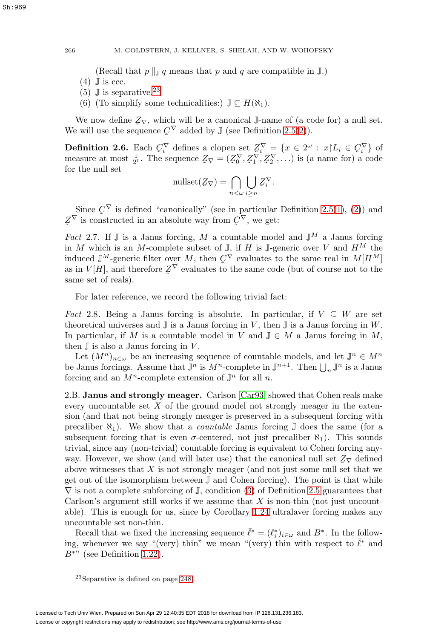(Recall that  $p \parallel_{\mathbb{J}} q$  means that p and q are compatible in  $\mathbb{J}$ .)

- <span id="page-21-4"></span><span id="page-21-3"></span> $(4)$  J is ccc.
- <span id="page-21-5"></span>(5)  $\mathbb{J}$  is separative.<sup>[23](#page-21-2)</sup>
- (6) (To simplify some technicalities:)  $\mathbb{J} \subseteq H(\aleph_1)$ .

We now define  $Z_{\nabla}$ , which will be a canonical J-name of (a code for) a null set.<br>will use the sequence  $C_{\nabla}$  added by  $\mathbb{I}$  (see Definition 2.5(2)) We will use the sequence  $C^{\nabla}$  added by  $\mathbb{J}$  (see Definition [2.5](#page-20-2)[\(2\)](#page-20-6)).

<span id="page-21-6"></span>**Definition 2.6.** Each  $C_i^{\nabla}$  defines a clopen set  $Z_i^{\nabla} = \{x \in 2^{\omega} : x | L_i \in C_i^{\nabla}\}$  of measure at most  $\frac{1}{\omega}$ . The sequence  $Z_{\nabla} = (Z^{\nabla} Z^{\nabla} Z^{\nabla})$  is (a name for) a code measure at most  $\frac{1}{2^i}$ . The sequence  $\mathcal{Z}_{\nabla} = (\mathcal{Z}_0^{\nabla}, \mathcal{Z}_1^{\nabla}, \mathcal{Z}_2^{\nabla}, \ldots)$  is (a name for) a code for the null set for the null set

$$
\text{nullset}(\mathcal{Z}_{\nabla}) = \bigcap_{n < \omega} \bigcup_{i \geq n} \mathcal{Z}_i^{\nabla}.
$$

Since  $C^{\vee}$  is defined "canonically" (see in particular Definition [2.5\(](#page-20-2)[1\)](#page-20-7), [\(2\)](#page-20-6)) and<br>is constructed in an absolute way from  $C^{\nabla}$  we get:  $\tilde{a}$  $Z^V$  is constructed in an absolute way from  $Q^V$ , we get:

<span id="page-21-1"></span>Fact 2.7. If  $\mathbb J$  is a Janus forcing, M a countable model and  $\mathbb J^M$  a Janus forcing in M which is an M-complete subset of  $\mathbb{J}$ , if H is  $\mathbb{J}$ -generic over V and  $H^M$  the induced  $\mathbb{J}^M$ -generic filter over M, then  $\mathcal{C}^\nabla$  evaluates to the same real in  $M[H^M]$ <br>as in  $V[H]$  and therefore  $Z^\nabla$  evaluates to the same code (but of course not to the as in  $V[H]$ , and therefore  $\mathcal{Z}^{\nabla}$  evaluates to the same code (but of course not to the same set of reals) same set of reals).

For later reference, we record the following trivial fact:

<span id="page-21-0"></span>Fact 2.8. Being a Janus forcing is absolute. In particular, if  $V \subseteq W$  are set theoretical universes and  $\mathbb J$  is a Janus forcing in V, then  $\mathbb J$  is a Janus forcing in W. In particular, if M is a countable model in V and  $\mathbb{J} \in M$  a Janus forcing in M, then  $\mathbb J$  is also a Janus forcing in V.

Let  $(M^n)_{n\in\omega}$  be an increasing sequence of countable models, and let  $\mathbb{J}^n \in M^n$ be Janus forcings. Assume that  $\mathbb{J}^n$  is  $M^n$ -complete in  $\mathbb{J}^{n+1}$ . Then  $\bigcup_n \mathbb{J}^n$  is a Janus forcing and an  $M^n$ -complete extension of  $\mathbb{J}^n$  for all n.

2.B. **Janus and strongly meager.** Carlson [\[Car93\]](#page-61-2) showed that Cohen reals make every uncountable set  $X$  of the ground model not strongly meager in the extension (and that not being strongly meager is preserved in a subsequent forcing with precaliber  $\aleph_1$ ). We show that a *countable* Janus forcing  $\mathbb J$  does the same (for a subsequent forcing that is even  $\sigma$ -centered, not just precaliber  $\aleph_1$ ). This sounds trivial, since any (non-trivial) countable forcing is equivalent to Cohen forcing anyway. However, we show (and will later use) that the canonical null set  $Z_{\nabla}$  defined<br>above witnesses that X is not strongly meager (and not just some null set that we above witnesses that  $X$  is not strongly meager (and not just some null set that we get out of the isomorphism between J and Cohen forcing). The point is that while  $\nabla$  is not a complete subforcing of J, condition [\(3\)](#page-20-3) of Definition [2.5](#page-20-2) guarantees that Carlson's argument still works if we assume that  $X$  is non-thin (not just uncountable). This is enough for us, since by Corollary [1.24](#page-10-0) ultralaver forcing makes any uncountable set non-thin.

Recall that we fixed the increasing sequence  $\bar{\ell}^* = (\ell_i^*)_{i \in \omega}$  and  $B^*$ . In the following, whenever we say "(very) thin" we mean "(very) thin with respect to  $\bar{\ell}^*$  and  $B^*$ " (see Definition [1.22\)](#page-9-2).

<span id="page-21-2"></span><sup>23</sup>Separative is defined on page [248.](#page-3-1)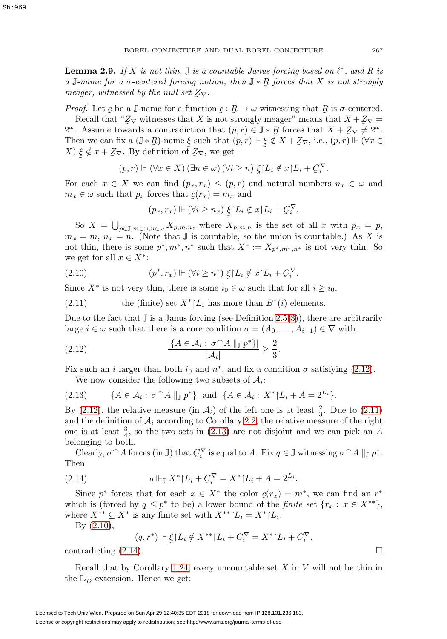<span id="page-22-0"></span>**Lemma 2.9.** If X is not thin,  $\mathbb{J}$  is a countable Janus forcing based on  $\bar{\ell}^*$ , and R is a  $\mathbb{J}$  is not express that X is not etrapolism a J-name for a  $\sigma$ -centered forcing notion, then  $\mathbb{J} * \mathbb{R}$  forces that X is not strongly<br>meager witnessed by the null set  $Z_{\Box}$ meager, witnessed by the null set  $Z_{\nabla}$ .

Proof. Let  $\mathcal{L}$  be a J-name for a function  $\mathcal{L} : \mathcal{R} \to \omega$  witnessing that  $\mathcal{R}$  is  $\sigma$ -centered.<br>Recall that "Z- witnesses that X is not strongly meager" means that  $X + Z -$ 

Recall that " $\mathbb{Z}_{\nabla}$  witnesses that X is not strongly meager" means that  $X + \mathbb{Z}_{\nabla} =$ <br>Assume towards a contradiction that  $(n, r) \in \mathbb{I} * R$  forces that  $X + \mathbb{Z}_{\nabla} \to 2^{\omega}$ 2<sup>ω</sup>. Assume towards a contradiction that  $(p, r) \in \mathbb{J} * R$  forces that  $X + Z_{\nabla} \neq 2^{\omega}$ .<br>Then we can fix a  $(\mathbb{J} * R)$ -name  $\xi$  such that  $(p, r) \Vdash \xi \tilde{d}$ ,  $X + Z_{\nabla}$  i.e.,  $(p, r) \Vdash (\forall x \in$ Then we can fix a  $(\mathbb{J} * R)$ -name  $\xi$  such that  $(p, r) \Vdash \xi \notin X + Z_{\nabla}$ , i.e.,  $(p, r) \Vdash (\forall x \in X) \xi \notin x + Z_{\nabla}$ . By definition of  $Z_{\nabla}$ , we get  $(X) \xi \notin x + Z_{\nabla}$ . By definition of  $Z_{\nabla}$ , we get  $\tilde{z}$  $\tilde{z}$ 

$$
(p,r) \Vdash (\forall x \in X) (\exists n \in \omega) (\forall i \geq n) \xi L_i \notin x \Ldash_{i} + C_i^{\nabla}.
$$

For each  $x \in X$  we can find  $(p_x, r_x) \leq (p, r)$  and natural numbers  $n_x \in \omega$  and  $m_x \in \omega$  such that  $p_x$  forces that  $c(r_x) = m_x$  and

$$
(p_x, r_x) \Vdash (\forall i \ge n_x) \xi \upharpoonright L_i \notin x \upharpoonright L_i + C_i^{\nabla}.
$$

So  $X = \bigcup_{p \in \mathbb{J}, m \in \omega, n \in \omega} X_{p,m,n}$ , where  $X_{p,m,n}$  is the set of all x with  $p_x = p$ ,  $m_x = m$ ,  $n_x = n$ . (Note that J is countable, so the union is countable.) As X is not thin, there is some  $p^*, m^*, n^*$  such that  $X^* := X_{p^*, m^*, n^*}$  is not very thin. So we get for all  $x \in X^*$ :

<span id="page-22-4"></span>(2.10) 
$$
(p^*, r_x) \Vdash (\forall i \geq n^*) \xi \upharpoonright L_i \notin x \upharpoonright L_i + C_i^{\nabla}.
$$

Since  $X^*$  is not very thin, there is some  $i_0 \in \omega$  such that for all  $i \ge i_0$ ,

<span id="page-22-2"></span>(2.11) the (finite) set  $X^*$ [ $L_i$  has more than  $B^*(i)$  elements.

Due to the fact that  $\mathbb J$  is a Janus forcing (see Definition [2.5\(](#page-20-2)[3\)](#page-20-3)), there are arbitrarily large  $i \in \omega$  such that there is a core condition  $\sigma = (A_0, \ldots, A_{i-1}) \in \nabla$  with

<span id="page-22-1"></span>(2.12) 
$$
\frac{|\{A \in \mathcal{A}_i : \sigma \cap A \parallel_{\mathbb{J}} p^*\}|}{|\mathcal{A}_i|} \geq \frac{2}{3}.
$$

Fix such an i larger than both  $i_0$  and  $n^*$ , and fix a condition  $\sigma$  satisfying [\(2.12\)](#page-22-1). We now consider the following two subsets of  $A_i$ :

<span id="page-22-3"></span>
$$
(2.13) \qquad \{A\in\mathcal{A}_i:\,\sigma\widehat{\phantom{\alpha}}A\parallel_{\mathbb{J}}p^*\}\quad\text{and}\quad\{A\in\mathcal{A}_i:\,X^*\vert L_i+A=2^{L_i}\}.
$$

By [\(2.12\)](#page-22-1), the relative measure (in  $A_i$ ) of the left one is at least  $\frac{2}{3}$ . Due to [\(2.11\)](#page-22-2) and the definition of  $A_i$  according to Corollary [2.2,](#page-20-1) the relative measure of the right one is at least  $\frac{3}{4}$ , so the two sets in [\(2.13\)](#page-22-3) are not disjoint and we can pick an A belonging to both.

Clearly,  $\sigma \cap A$  forces (in J) that  $C_i^{\nabla}$  is equal to A. Fix  $q \in \mathbb{J}$  witnessing  $\sigma \cap A \parallel_{\mathbb{J}} p^*$ . Then

<span id="page-22-5"></span>(2.14) 
$$
q \Vdash_{\mathbb{J}} X^* \upharpoonright L_i + C_i^{\nabla} = X^* \upharpoonright L_i + A = 2^{L_i}.
$$

Since  $p^*$  forces that for each  $x \in X^*$  the color  $c(r_x) = m^*$ , we can find an  $r^*$  is (forced by  $a \leq r^*$  to be) a lower bound of the finite set  $\{r : r \in X^{**}\}$ which is (forced by  $q \leq p^*$  to be) a lower bound of the *finite* set  $\{r_x : x \in X^{**}\},$ where  $X^{**} \subseteq X^*$  is any finite set with  $X^{**} \mid L_i = X^* \mid L_i$ .

By [\(2.10\)](#page-22-4),

$$
(q, r^*) \Vdash \xi \upharpoonright L_i \notin X^{**} \upharpoonright L_i + C_i^{\nabla} = X^* \upharpoonright L_i + C_i^{\nabla},
$$

contradicting  $(2.14)$ .

Recall that by Corollary [1.24,](#page-10-0) every uncountable set  $X$  in  $V$  will not be thin in the  $\mathbb{L}_{\bar{D}}$ -extension. Hence we get: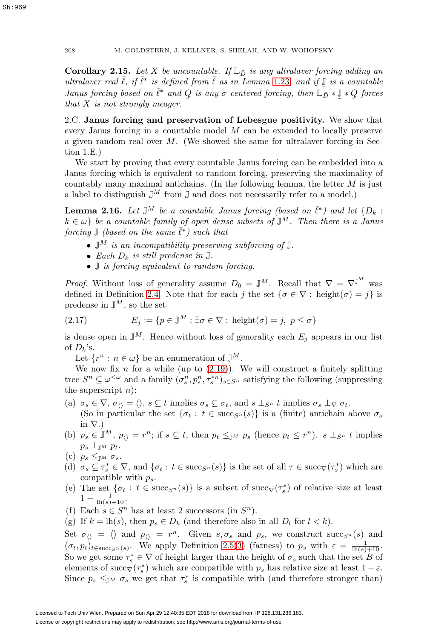**Corollary 2.15.** Let X be uncountable. If  $\mathbb{L}_{\bar{D}}$  is any ultralaver forcing adding an ultralaver real  $\bar{\ell}$ , if  $\bar{\ell}^*$  is defined from  $\bar{\ell}$  as in Lemma [1.23](#page-10-1), and if  $\bar{\ell}$  is a countable<br>Janus forcing hased on  $\bar{\ell}^*$  and O is any  $\sigma$ -centered forcing then  $\bar{\ell} \circ \bar{\ell} \times \bar{\ell} \times O$  forces Janus forcing based on  $\bar{\ell}^*$  and  $Q$  is any  $\sigma$ -centered forcing, then  $\tilde{\mathbb{L}_D} * \mathbb{J} * Q$  forces that X is not strongly megger.  $\tilde{\phantom{a}}$  $\tilde{a}$ that  $X$  is not strongly meager.

2.C. **Janus forcing and preservation of Lebesgue positivity.** We show that every Janus forcing in a countable model M can be extended to locally preserve a given random real over  $M$ . (We showed the same for ultralaver forcing in Section 1.E.)

We start by proving that every countable Janus forcing can be embedded into a Janus forcing which is equivalent to random forcing, preserving the maximality of countably many maximal antichains. (In the following lemma, the letter  $M$  is just a label to distinguish  $\mathbb{J}^M$  from  $\mathbb J$  and does not necessarily refer to a model.)

<span id="page-23-0"></span>**Lemma 2.16.** Let  $\mathbb{J}^M$  be a countable Janus forcing (based on  $\bar{\ell}^*$ ) and let  $\{D_k:$  $k \in \omega$  be a countable family of open dense subsets of  $\mathbb{J}^M$ . Then there is a Janus forcing  $\mathbb{J}$  (based on the same  $\bar{\ell}^*$ ) such that

- $\mathbb{J}^M$  is an incompatibility-preserving subforcing of  $\mathbb{J}$ .
- Each  $D_k$  is still predense in  $\mathbb{J}$ .
- *J* is forcing equivalent to random forcing.

*Proof.* Without loss of generality assume  $D_0 = \mathbb{J}^M$ . Recall that  $\nabla = \nabla^{\mathbb{J}^M}$  was defined in Definition [2.4.](#page-20-8) Note that for each j the set  $\{\sigma \in \nabla : \text{height}(\sigma) = j\}$  is predense in  $\mathbb{J}^M$ , so the set

<span id="page-23-1"></span>(2.17) 
$$
E_j := \{ p \in \mathbb{J}^M : \exists \sigma \in \nabla : \text{height}(\sigma) = j, \ p \le \sigma \}
$$

is dense open in  $\mathbb{J}^M$ . Hence without loss of generality each  $E_i$  appears in our list of  $D_k$ 's.

Let  $\{r^n : n \in \omega\}$  be an enumeration of  $\mathbb{J}^M$ .

We now fix  $n$  for a while (up to  $(2.19)$ ). We will construct a finitely splitting tree  $S^n \subseteq \omega^{\leq \omega}$  and a family  $(\sigma_s^n, p_s^n, \tau_s^{*n})_{s \in S^n}$  satisfying the following (suppressing the superscript  $n$ :

(a)  $\sigma_s \in \nabla$ ,  $\sigma_{\langle} \rangle = \langle \rangle$ ,  $s \subseteq t$  implies  $\sigma_s \subseteq \sigma_t$ , and  $s \perp_{S^n} t$  implies  $\sigma_s \perp_{\nabla} \sigma_t$ .

(So in particular the set  $\{\sigma_t : t \in \text{succ}_{S^n}(s)\}\$ is a (finite) antichain above  $\sigma_s$ in  $\nabla$ .)

- (b)  $p_s \in \mathbb{J}^M$ ,  $p_{\langle} = r^n$ ; if  $s \subseteq t$ , then  $p_t \leq_{\mathbb{J}^M} p_s$  (hence  $p_t \leq r^n$ ).  $s \perp_{S^n} t$  implies  $p_s \perp_{\mathbb{J}^M} p_t$ .
- (c)  $p_s \leq_{\mathbb{J}^M} \sigma_s$ .
- (d)  $\sigma_s \subseteq \tau_s^* \in \nabla$ , and  $\{\sigma_t : t \in \text{succ}_{S^n}(s)\}\$ is the set of all  $\tau \in \text{succ}_{\nabla}(\tau_s^*)$  which are compatible with  $p_s$ .
- <span id="page-23-2"></span>(e) The set  $\{\sigma_t : t \in \text{succ}_{S^n}(s)\}\$ is a subset of  $\text{succ}_{\nabla}(\tau_s^*)$  of relative size at least  $1 - \frac{1}{\ln(s) + 10}$ .
- (f) Each  $s \in S^n$  has at least 2 successors (in  $S^n$ ).
- (g) If  $k = \text{lh}(s)$ , then  $p_s \in D_k$  (and therefore also in all  $D_l$  for  $l < k$ ).

Set  $\sigma_{\langle\rangle} = \langle\rangle$  and  $p_{\langle\rangle} = r^n$ . Given  $s, \sigma_s$  and  $p_s$ , we construct succ<sub>S<sup>n</sub></sup>(s) and</sub>  $(\sigma_t, p_t)_{t \in \text{succ}_{S}(\sigma(s))}$ . We apply Definition [2.5\(](#page-20-2)[3\)](#page-20-3) (fatness) to  $p_s$  with  $\varepsilon = \frac{1}{\ln(s) + 10}$ . So we get some  $\tau_s^* \in \nabla$  of height larger than the height of  $\sigma_s$  such that the set B of elements of succ<sub> $\nabla(\tau_s^*)$ </sub> which are compatible with  $p_s$  has relative size at least  $1 - \varepsilon$ . Since  $p_s \leq_{\mathbb{J}^M} \sigma_s$  we get that  $\tau_s^*$  is compatible with (and therefore stronger than)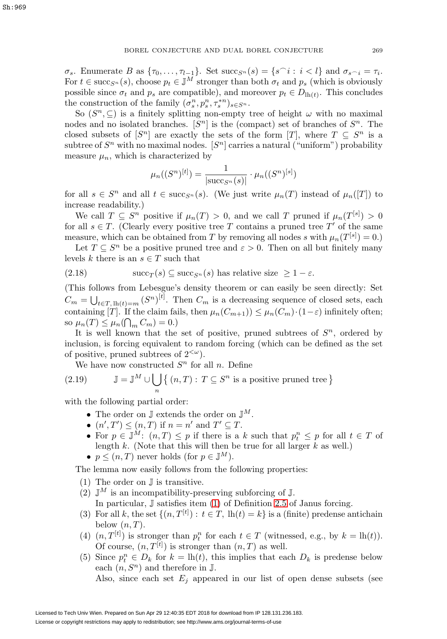$\sigma_s$ . Enumerate B as  $\{\tau_0,\ldots,\tau_{l-1}\}$ . Set succ<sub>S<sup>n</sub></sup>(s) =  $\{s^\frown i : i < l\}$  and  $\sigma_{s^\frown i} = \tau_i$ .</sub> For  $t \in \text{succ}_{S^n}(s)$ , choose  $p_t \in \mathbb{J}^M$  stronger than both  $\sigma_t$  and  $p_s$  (which is obviously possible since  $\sigma_t$  and  $p_s$  are compatible), and moreover  $p_t \in D_{\text{th}(t)}$ . This concludes the construction of the family  $(\sigma_s^n, p_s^n, \tau_s^{*n})_{s \in S^n}$ .

So  $(S^n, \subseteq)$  is a finitely splitting non-empty tree of height  $\omega$  with no maximal nodes and no isolated branches.  $[S^n]$  is the (compact) set of branches of  $S^n$ . The closed subsets of  $[S^n]$  are exactly the sets of the form  $[T]$ , where  $T \subseteq S^n$  is a subtree of  $S<sup>n</sup>$  with no maximal nodes.  $[S<sup>n</sup>]$  carries a natural ("uniform") probability measure  $\mu_n$ , which is characterized by

$$
\mu_n((S^n)^{[t]}) = \frac{1}{|\text{succ}_{S^n}(s)|} \cdot \mu_n((S^n)^{[s]})
$$

for all  $s \in S^n$  and all  $t \in \text{succ}_{S^n}(s)$ . (We just write  $\mu_n(T)$  instead of  $\mu_n(T)$ ) to increase readability.)

We call  $T \subseteq S^n$  positive if  $\mu_n(T) > 0$ , and we call T pruned if  $\mu_n(T^{[s]}) > 0$ for all  $s \in T$ . (Clearly every positive tree T contains a pruned tree T' of the same measure, which can be obtained from T by removing all nodes s with  $\mu_n(T^{[s]}) = 0$ .

Let  $T \subseteq S^n$  be a positive pruned tree and  $\varepsilon > 0$ . Then on all but finitely many levels k there is an  $s \in T$  such that

<span id="page-24-1"></span>(2.18) 
$$
\text{succ}_T(s) \subseteq \text{succ}_{S^n}(s) \text{ has relative size } \geq 1 - \varepsilon.
$$

(This follows from Lebesgue's density theorem or can easily be seen directly: Set  $C_m = \bigcup_{t \in T, \, \text{lh}(t) = m} (S^n)^{[t]}$ . Then  $C_m$  is a decreasing sequence of closed sets, each containing [T]. If the claim fails, then  $\mu_n(C_{m+1}) \leq \mu_n(C_m) \cdot (1 - \varepsilon)$  infinitely often; so  $\mu_n(T) \leq \mu_n(\bigcap_m C_m) = 0.$ 

It is well known that the set of positive, pruned subtrees of  $S<sup>n</sup>$ , ordered by inclusion, is forcing equivalent to random forcing (which can be defined as the set of positive, pruned subtrees of  $2^{<\omega}$ ).

We have now constructed  $S<sup>n</sup>$  for all n. Define

<span id="page-24-0"></span>(2.19) 
$$
\mathbb{J} = \mathbb{J}^M \cup \bigcup_n \{ (n, T) : T \subseteq S^n \text{ is a positive pruned tree } \}
$$

with the following partial order:

- The order on  $\mathbb{J}$  extends the order on  $\mathbb{J}^M$ .
- $(n', T') \leq (n, T)$  if  $n = n'$  and  $T' \subseteq T$ .
- For  $p \in \mathbb{J}^M$ :  $(n,T) \leq p$  if there is a k such that  $p_t^n \leq p$  for all  $t \in T$  of length  $k$ . (Note that this will then be true for all larger  $k$  as well.)
- $p \leq (n, T)$  never holds (for  $p \in \mathbb{J}^M$ ).

The lemma now easily follows from the following properties:

- (1) The order on J is transitive.
- (2)  $\mathbb{J}^M$  is an incompatibility-preserving subforcing of  $\mathbb{J}$ . In particular, J satisfies item [\(1\)](#page-20-7) of Definition [2.5](#page-20-2) of Janus forcing.
- (3) For all k, the set  $\{(n, T<sup>[t]</sup>) : t \in T, \ln(t) = k\}$  is a (finite) predense antichain below  $(n, T)$ .
- <span id="page-24-2"></span>(4)  $(n, T<sup>[t]</sup>)$  is stronger than  $p_t^n$  for each  $t \in T$  (witnessed, e.g., by  $k = \text{lh}(t)$ ). Of course,  $(n, T<sup>[t]</sup>)$  is stronger than  $(n, T)$  as well.
- (5) Since  $p_t^n \in D_k$  for  $k = \ln(t)$ , this implies that each  $D_k$  is predense below each  $(n, S^n)$  and therefore in J.

Also, since each set  $E_i$  appeared in our list of open dense subsets (see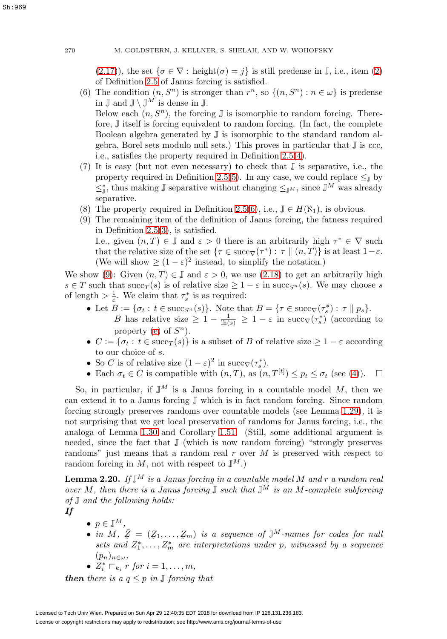[\(2.17\)](#page-23-1)), the set  $\{\sigma \in \nabla : \text{height}(\sigma) = j\}$  is still predense in J, i.e., item [\(2\)](#page-20-6) of Definition [2.5](#page-20-2) of Janus forcing is satisfied.

- (6) The condition  $(n, S^n)$  is stronger than  $r^n$ , so  $\{(n, S^n) : n \in \omega\}$  is predense in  $\mathbb{J}$  and  $\mathbb{J} \setminus \mathbb{J}^M$  is dense in  $\mathbb{J}$ . Below each  $(n, S^n)$ , the forcing  $\mathbb J$  is isomorphic to random forcing. Therefore, J itself is forcing equivalent to random forcing. (In fact, the complete Boolean algebra generated by J is isomorphic to the standard random algebra, Borel sets modulo null sets.) This proves in particular that J is ccc,
- i.e., satisfies the property required in Definition [2.5\(](#page-20-2)[4\)](#page-21-3). (7) It is easy (but not even necessary) to check that J is separative, i.e., the property required in Definition [2.5](#page-20-2)[\(5\)](#page-21-4). In any case, we could replace  $\leq_{\mathbb{I}}$  by  $\leq^*_{\mathbb{J}}$ , thus making  $\mathbb{J}$  separative without changing  $\leq_{\mathbb{J}^M}$ , since  $\mathbb{J}^M$  was already separative.
- <span id="page-25-1"></span>(8) The property required in Definition [2.5\(](#page-20-2)[6\)](#page-21-5), i.e.,  $\mathbb{J} \in H(\aleph_1)$ , is obvious.
- (9) The remaining item of the definition of Janus forcing, the fatness required in Definition [2.5](#page-20-2)[\(3\)](#page-20-3), is satisfied.

I.e., given  $(n, T) \in \mathbb{J}$  and  $\varepsilon > 0$  there is an arbitrarily high  $\tau^* \in \nabla$  such that the relative size of the set  $\{\tau \in \text{succ}_{\nabla}(\tau^*) : \tau \mid (n, T)\}\$ is at least  $1-\varepsilon$ . (We will show  $\geq (1 - \varepsilon)^2$  instead, to simplify the notation.)

We show [\(9\)](#page-25-1): Given  $(n, T) \in \mathbb{J}$  and  $\varepsilon > 0$ , we use [\(2.18\)](#page-24-1) to get an arbitrarily high  $s \in T$  such that  $succ_T(s)$  is of relative size  $\geq 1 - \varepsilon$  in  $succ_{S_n}(s)$ . We may choose s of length  $>\frac{1}{\varepsilon}$ . We claim that  $\tau_s^*$  is as required:

- Let  $B := \{ \sigma_t : t \in \text{succ}_{S^n}(s) \}.$  Note that  $B = \{ \tau \in \text{succ}_{\nabla}(\tau_s^*) : \tau \mid n \}$ . B has relative size  $\geq 1 - \frac{1}{\ln(s)} \geq 1 - \varepsilon$  in succ<sub>V</sub>( $\tau_s$ ) (according to property [\(e\)](#page-23-2) of  $S<sup>n</sup>$ ).
- $C := \{ \sigma_t : t \in \text{succ}_T(s) \}$  is a subset of B of relative size  $\geq 1 \varepsilon$  according to our choice of s.
- So C is of relative size  $(1 \varepsilon)^2$  in succ<sub>V</sub> $(\tau_s^*)$ .
- Each  $\sigma_t \in C$  is compatible with  $(n, T)$ , as  $(n, T^{[t]}) \leq p_t \leq \sigma_t$  (see [\(4\)](#page-24-2)).  $\Box$

So, in particular, if  $\mathbb{J}^M$  is a Janus forcing in a countable model M, then we can extend it to a Janus forcing J which is in fact random forcing. Since random forcing strongly preserves randoms over countable models (see Lemma [1.29\)](#page-12-5), it is not surprising that we get local preservation of randoms for Janus forcing, i.e., the analoga of Lemma [1.30](#page-12-0) and Corollary [1.51.](#page-18-2) (Still, some additional argument is needed, since the fact that J (which is now random forcing) "strongly preserves randoms" just means that a random real r over  $M$  is preserved with respect to random forcing in M, not with respect to  $\mathbb{J}^M$ .)

<span id="page-25-0"></span>**Lemma 2.20.** If  $\mathbb{J}^M$  is a Janus forcing in a countable model M and r a random real over M, then there is a Janus forcing  $\mathbb J$  such that  $\mathbb J^M$  is an M-complete subforcing of J and the following holds:

- *If*
- $\bullet \, p \in \mathbb{J}^M,$
- in M,  $\overline{Z} = (Z_1, \ldots, Z_m)$  is a sequence of  $\mathbb{J}^M$ -names for codes for null sets and  $Z^*$ .  $Z^*$  are interpretations under n witnessed by a sequence sets and  $Z_1^*, \ldots, Z_m^*$  are interpretations under p, witnessed by a sequence  $(p_n)_{n\in\omega},$
- $Z_i^* \sqsubset_{k_i} r$  for  $i = 1, \ldots, m$ ,

*then* there is a  $q \leq p$  in  $\mathbb{J}$  forcing that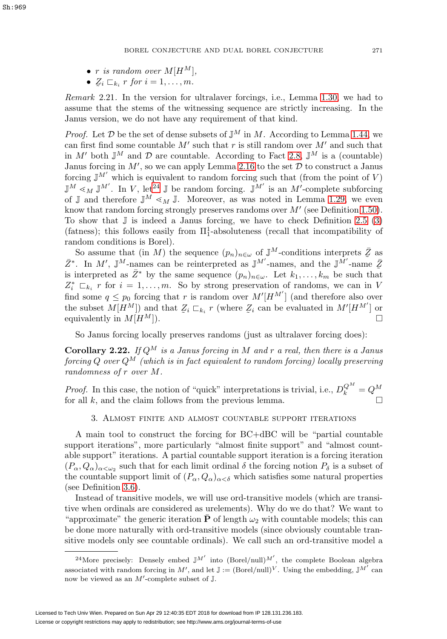- r is random over  $M[H^M],$
- $\mathcal{Z}_i \sqsubset_{k_i} r$  for  $i = 1, \ldots, m$ .

Remark 2.21. In the version for ultralaver forcings, i.e., Lemma [1.30,](#page-12-0) we had to assume that the stems of the witnessing sequence are strictly increasing. In the Janus version, we do not have any requirement of that kind.

*Proof.* Let  $D$  be the set of dense subsets of  $\mathbb{J}^M$  in M. According to Lemma [1.44,](#page-16-0) we can first find some countable  $M'$  such that r is still random over  $M'$  and such that in M' both  $\mathbb{J}^M$  and  $\mathcal D$  are countable. According to Fact [2.8,](#page-21-0)  $\mathbb{J}^M$  is a (countable) Janus forcing in  $M'$ , so we can apply Lemma [2.16](#page-23-0) to the set  $D$  to construct a Janus forcing  $\mathbb{J}^{M'}$  which is equivalent to random forcing such that (from the point of V)  $\mathbb{J}^M \leq_M \mathbb{J}^{M'}$ . In V, let<sup>[24](#page-26-1)</sup>  $\mathbb{J}$  be random forcing.  $\mathbb{J}^{M'}$  is an M'-complete subforcing of J and therefore  $\mathbb{J}^M \leq_M \mathbb{J}$ . Moreover, as was noted in Lemma [1.29,](#page-12-5) we even know that random forcing strongly preserves randoms over  $M'$  (see Definition [1.50\)](#page-18-3). To show that  $\mathbb J$  is indeed a Janus forcing, we have to check Definition [2.5](#page-20-2) [\(3\)](#page-20-3) (fatness); this follows easily from  $\Pi_1^1$ -absoluteness (recall that incompatibility of random conditions is Borel).

So assume that (in M) the sequence  $(p_n)_{n \in \omega}$  of  $\mathbb{J}^M$ -conditions interprets  $\bar{Z}$  as <br>In  $M'$ ,  $\mathbb{J}^M$  names can be reinterpreted as  $\mathbb{J}^{M'}$  names, and the  $\mathbb{J}^{M'}$  names.  $\bar{Z}^*$ . In M', J<sup>M</sup>-names can be reinterpreted as J<sup>M'</sup>-names, and the J<sup>M'</sup>-name  $\bar{Z}$ <br>is interpreted as  $\bar{Z}^*$  by the same sequence  $(n)$ , Let  $k$ , k be such that is interpreted as  $\bar{Z}^*$  by the same sequence  $(p_n)_{n\in\omega}$ . Let  $k_1,\ldots,k_m$  be such that  $Z_i^* \sqsubset_{k_i} r$  for  $i = 1, \ldots, m$ . So by strong preservation of randoms, we can in V find some  $q \leq p_0$  forcing that r is random over  $M'[H^{M'}]$  (and therefore also over the subset  $M[H^M]$  and that  $\mathcal{Z}_i \sqsubset_{k_i} r$  (where  $\mathcal{Z}_i$  can be evaluated in  $M'[H^{M'}]$  or<br>equivalently in  $M[H^M]$ equivalently in  $M[H^M]$ .

So Janus forcing locally preserves randoms (just as ultralaver forcing does):

<span id="page-26-2"></span>**Corollary 2.22.** If  $Q^M$  is a Janus forcing in M and r a real, then there is a Janus forcing Q over  $Q^M$  (which is in fact equivalent to random forcing) locally preserving randomness of r over M.

<span id="page-26-0"></span>*Proof.* In this case, the notion of "quick" interpretations is trivial, i.e.,  $D_k^{Q^M} = Q^M$ for all  $k$ , and the claim follows from the previous lemma.

## 3. Almost finite and almost countable support iterations

A main tool to construct the forcing for BC+dBC will be "partial countable support iterations", more particularly "almost finite support" and "almost countable support" iterations. A partial countable support iteration is a forcing iteration  $(P_\alpha, Q_\alpha)_{\alpha<\omega_2}$  such that for each limit ordinal  $\delta$  the forcing notion  $P_\delta$  is a subset of the countable support limit of  $(P_\alpha, Q_\alpha)_{\alpha < \delta}$  which satisfies some natural properties (see Definition [3.6\)](#page-31-0).

Instead of transitive models, we will use ord-transitive models (which are transitive when ordinals are considered as urelements). Why do we do that? We want to "approximate" the generic iteration  $\bar{P}$  of length  $\omega_2$  with countable models; this can be done more naturally with ord-transitive models (since obviously countable transitive models only see countable ordinals). We call such an ord-transitive model a

<span id="page-26-1"></span><sup>&</sup>lt;sup>24</sup>More precisely: Densely embed  $J^M'$  into  $(Borel/null)^{M'}$ , the complete Boolean algebra associated with random forcing in M', and let  $\mathbb{J}:=(\text{Borel/null})^V$ . Using the embedding,  $\mathbb{J}^{M'}$  can now be viewed as an  $M'$ -complete subset of  $\mathbb J$ .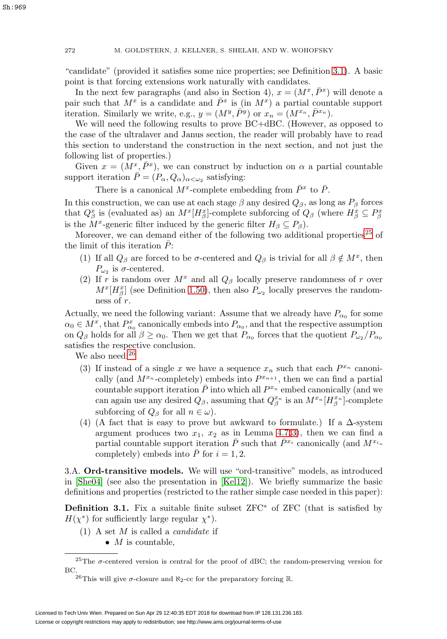"candidate" (provided it satisfies some nice properties; see Definition [3.1\)](#page-27-0). A basic point is that forcing extensions work naturally with candidates.

In the next few paragraphs (and also in Section 4),  $x = (M^x, \bar{P}^x)$  will denote a pair such that  $M^x$  is a candidate and  $\bar{P}^x$  is (in  $M^x$ ) a partial countable support iteration. Similarly we write, e.g.,  $y = (M^y, \bar{P}^y)$  or  $x_n = (M^{x_n}, \bar{P}^{x_n})$ .

We will need the following results to prove BC+dBC. (However, as opposed to the case of the ultralaver and Janus section, the reader will probably have to read this section to understand the construction in the next section, and not just the following list of properties.)

Given  $x = (M^x, \bar{P}^x)$ , we can construct by induction on  $\alpha$  a partial countable support iteration  $\bar{P} = (P_{\alpha}, Q_{\alpha})_{\alpha < \omega_2}$  satisfying:

There is a canonical  $M^x$ -complete embedding from  $\bar{P}^x$  to  $\bar{P}$ .

In this construction, we can use at each stage  $\beta$  any desired  $Q_{\beta}$ , as long as  $P_{\beta}$  forces that  $Q_{\beta}^x$  is (evaluated as) an  $M^x[H_{\beta}^x]$ -complete subforcing of  $Q_{\beta}$  (where  $H_{\beta}^x \subseteq P_{\beta}^x$ is the  $M^x$ -generic filter induced by the generic filter  $H_\beta \subseteq P_\beta$ ).

Moreover, we can demand either of the following two additional properties<sup>[25](#page-27-1)</sup> of the limit of this iteration  $P$ :

- (1) If all  $Q_\beta$  are forced to be  $\sigma$ -centered and  $Q_\beta$  is trivial for all  $\beta \notin M^x$ , then  $P_{\omega_2}$  is  $\sigma$ -centered.
- (2) If r is random over  $M^x$  and all  $Q_\beta$  locally preserve randomness of r over  $M^{x}[H_{\beta}^{x}]$  (see Definition [1.50\)](#page-18-3), then also  $P_{\omega_2}$  locally preserves the randomness of r.

Actually, we need the following variant: Assume that we already have  $P_{\alpha_0}$  for some  $\alpha_0 \in M^x$ , that  $P_{\alpha_0}^x$  canonically embeds into  $P_{\alpha_0}$ , and that the respective assumption on  $Q_\beta$  holds for all  $\beta \ge \alpha_0$ . Then we get that  $P_{\alpha_0}$  forces that the quotient  $P_{\omega_2}/P_{\alpha_0}$ satisfies the respective conclusion.

We also need:<sup>[26](#page-27-2)</sup>

- (3) If instead of a single x we have a sequence  $x_n$  such that each  $P^{x_n}$  canonically (and  $M^{x_n}$ -completely) embeds into  $P^{x_{n+1}}$ , then we can find a partial countable support iteration  $\overline{P}$  into which all  $P^{x_n}$  embed canonically (and we can again use any desired  $Q_{\beta}$ , assuming that  $Q_{\beta}^{x_n}$  is an  $M^{x_n}[H_{\beta}^{x_n}]$ -complete subforcing of  $Q_\beta$  for all  $n \in \omega$ ).
- (4) (A fact that is easy to prove but awkward to formulate.) If a  $\Delta$ -system argument produces two  $x_1, x_2$  as in Lemma 4.7[\(3\)](#page-45-0), then we can find a partial countable support iteration  $\bar{P}$  such that  $\bar{P}^{x_i}$  canonically (and  $M^{x_i}$ completely) embeds into  $\overline{P}$  for  $i = 1, 2$ .

3.A. **Ord-transitive models.** We will use "ord-transitive" models, as introduced in [\[She04\]](#page-62-3) (see also the presentation in [\[Kel12\]](#page-61-8)). We briefly summarize the basic definitions and properties (restricted to the rather simple case needed in this paper):

<span id="page-27-0"></span>**Definition 3.1.** Fix a suitable finite subset ZFC<sup>∗</sup> of ZFC (that is satisfied by  $H(\chi^*)$  for sufficiently large regular  $\chi^*$ ).

- (1) A set  $M$  is called a *candidate* if
	- $M$  is countable,

<sup>&</sup>lt;sup>25</sup>The  $\sigma$ -centered version is central for the proof of dBC; the random-preserving version for BC.

<span id="page-27-2"></span><span id="page-27-1"></span><sup>&</sup>lt;sup>26</sup>This will give  $\sigma$ -closure and  $\aleph_2$ -cc for the preparatory forcing R.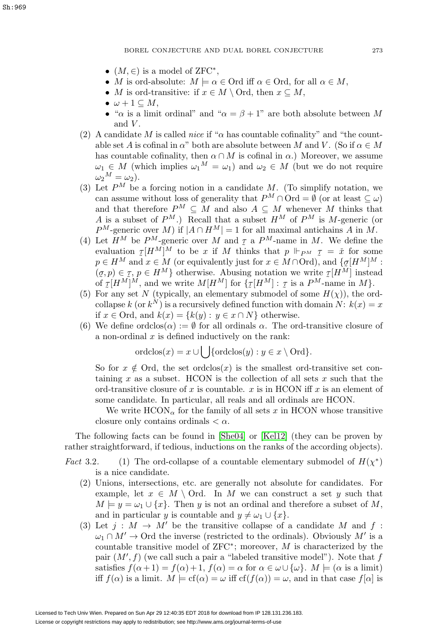- $(M, \in)$  is a model of ZFC<sup>\*</sup>,
- M is ord-absolute:  $M \models \alpha \in \text{Ord}$  iff  $\alpha \in \text{Ord}$ , for all  $\alpha \in M$ ,
- M is ord-transitive: if  $x \in M \setminus \text{Ord}$ , then  $x \subseteq M$ ,
- $\bullet \ \omega + 1 \subseteq M$ ,
- " $\alpha$  is a limit ordinal" and " $\alpha = \beta + 1$ " are both absolute between M and  $V$ .
- (2) A candidate M is called nice if " $\alpha$  has countable cofinality" and "the countable set A is cofinal in  $\alpha$ " both are absolute between M and V. (So if  $\alpha \in M$ has countable cofinality, then  $\alpha \cap M$  is cofinal in  $\alpha$ .) Moreover, we assume  $\omega_1 \in M$  (which implies  $\omega_1^M = \omega_1$ ) and  $\omega_2 \in M$  (but we do not require  $\omega_2{}^M = \omega_2$ ).
- (3) Let  $P^M$  be a forcing notion in a candidate M. (To simplify notation, we can assume without loss of generality that  $P^M \cap \text{Ord} = \emptyset$  (or at least  $\subset \omega$ ) and that therefore  $P^M \subseteq M$  and also  $A \subseteq M$  whenever M thinks that A is a subset of  $P^M$ .) Recall that a subset  $H^M$  of  $P^M$  is M-generic (or  $P^M$ -generic over M) if  $|A \cap H^M| = 1$  for all maximal antichains A in M.
- (4) Let  $H^M$  be  $P^M$ -generic over M and  $\tau$  a  $P^M$ -name in M. We define the evaluation  $\tau[H^M]^M$  to be x if M thinks that  $n \Vdash_{\mathcal{D}M} \tau = \tilde{\tau}$  for some evaluation  $\mathcal{I}[H^M]^M$  to be x if M thinks that  $p \Vdash_{PM} \mathcal{I} = \check{x}$  for some  $p \in H^M$  and  $x \in M$  (or equivalently just for  $x \in M \cap \text{Ord}$ ) and  $\mathcal{I} \sigma[H^M]^M$ .  $p \in H^M$  and  $x \in M$  (or equivalently just for  $x \in M \cap \text{Ord}$ ), and  $\{g[H^M]^M:$  $(g, p) \in \mathcal{I}, p \in H^M$  otherwise. Abusing notation we write  $\mathcal{I}[H^M]$  instead<br>of  $\tau[H^M]^M$  and we write  $M[H^M]$  for  $\mathcal{I}[\tau[H^M] \cdot \tau$  is a  $P^M$ -name in M of  $\tau[H^M]^M$ , and we write  $M[H^M]$  for  $\{\tau[H^M] : \tau \text{ is a } P^M\text{-name in } M\}$ .<br>For any set N (typically, an elementary submodel of some  $H(x)$ ), the or
- (5) For any set N (typically, an elementary submodel of some  $H(\chi)$ ), the ordcollapse k (or  $k^N$ ) is a recursively defined function with domain N:  $k(x) = x$ if  $x \in \text{Ord}$ , and  $k(x) = \{k(y) : y \in x \cap N\}$  otherwise.
- (6) We define ordclos $(\alpha) := \emptyset$  for all ordinals  $\alpha$ . The ord-transitive closure of a non-ordinal  $x$  is defined inductively on the rank:

$$
\text{ordclos}(x) = x \cup \bigcup \{\text{ordclos}(y) : y \in x \setminus \text{Ord}\}.
$$

So for  $x \notin$  Ord, the set ordclos(x) is the smallest ord-transitive set containing x as a subset. HCON is the collection of all sets x such that the ord-transitive closure of x is countable.  $x$  is in HCON iff  $x$  is an element of some candidate. In particular, all reals and all ordinals are HCON.

We write  $HCON_{\alpha}$  for the family of all sets x in HCON whose transitive closure only contains ordinals  $\langle \alpha \rangle$ .

The following facts can be found in [\[She04\]](#page-62-3) or [\[Kel12\]](#page-61-8) (they can be proven by rather straightforward, if tedious, inductions on the ranks of the according objects).

- Fact 3.2. (1) The ord-collapse of a countable elementary submodel of  $H(\chi^*)$ is a nice candidate.
	- (2) Unions, intersections, etc. are generally not absolute for candidates. For example, let  $x \in M \setminus \text{Ord.}$  In M we can construct a set y such that  $M \models y = \omega_1 \cup \{x\}.$  Then y is not an ordinal and therefore a subset of M, and in particular y is countable and  $y \neq \omega_1 \cup \{x\}.$
	- (3) Let  $j : M \to M'$  be the transitive collapse of a candidate M and f:  $\omega_1 \cap M' \to \text{Ord}$  the inverse (restricted to the ordinals). Obviously M' is a countable transitive model of  $ZFC^*$ ; moreover, M is characterized by the pair  $(M', f)$  (we call such a pair a "labeled transitive model"). Note that  $f$ satisfies  $f(\alpha + 1) = f(\alpha) + 1$ ,  $f(\alpha) = \alpha$  for  $\alpha \in \omega \cup {\omega}$ .  $M \models (\alpha \text{ is a limit})$ iff  $f(\alpha)$  is a limit.  $M \models cf(\alpha) = \omega$  iff  $cf(\alpha) = \omega$ , and in that case  $f[\alpha]$  is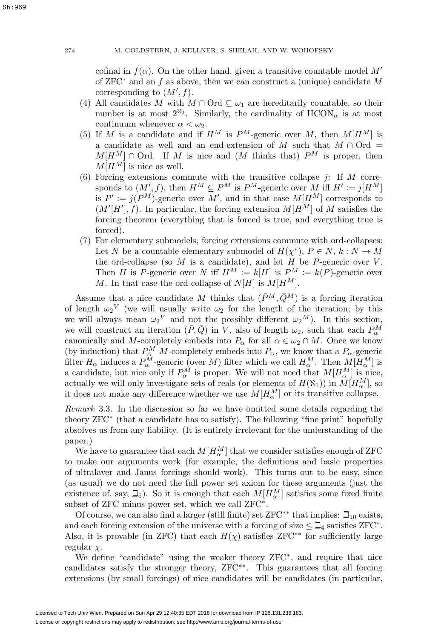Sh:969

cofinal in  $f(\alpha)$ . On the other hand, given a transitive countable model M' of  $ZFC^*$  and an f as above, then we can construct a (unique) candidate M corresponding to  $(M', f)$ .

- (4) All candidates M with  $M \cap \text{Ord} \subseteq \omega_1$  are hereditarily countable, so their number is at most  $2^{\aleph_0}$ . Similarly, the cardinality of  $HCON_{\alpha}$  is at most continuum whenever  $\alpha < \omega_2$ .
- (5) If M is a candidate and if  $H^M$  is  $P^M$ -generic over M, then  $M[H^M]$  is a candidate as well and an end-extension of M such that  $M \cap Ord =$  $M[H^M] \cap \text{Ord.}$  If M is nice and  $(M \text{ thinks that})$   $P^M$  is proper, then  $M[H^M]$  is nice as well.
- (6) Forcing extensions commute with the transitive collapse  $j$ : If  $M$  corresponds to  $(M', f)$ , then  $H^M \subseteq P^M$  is  $P^M$ -generic over M iff  $H' := j[H^M]$ is  $P' := j(P^M)$ -generic over M', and in that case  $M[H^M]$  corresponds to  $(M'[H'], f)$ . In particular, the forcing extension  $M[H^M]$  of M satisfies the forcing theorem (everything that is forced is true, and everything true is forced).
- (7) For elementary submodels, forcing extensions commute with ord-collapses: Let N be a countable elementary submodel of  $H(\chi^*), P \in N, k : N \to M$ the ord-collapse (so  $M$  is a candidate), and let  $H$  be  $P$ -generic over  $V$ . Then H is P-generic over N iff  $H^M := k[H]$  is  $P^M := k(P)$ -generic over M. In that case the ord-collapse of  $N[H]$  is  $M[H^M]$ .

Assume that a nice candidate M thinks that  $(\bar{P}^M, \bar{Q}^M)$  is a forcing iteration of length  $\omega_2^V$  (we will usually write  $\omega_2$  for the length of the iteration; by this we will always mean  $\omega_2^V$  and not the possibly different  $\omega_2^M$ ). In this section, we will construct an iteration  $(\bar{P}, \bar{Q})$  in V, also of length  $\omega_2$ , such that each  $P^M_\alpha$ canonically and M-completely embeds into  $P_{\alpha}$  for all  $\alpha \in \omega_2 \cap M$ . Once we know (by induction) that  $P^M_\alpha$  M-completely embeds into  $P_\alpha$ , we know that a  $P_\alpha$ -generic filter  $H_\alpha$  induces a  $P_\alpha^M$ -generic (over M) filter which we call  $H_\alpha^M$ . Then  $M[H_\alpha^M]$  is a candidate, but nice only if  $P^M_\alpha$  is proper. We will not need that  $M[H^M_\alpha]$  is nice, actually we will only investigate sets of reals (or elements of  $H(\aleph_1)$ ) in  $M[H_\alpha^M]$ , so it does not make any difference whether we use  $M[H^M_\alpha]$  or its transitive collapse.

<span id="page-29-0"></span>Remark 3.3. In the discussion so far we have omitted some details regarding the theory ZFC<sup>∗</sup> (that a candidate has to satisfy). The following "fine print" hopefully absolves us from any liability. (It is entirely irrelevant for the understanding of the paper.)

We have to guarantee that each  $M[H^M_\alpha]$  that we consider satisfies enough of ZFC to make our arguments work (for example, the definitions and basic properties of ultralaver and Janus forcings should work). This turns out to be easy, since (as usual) we do not need the full power set axiom for these arguments (just the existence of, say,  $\mathcal{L}_5$ ). So it is enough that each  $M[H_\alpha^M]$  satisfies some fixed finite subset of ZFC minus power set, which we call ZFC∗.

Of course, we can also find a larger (still finite) set  $ZFC^{**}$  that implies:  $\beth_{10}$  exists, and each forcing extension of the universe with a forcing of size  $\leq \mathbb{Z}_4$  satisfies ZFC<sup>\*</sup>. Also, it is provable (in ZFC) that each  $H(\chi)$  satisfies ZFC<sup>\*\*</sup> for sufficiently large regular  $\chi$ .

We define "candidate" using the weaker theory ZFC∗, and require that nice candidates satisfy the stronger theory, ZFC∗∗. This guarantees that all forcing extensions (by small forcings) of nice candidates will be candidates (in particular,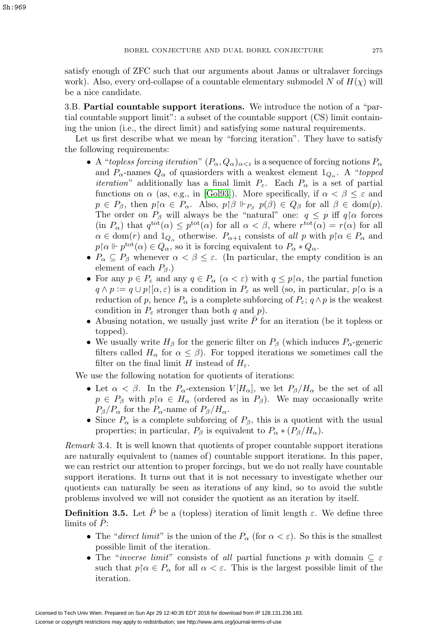satisfy enough of ZFC such that our arguments about Janus or ultralaver forcings work). Also, every ord-collapse of a countable elementary submodel N of  $H(\chi)$  will be a nice candidate.

3.B. **Partial countable support iterations.** We introduce the notion of a "partial countable support limit": a subset of the countable support (CS) limit containing the union (i.e., the direct limit) and satisfying some natural requirements.

Let us first describe what we mean by "forcing iteration". They have to satisfy the following requirements:

- A "topless forcing iteration"  $(P_\alpha, Q_\alpha)_{\alpha<\varepsilon}$  is a sequence of forcing notions  $P_\alpha$ and  $P_{\alpha}$ -names  $Q_{\alpha}$  of quasiorders with a weakest element  $1_{Q_{\alpha}}$ . A "topped" *iteration*" additionally has a final limit  $P_{\varepsilon}$ . Each  $P_{\alpha}$  is a set of partial functions on  $\alpha$  (as, e.g., in [\[Gol93\]](#page-61-6)). More specifically, if  $\alpha < \beta \leq \varepsilon$  and  $p \in P_\beta$ , then  $p \upharpoonright \alpha \in P_\alpha$ . Also,  $p \upharpoonright \beta \Vdash_{P_\beta} p(\beta) \in Q_\beta$  for all  $\beta \in \text{dom}(p)$ . The order on  $P_\beta$  will always be the "natural" one:  $q \leq p$  iff  $q \upharpoonright \alpha$  forces  $(\text{in } P_{\alpha})$  that  $q^{\text{tot}}(\alpha) \leq p^{\text{tot}}(\alpha)$  for all  $\alpha < \beta$ , where  $r^{\text{tot}}(\alpha) = r(\alpha)$  for all  $\alpha \in \text{dom}(r)$  and  $1_{Q_\alpha}$  otherwise.  $P_{\alpha+1}$  consists of all p with  $p \upharpoonright \alpha \in P_\alpha$  and  $p\upharpoonright \alpha \Vdash p^{\text{tot}}(\alpha) \in Q_\alpha$ , so it is forcing equivalent to  $P_\alpha * Q_\alpha$ .
- $P_{\alpha} \subseteq P_{\beta}$  whenever  $\alpha < \beta \leq \varepsilon$ . (In particular, the empty condition is an element of each  $P_\beta$ .)
- For any  $p \in P_{\varepsilon}$  and any  $q \in P_{\alpha}$   $(\alpha < \varepsilon)$  with  $q \leq p\upharpoonright \alpha$ , the partial function  $q \wedge p := q \cup p \upharpoonright [\alpha, \varepsilon]$  is a condition in  $P_{\varepsilon}$  as well (so, in particular,  $p \upharpoonright \alpha$  is a reduction of p, hence  $P_{\alpha}$  is a complete subforcing of  $P_{\varepsilon}$ ;  $q \wedge p$  is the weakest condition in  $P_{\varepsilon}$  stronger than both q and p).
- Abusing notation, we usually just write  $\bar{P}$  for an iteration (be it topless or topped).
- We usually write  $H_\beta$  for the generic filter on  $P_\beta$  (which induces  $P_\alpha$ -generic filters called  $H_{\alpha}$  for  $\alpha \leq \beta$ ). For topped iterations we sometimes call the filter on the final limit H instead of  $H_{\varepsilon}$ .

We use the following notation for quotients of iterations:

- Let  $\alpha < \beta$ . In the P<sub>α</sub>-extension  $V[H_{\alpha}]$ , we let  $P_{\beta}/H_{\alpha}$  be the set of all  $p \in P_\beta$  with  $p \upharpoonright \alpha \in H_\alpha$  (ordered as in  $P_\beta$ ). We may occasionally write  $P_{\beta}/P_{\alpha}$  for the  $P_{\alpha}$ -name of  $P_{\beta}/H_{\alpha}$ .
- Since  $P_{\alpha}$  is a complete subforcing of  $P_{\beta}$ , this is a quotient with the usual properties; in particular,  $P_\beta$  is equivalent to  $P_\alpha * (P_\beta/H_\alpha)$ .

Remark 3.4. It is well known that quotients of proper countable support iterations are naturally equivalent to (names of) countable support iterations. In this paper, we can restrict our attention to proper forcings, but we do not really have countable support iterations. It turns out that it is not necessary to investigate whether our quotients can naturally be seen as iterations of any kind, so to avoid the subtle problems involved we will not consider the quotient as an iteration by itself.

<span id="page-30-0"></span>**Definition 3.5.** Let  $\bar{P}$  be a (topless) iteration of limit length  $\varepsilon$ . We define three limits of  $\bar{P}$ :

- The "direct limit" is the union of the  $P_{\alpha}$  (for  $\alpha < \varepsilon$ ). So this is the smallest possible limit of the iteration.
- The "*inverse limit*" consists of all partial functions p with domain  $\subseteq \varepsilon$ such that  $p \upharpoonright \alpha \in P_\alpha$  for all  $\alpha < \varepsilon$ . This is the largest possible limit of the iteration.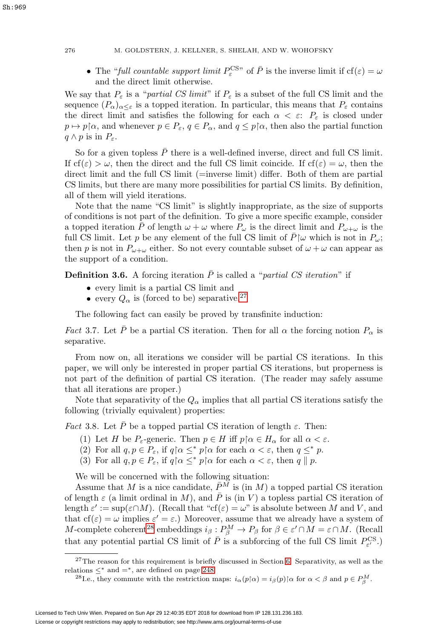• The "full countable support limit  $P_{\varepsilon}^{\text{CS}n}$  of  $\overline{P}$  is the inverse limit if  $cf(\varepsilon) = \omega$ and the direct limit otherwise.

We say that  $P_{\varepsilon}$  is a "partial CS limit" if  $P_{\varepsilon}$  is a subset of the full CS limit and the sequence  $(P_\alpha)_{\alpha<\varepsilon}$  is a topped iteration. In particular, this means that  $P_\varepsilon$  contains the direct limit and satisfies the following for each  $\alpha < \varepsilon$ :  $P_{\varepsilon}$  is closed under  $p \mapsto p \upharpoonright \alpha$ , and whenever  $p \in P_{\varepsilon}$ ,  $q \in P_{\alpha}$ , and  $q \leq p \upharpoonright \alpha$ , then also the partial function  $q \wedge p$  is in  $P_{\varepsilon}$ .

So for a given topless  $\overline{P}$  there is a well-defined inverse, direct and full CS limit. If  $cf(\varepsilon) > \omega$ , then the direct and the full CS limit coincide. If  $cf(\varepsilon) = \omega$ , then the direct limit and the full CS limit (=inverse limit) differ. Both of them are partial CS limits, but there are many more possibilities for partial CS limits. By definition, all of them will yield iterations.

Note that the name "CS limit" is slightly inappropriate, as the size of supports of conditions is not part of the definition. To give a more specific example, consider a topped iteration P of length  $\omega + \omega$  where  $P_{\omega}$  is the direct limit and  $P_{\omega+\omega}$  is the full CS limit. Let p be any element of the full CS limit of  $\bar{P}$ |ω which is not in  $P_{\omega}$ ; then p is not in  $P_{\omega+\omega}$  either. So not every countable subset of  $\omega+\omega$  can appear as the support of a condition.

<span id="page-31-0"></span>**Definition 3.6.** A forcing iteration  $\overline{P}$  is called a "partial CS iteration" if

- every limit is a partial CS limit and
- every  $Q_{\alpha}$  is (forced to be) separative.<sup>[27](#page-31-1)</sup>

The following fact can easily be proved by transfinite induction:

<span id="page-31-5"></span>*Fact* 3.7. Let  $\bar{P}$  be a partial CS iteration. Then for all  $\alpha$  the forcing notion  $P_{\alpha}$  is separative.

From now on, all iterations we consider will be partial CS iterations. In this paper, we will only be interested in proper partial CS iterations, but properness is not part of the definition of partial CS iteration. (The reader may safely assume that all iterations are proper.)

Note that separativity of the  $Q_{\alpha}$  implies that all partial CS iterations satisfy the following (trivially equivalent) properties:

<span id="page-31-3"></span>*Fact* 3.8. Let  $\overline{P}$  be a topped partial CS iteration of length  $\varepsilon$ . Then:

- (1) Let H be  $P_{\varepsilon}$ -generic. Then  $p \in H$  iff  $p \upharpoonright \alpha \in H_{\alpha}$  for all  $\alpha < \varepsilon$ .
- <span id="page-31-4"></span>(2) For all  $q, p \in P_{\varepsilon}$ , if  $q \nvert \alpha \leq^* p \nvert \alpha$  for each  $\alpha < \varepsilon$ , then  $q \leq^* p$ .
- (3) For all  $q, p \in P_{\varepsilon}$ , if  $q \upharpoonright \alpha \leq^* p \upharpoonright \alpha$  for each  $\alpha < \varepsilon$ , then  $q \parallel p$ .

We will be concerned with the following situation:

Assume that M is a nice candidate,  $\bar{P}^M$  is (in M) a topped partial CS iteration of length  $\varepsilon$  (a limit ordinal in M), and  $\overline{P}$  is (in V) a topless partial CS iteration of length  $\varepsilon' := \sup(\varepsilon \cap M)$ . (Recall that "cf( $\varepsilon$ ) =  $\omega$ " is absolute between M and V, and that  $cf(\varepsilon) = \omega$  implies  $\varepsilon' = \varepsilon$ .) Moreover, assume that we already have a system of M-complete coherent<sup>[28](#page-31-2)</sup> embeddings  $i_\beta: P_\beta^M \to P_\beta$  for  $\beta \in \varepsilon' \cap M = \varepsilon \cap M$ . (Recall that any potential partial CS limit of  $\overline{P}$  is a subforcing of the full CS limit  $P_{\varepsilon'}^{\text{CS}}$ .)

<span id="page-31-2"></span><span id="page-31-1"></span><sup>28</sup>I.e., they commute with the restriction maps:  $i_{\alpha}(p|\alpha) = i_{\beta}(p)$  [ $\alpha$  for  $\alpha < \beta$  and  $p \in P_{\beta}^{M}$ .

 $27$ The reason for this requirement is briefly discussed in Section [6.](#page-59-0) Separativity, as well as the relations  $\leq^*$  and  $=^*$ , are defined on page [248.](#page-3-1)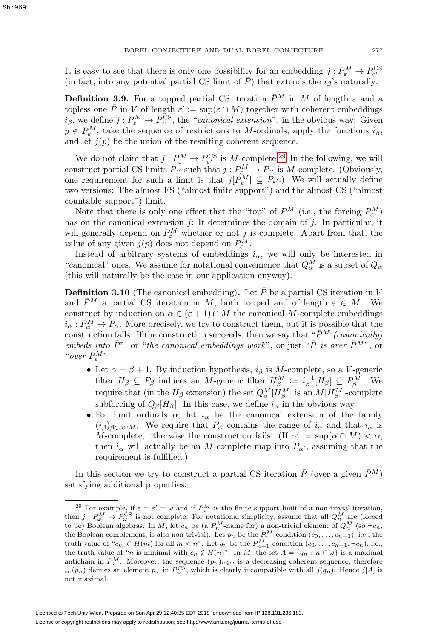It is easy to see that there is only one possibility for an embedding  $j : P_{\varepsilon}^M \to P_{\varepsilon'}^{\text{CS}}$ <br>(in fact, into any potential partial CS limit of  $\overline{P}$ ) that extends the  $i_{\beta}$ 's naturally:

<span id="page-32-1"></span>**Definition 3.9.** For a topped partial CS iteration  $\bar{P}^M$  in M of length  $\varepsilon$  and a topless one  $\overline{P}$  in V of length  $\varepsilon' := \sup(\varepsilon \cap M)$  together with coherent embeddings  $i_\beta$ , we define  $j: P^M_\varepsilon \to P^{\text{CS}}_{\varepsilon'}$ , the "canonical extension", in the obvious way: Given  $p \in P_{\varepsilon}^{M}$ , take the sequence of restrictions to M-ordinals, apply the functions  $i_{\beta}$ , and let  $j(p)$  be the union of the resulting coherent sequence.

We do not claim that  $j: P_{\varepsilon}^M \to P_{\varepsilon'}^{\text{CS}}$  is M-complete.<sup>[29](#page-32-0)</sup> In the following, we will construct partial CS limits  $P_{\varepsilon'}$  such that  $j: P_{\varepsilon}^M \to P_{\varepsilon'}$  is M-complete. (Obviously, one requirement for such a limit is that  $j[P_{\varepsilon}^M] \subseteq P_{\varepsilon'}$ . We will actually define two versions: The almost FS ("almost finite support") and the almost CS ("almost countable support") limit.

Note that there is only one effect that the "top" of  $\bar{P}^M$  (i.e., the forcing  $P^M_\varepsilon$ ) has on the canonical extension j: It determines the domain of j. In particular, it will generally depend on  $P_{\varepsilon}^M$  whether or not j is complete. Apart from that, the value of any given  $j(p)$  does not depend on  $P_{\varepsilon}^M$ .

Instead of arbitrary systems of embeddings  $i_{\alpha}$ , we will only be interested in "canonical" ones. We assume for notational convenience that  $Q^M_\alpha$  is a subset of  $Q_\alpha$ (this will naturally be the case in our application anyway).

<span id="page-32-2"></span>**Definition 3.10** (The canonical embedding). Let  $\overline{P}$  be a partial CS iteration in V and  $\bar{P}^M$  a partial CS iteration in M, both topped and of length  $\varepsilon \in M$ . We construct by induction on  $\alpha \in (\varepsilon + 1) \cap M$  the canonical M-complete embeddings  $i_{\alpha}: P_{\alpha}^M \to P_{\alpha}$ . More precisely, we try to construct them, but it is possible that the construction fails. If the construction succeeds, then we say that " $\bar{P}^M$  (canonically) embeds into  $\bar{P}$ ", or "the canonical embeddings work", or just " $\bar{P}$  is over  $\bar{P}^{M}$ ", or "over  $P_{\varepsilon}^{M}$ ".

- Let  $\alpha = \beta + 1$ . By induction hypothesis,  $i_{\beta}$  is M-complete, so a V-generic filter  $H_{\beta} \subseteq P_{\beta}$  induces an M-generic filter  $H_{\beta}^M := i_{\beta}^{-1}[H_{\beta}] \subseteq P_{\beta}^M$ . We require that (in the  $H_\beta$  extension) the set  $Q_\beta^M[H_\beta^M]$  is an  $M[H_\beta^M]$ -complete subforcing of  $Q_\beta[H_\beta]$ . In this case, we define  $i_\alpha$  in the obvious way.
- For limit ordinals  $\alpha$ , let  $i_{\alpha}$  be the canonical extension of the family  $(i_{\beta})_{\beta \in \alpha \cap M}$ . We require that  $P_{\alpha}$  contains the range of  $i_{\alpha}$  and that  $i_{\alpha}$  is M-complete; otherwise the construction fails. (If  $\alpha' := \sup(\alpha \cap M) < \alpha$ , then  $i_{\alpha}$  will actually be an M-complete map into  $P_{\alpha'}$ , assuming that the requirement is fulfilled.)

In this section we try to construct a partial CS iteration  $\bar{P}$  (over a given  $\bar{P}^M$ ) satisfying additional properties.

<span id="page-32-0"></span><sup>&</sup>lt;sup>29</sup> For example, if  $\varepsilon = \varepsilon' = \omega$  and if  $P_{\omega}^M$  is the finite support limit of a non-trivial iteration, then  $j: P_{\omega}^M \to P_{\omega}^{\text{CS}}$  is not complete: For notational simplicity, assume that all  $Q_n^M$  are (forced to be) Boolean algebras. In M, let  $c_n$  be (a  $P_n^M$ -name for) a non-trivial element of  $Q_n^M$  (so  $\neg c_n$ , the Boolean complement, is also non-trivial). Let  $p_n$  be the  $P_n^M$ -condition  $(c_0, \ldots, c_{n-1})$ , i.e., the truth value of " $c_m \in H(m)$  for all  $m < n$ ". Let  $q_n$  be the  $P_{n+1}^M$ -condition  $(c_0, \ldots, c_{n-1}, \neg c_n)$ , i.e., the truth value of "n is minimal with  $c_n \notin H(n)$ ". In M, the set  $A = \{q_n : n \in \omega\}$  is a maximal antichain in  $P_{\omega}^{M}$ . Moreover, the sequence  $(p_n)_{n\in\omega}$  is a decreasing coherent sequence, therefore  $i_n(p_n)$  defines an element  $p_\omega$  in  $P^{\text{CS}}_{\omega}$ , which is clearly incompatible with all  $j(q_n)$ . Hence  $j[A]$  is not maximal.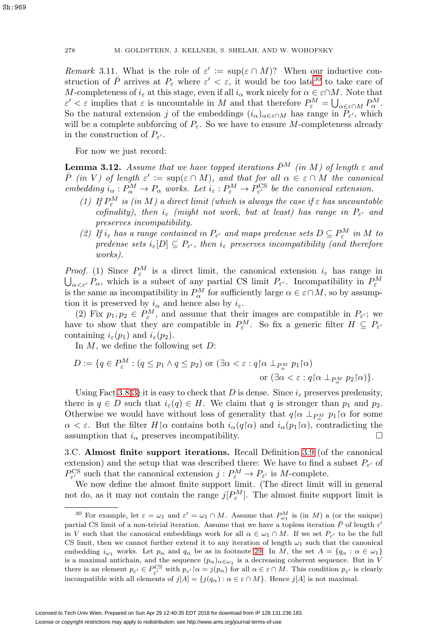Sh:969

Remark 3.11. What is the role of  $\varepsilon' := \sup(\varepsilon \cap M)$ ? When our inductive construction of  $\bar{P}$  arrives at  $P_{\varepsilon}$  where  $\varepsilon' < \varepsilon$ , it would be too late<sup>[30](#page-33-0)</sup> to take care of M-completeness of  $i_{\varepsilon}$  at this stage, even if all  $i_{\alpha}$  work nicely for  $\alpha \in \varepsilon \cap M$ . Note that  $\varepsilon' < \varepsilon$  implies that  $\varepsilon$  is uncountable in M and that therefore  $P_{\varepsilon}^M = \bigcup_{\alpha \in \varepsilon \cap M} P_{\alpha}^M$ . So the natural extension j of the embeddings  $(i_{\alpha})_{\alpha \in \epsilon \cap M}$  has range in  $P_{\epsilon'}$ , which will be a complete subforcing of  $P_{\varepsilon}$ . So we have to ensure M-completeness already in the construction of  $P_{\varepsilon}$ .

For now we just record:

<span id="page-33-1"></span>**Lemma 3.12.** Assume that we have topped iterations  $\bar{P}^M$  (in M) of length  $\varepsilon$  and  $\bar{P}$  (in V) of length  $\varepsilon' := \sup(\varepsilon \cap M)$ , and that for all  $\alpha \in \varepsilon \cap M$  the canonical embedding  $i_{\alpha}: P_{\alpha}^{M} \to P_{\alpha}$  works. Let  $i_{\varepsilon}: P_{\varepsilon}^{M} \to P_{\varepsilon'}^{\text{CS}}$  be the canonical extension.

- (1) If  $P_{\varepsilon}^M$  is (in M) a direct limit (which is always the case if  $\varepsilon$  has uncountable cofinality), then  $i_{\varepsilon}$  (might not work, but at least) has range in  $P_{\varepsilon}$  and preserves incompatibility.
- (2) If  $i_{\varepsilon}$  has a range contained in  $P_{\varepsilon'}$  and maps predense sets  $D \subseteq P_{\varepsilon}^M$  in M to predense sets  $i_{\varepsilon}[D] \subseteq P_{\varepsilon'}$ , then  $i_{\varepsilon}$  preserves incompatibility (and therefore works).

*Proof.* (1) Since  $P_{\varepsilon}^{M}$  is a direct limit, the canonical extension  $i_{\varepsilon}$  has range in  $\bigcup_{\alpha<\varepsilon'}P_\alpha$ , which is a subset of any partial CS limit  $P_{\varepsilon'}$ . Incompatibility in  $P_{\varepsilon}^M$ is the same as incompatibility in  $P_{\alpha}^M$  for sufficiently large  $\alpha \in \varepsilon \cap M$ , so by assumption it is preserved by  $i_{\alpha}$  and hence also by  $i_{\varepsilon}$ .

(2) Fix  $p_1, p_2 \in P^M$ , and assume that their images are compatible in  $P_{\varepsilon}$ ; we have to show that they are compatible in  $P_{\varepsilon}^M$ . So fix a generic filter  $H \subseteq P_{\varepsilon}$ containing  $i_{\varepsilon}(p_1)$  and  $i_{\varepsilon}(p_2)$ .

In  $M$ , we define the following set  $D$ :

$$
D := \{ q \in P_{\varepsilon}^M : (q \le p_1 \land q \le p_2) \text{ or } (\exists \alpha < \varepsilon : q \upharpoonright \alpha \perp_{P_{\alpha}^M} p_1 \upharpoonright \alpha) \}
$$
\n
$$
\text{ or } (\exists \alpha < \varepsilon : q \upharpoonright \alpha \perp_{P_{\alpha}^M} p_2 \upharpoonright \alpha) \}.
$$

Using Fact [3.8\(](#page-31-3)[3\)](#page-31-4) it is easy to check that D is dense. Since  $i_{\varepsilon}$  preserves predensity, there is  $q \in D$  such that  $i_{\varepsilon}(q) \in H$ . We claim that q is stronger than  $p_1$  and  $p_2$ . Otherwise we would have without loss of generality that  $q\upharpoonright \alpha \perp_{P^M_\alpha} p_1\upharpoonright \alpha$  for some  $\alpha < \varepsilon$ . But the filter  $H\alpha$  contains both  $i_{\alpha}(q\alpha)$  and  $i_{\alpha}(p_1\alpha)$ , contradicting the assumption that  $i_{\alpha}$  preserves incompatibility.

3.C. **Almost finite support iterations.** Recall Definition [3.9](#page-32-1) (of the canonical extension) and the setup that was described there: We have to find a subset  $P_{\varepsilon}$  of  $P_{\varepsilon'}^{\text{CS}}$  such that the canonical extension  $j: P_{\varepsilon}^M \to P_{\varepsilon'}$  is M-complete.

We now define the almost finite support limit. (The direct limit will in general not do, as it may not contain the range  $j[P_{\varepsilon}^M]$ . The almost finite support limit is

<span id="page-33-0"></span><sup>&</sup>lt;sup>30</sup> For example, let  $\varepsilon = \omega_1$  and  $\varepsilon' = \omega_1 \cap M$ . Assume that  $P_{\omega_1}^M$  is (in M) a (or the unique) partial CS limit of a non-trivial iteration. Assume that we have a topless iteration  $\bar{P}$  of length  $\varepsilon'$ in V such that the canonical embeddings work for all  $\alpha \in \omega_1 \cap M$ . If we set  $P_{\varepsilon'}$  to be the full CS limit, then we cannot further extend it to any iteration of length  $\omega_1$  such that the canonical embedding  $i_{\omega_1}$  works. Let  $p_\alpha$  and  $q_\alpha$  be as in footnote [29.](#page-32-0) In M, the set  $A = \{q_\alpha : \alpha \in \omega_1\}$ is a maximal antichain, and the sequence  $(p_{\alpha})_{\alpha \in \omega_1}$  is a decreasing coherent sequence. But in V there is an element  $p_{\varepsilon'} \in P_{\varepsilon'}^{\mathcal{CS}}$  with  $p_{\varepsilon'} \upharpoonright \alpha = j(p_\alpha)$  for all  $\alpha \in \varepsilon \cap M$ . This condition  $p_{\varepsilon'}$  is clearly incompatible with all elements of  $j[A] = \{j(q_\alpha): \alpha \in \varepsilon \cap M\}$ . Hence  $j[A]$  is not maximal.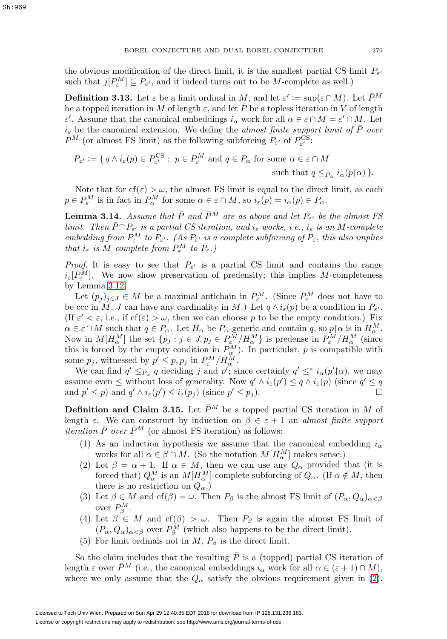the obvious modification of the direct limit, it is the smallest partial CS limit  $P_{\varepsilon}$ such that  $j[P_{\varepsilon}^M] \subseteq P_{\varepsilon'}$ , and it indeed turns out to be M-complete as well.)

<span id="page-34-2"></span>**Definition 3.13.** Let  $\varepsilon$  be a limit ordinal in M, and let  $\varepsilon' := \sup(\varepsilon \cap M)$ . Let  $\bar{P}^M$ be a topped iteration in M of length  $\varepsilon$ , and let  $\overline{P}$  be a topless iteration in V of length  $\varepsilon'$ . Assume that the canonical embeddings  $i_{\alpha}$  work for all  $\alpha \in \varepsilon \cap M = \varepsilon' \cap M$ . Let  $i_{\varepsilon}$  be the canonical extension. We define the *almost finite support limit of*  $\overline{P}$  over  $\bar{P}^M$  (or almost FS limit) as the following subforcing  $P_{\varepsilon'}$  of  $P_{\varepsilon'}^{\text{CS}}$ :

$$
P_{\varepsilon'} := \{ q \wedge i_{\varepsilon}(p) \in P_{\varepsilon'}^{\mathcal{CS}} : \ p \in P_{\varepsilon}^M \text{ and } q \in P_{\alpha} \text{ for some } \alpha \in \varepsilon \cap M
$$
  
such that  $q \leq_{P_{\alpha}} i_{\alpha}(p \upharpoonright \alpha) \}.$ 

Note that for  $cf(\varepsilon) > \omega$ , the almost FS limit is equal to the direct limit, as each  $p \in P_{\varepsilon}^M$  is in fact in  $P_{\alpha}^M$  for some  $\alpha \in \varepsilon \cap M$ , so  $i_{\varepsilon}(p) = i_{\alpha}(p) \in P_{\alpha}$ .

<span id="page-34-1"></span>**Lemma 3.14.** Assume that  $\bar{P}$  and  $\bar{P}^M$  are as above and let  $P_{\varepsilon}$  be the almost FS limit. Then  $\bar{P} \supset P_{\varepsilon}$  is a partial CS iteration, and  $i_{\varepsilon}$  works, i.e.,  $i_{\varepsilon}$  is an M-complete embedding from  $P_{\varepsilon}^M$  to  $P_{\varepsilon'}$ . (As  $P_{\varepsilon'}$  is a complete subforcing of  $P_{\varepsilon}$ , this also implies that  $i_{\varepsilon}$  is M-complete from  $P_{\varepsilon}^{M}$  to  $P_{\varepsilon}$ .)

*Proof.* It is easy to see that  $P_{\varepsilon}$  is a partial CS limit and contains the range  $i_{\varepsilon}[P_{\varepsilon}^{M}]$ . We now show preservation of predensity; this implies M-completeness by Lemma [3.12.](#page-33-1)

Let  $(p_j)_{j\in J} \in M$  be a maximal antichain in  $P^M_{\varepsilon}$ . (Since  $P^M_{\varepsilon}$  does not have to be ccc in M, J can have any cardinality in M.) Let  $q \wedge i_{\varepsilon}(p)$  be a condition in  $P_{\varepsilon'}$ . (If  $\varepsilon' < \varepsilon$ , i.e., if  $cf(\varepsilon) > \omega$ , then we can choose p to be the empty condition.) Fix  $\alpha \in \varepsilon \cap M$  such that  $q \in P_\alpha$ . Let  $H_\alpha$  be  $P_\alpha$ -generic and contain q, so  $p[\alpha]$  is in  $H_\alpha^M$ . Now in  $M[H^M_\alpha]$  the set  $\{p_j : j \in J, p_j \in P^M_\varepsilon / H^M_\alpha\}$  is predense in  $P^M_\varepsilon / H^M_\alpha$  (since this is forced by the empty condition in  $P_{\alpha}^{M}$ ). In particular, p is compatible with some  $p_j$ , witnessed by  $p' \leq p, p_j$  in  $P_{\varepsilon}^M / H_{\alpha}^M$ .

We can find  $q' \leq_{P_\alpha} q$  deciding j and p'; since certainly  $q' \leq^* i_\alpha(p' \upharpoonright \alpha)$ , we may assume even  $\leq$  without loss of generality. Now  $q' \wedge i_{\varepsilon}(p') \leq q \wedge i_{\varepsilon}(p)$  (since  $q' \leq q$ and  $p' \leq p$ ) and  $q' \wedge i_{\varepsilon}(p') \leq i_{\varepsilon}(p_j)$  (since  $p' \leq p_j$ ).

**Definition and Claim 3.15.** Let  $\bar{P}^M$  be a topped partial CS iteration in M of length  $\varepsilon$ . We can construct by induction on  $\beta \in \varepsilon + 1$  an almost finite support *iteration*  $\bar{P}$  *over*  $\bar{P}^M$  (or almost FS iteration) as follows:

- (1) As an induction hypothesis we assume that the canonical embedding  $i_{\alpha}$ works for all  $\alpha \in \beta \cap M$ . (So the notation  $M[H^M_\alpha]$  makes sense.)
- <span id="page-34-0"></span>(2) Let  $\beta = \alpha + 1$ . If  $\alpha \in M$ , then we can use any  $Q_{\alpha}$  provided that (it is forced that)  $Q_{\alpha}^M$  is an  $M[H_{\alpha}^M]$ -complete subforcing of  $Q_{\alpha}$ . (If  $\alpha \notin M$ , then there is no restriction on  $Q_{\alpha}$ .)
- (3) Let  $\beta \in M$  and  $cf(\beta) = \omega$ . Then  $P_{\beta}$  is the almost FS limit of  $(P_{\alpha}, Q_{\alpha})_{\alpha < \beta}$ over  $P_{\beta}^{M}$ .
- (4) Let  $\beta \in M$  and  $cf(\beta) > \omega$ . Then  $P_\beta$  is again the almost FS limit of  $(P_{\alpha}, Q_{\alpha})_{\alpha < \beta}$  over  $P_{\beta}^{M}$  (which also happens to be the direct limit).
- (5) For limit ordinals not in  $M$ ,  $P_{\beta}$  is the direct limit.

So the claim includes that the resulting  $\overline{P}$  is a (topped) partial CS iteration of length  $\varepsilon$  over  $\bar{P}^M$  (i.e., the canonical embeddings  $i_\alpha$  work for all  $\alpha \in (\varepsilon + 1) \cap M$ ), where we only assume that the  $Q_{\alpha}$  satisfy the obvious requirement given in [\(2\)](#page-34-0).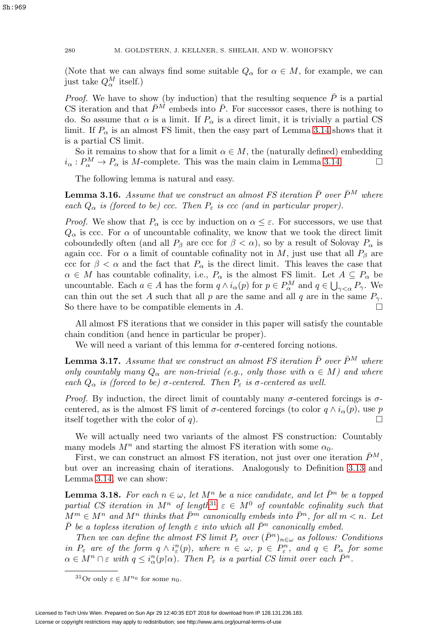### 280 M. GOLDSTERN, J. KELLNER, S. SHELAH, AND W. WOHOFSKY

(Note that we can always find some suitable  $Q_{\alpha}$  for  $\alpha \in M$ , for example, we can just take  $Q_\alpha^M$  itself.)

*Proof.* We have to show (by induction) that the resulting sequence  $\overline{P}$  is a partial CS iteration and that  $\bar{P}^M$  embeds into  $\bar{P}$ . For successor cases, there is nothing to do. So assume that  $\alpha$  is a limit. If  $P_{\alpha}$  is a direct limit, it is trivially a partial CS limit. If  $P_{\alpha}$  is an almost FS limit, then the easy part of Lemma [3.14](#page-34-1) shows that it is a partial CS limit.

So it remains to show that for a limit  $\alpha \in M$ , the (naturally defined) embedding  $i_{\alpha}: P_{\alpha}^{M} \to P_{\alpha}$  is M-complete. This was the main claim in Lemma [3.14.](#page-34-1)

The following lemma is natural and easy.

**Lemma 3.16.** Assume that we construct an almost FS iteration  $\bar{P}$  over  $\bar{P}^M$  where each  $Q_{\alpha}$  is (forced to be) ccc. Then  $P_{\varepsilon}$  is ccc (and in particular proper).

*Proof.* We show that  $P_{\alpha}$  is ccc by induction on  $\alpha \leq \varepsilon$ . For successors, we use that  $Q_{\alpha}$  is ccc. For  $\alpha$  of uncountable cofinality, we know that we took the direct limit coboundedly often (and all  $P_\beta$  are ccc for  $\beta < \alpha$ ), so by a result of Solovay  $P_\alpha$  is again ccc. For  $\alpha$  a limit of countable cofinality not in M, just use that all  $P_\beta$  are ccc for  $\beta < \alpha$  and the fact that  $P_{\alpha}$  is the direct limit. This leaves the case that  $\alpha \in M$  has countable cofinality, i.e.,  $P_{\alpha}$  is the almost FS limit. Let  $A \subseteq P_{\alpha}$  be uncountable. Each  $a \in A$  has the form  $q \wedge i_{\alpha}(p)$  for  $p \in P_{\alpha}^M$  and  $q \in \bigcup_{\gamma < \alpha} P_{\gamma}$ . We can thin out the set A such that all p are the same and all q are in the same  $P_{\gamma}$ . So there have to be compatible elements in A.

All almost FS iterations that we consider in this paper will satisfy the countable chain condition (and hence in particular be proper).

We will need a variant of this lemma for  $\sigma$ -centered forcing notions.

<span id="page-35-2"></span>**Lemma 3.17.** Assume that we construct an almost FS iteration  $\bar{P}$  over  $\bar{P}^M$  where only countably many  $Q_{\alpha}$  are non-trivial (e.g., only those with  $\alpha \in M$ ) and where each  $Q_{\alpha}$  is (forced to be)  $\sigma$ -centered. Then  $P_{\varepsilon}$  is  $\sigma$ -centered as well.

*Proof.* By induction, the direct limit of countably many  $\sigma$ -centered forcings is  $\sigma$ centered, as is the almost FS limit of  $\sigma$ -centered forcings (to color  $q \wedge i_{\alpha}(p)$ , use p itself together with the color of  $q$ ).

We will actually need two variants of the almost FS construction: Countably many models  $M^n$  and starting the almost FS iteration with some  $\alpha_0$ .

First, we can construct an almost FS iteration, not just over one iteration  $\bar{P}^M$ , but over an increasing chain of iterations. Analogously to Definition [3.13](#page-34-2) and Lemma [3.14,](#page-34-1) we can show:

<span id="page-35-1"></span>**Lemma 3.18.** For each  $n \in \omega$ , let  $M^n$  be a nice candidate, and let  $\overline{P}^n$  be a topped partial CS iteration in  $M^n$  of length<sup>[31](#page-35-0)</sup>  $\varepsilon \in M^0$  of countable cofinality such that  $M^m \in M^n$  and  $M^n$  thinks that  $\bar{P}^m$  canonically embeds into  $\bar{P}^n$ , for all  $m < n$ . Let  $\bar{P}$  be a topless iteration of length  $\varepsilon$  into which all  $\bar{P}^n$  canonically embed.

Then we can define the almost FS limit  $P_{\varepsilon}$  over  $(\bar{P}^n)_{n\in\omega}$  as follows: Conditions in  $P_{\varepsilon}$  are of the form  $q \wedge i_{\varepsilon}^n(p)$ , where  $n \in \omega$ ,  $p \in P_{\varepsilon}^n$ , and  $q \in P_{\alpha}$  for some  $\alpha \in M^n \cap \varepsilon$  with  $q \leq i_{\alpha}^n(p \mid \alpha)$ . Then  $P_{\varepsilon}$  is a partial CS limit over each  $\overline{P}^n$ .

<span id="page-35-0"></span><sup>&</sup>lt;sup>31</sup>Or only  $\varepsilon \in M^{n_0}$  for some  $n_0$ .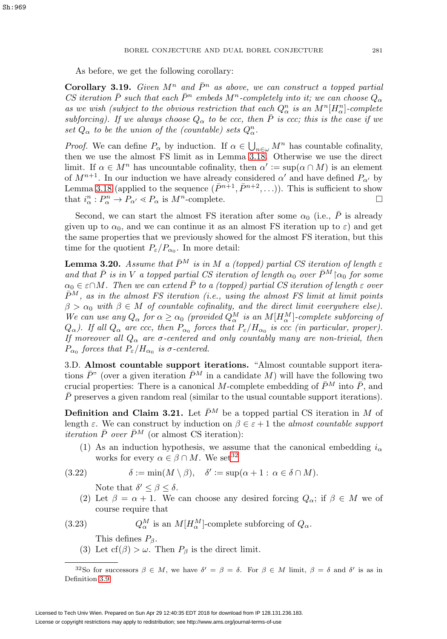As before, we get the following corollary:

<span id="page-36-4"></span>**Corollary 3.19.** Given  $M^n$  and  $\overline{P}^n$  as above, we can construct a topped partial CS iteration  $\bar{P}$  such that each  $\bar{P}^n$  embeds  $M^n$ -completely into it; we can choose  $Q_\alpha$ as we wish (subject to the obvious restriction that each  $Q_{\alpha}^{n}$  is an  $M^{n}[H_{\alpha}^{n}]$ -complete subforcing). If we always choose  $Q_{\alpha}$  to be ccc, then  $\overline{P}$  is ccc; this is the case if we set  $Q_{\alpha}$  to be the union of the (countable) sets  $Q_{\alpha}^{n}$ .

*Proof.* We can define  $P_{\alpha}$  by induction. If  $\alpha \in \bigcup_{n \in \omega} M^n$  has countable cofinality, then we use the almost FS limit as in Lemma [3.18.](#page-35-1) Otherwise we use the direct limit. If  $\alpha \in M^n$  has uncountable cofinality, then  $\alpha' := \sup(\alpha \cap M)$  is an element of  $M^{n+1}$ . In our induction we have already considered  $\alpha'$  and have defined  $P_{\alpha'}$  by Lemma [3.18](#page-35-1) (applied to the sequence  $(\bar{P}^{n+1}, \bar{P}^{n+2},...)$ ). This is sufficient to show that  $i_{\alpha}^n : P_{\alpha}^n \to P_{\alpha'} \ll P_{\alpha}$  is  $M^n$ -complete.

Second, we can start the almost FS iteration after some  $\alpha_0$  (i.e.,  $\overline{P}$  is already given up to  $\alpha_0$ , and we can continue it as an almost FS iteration up to  $\varepsilon$ ) and get the same properties that we previously showed for the almost FS iteration, but this time for the quotient  $P_{\varepsilon}/P_{\alpha_0}$ . In more detail:

**Lemma 3.20.** Assume that  $\bar{P}^M$  is in M a (topped) partial CS iteration of length  $\varepsilon$ and that  $\bar{P}$  is in V a topped partial CS iteration of length  $\alpha_0$  over  $\bar{P}^M$   $\alpha_0$  for some  $\alpha_0 \in \epsilon \cap M$ . Then we can extend  $\overline{P}$  to a (topped) partial CS iteration of length  $\epsilon$  over  $\bar{P}^M$ , as in the almost FS iteration (i.e., using the almost FS limit at limit points  $\beta > \alpha_0$  with  $\beta \in M$  of countable cofinality, and the direct limit everywhere else). We can use any  $Q_{\alpha}$  for  $\alpha \geq \alpha_0$  (provided  $Q_{\alpha}^M$  is an  $M[H_{\alpha}^M]$ -complete subforcing of  $Q_{\alpha}$ ). If all  $Q_{\alpha}$  are ccc, then  $P_{\alpha}$  forces that  $P_{\varepsilon}/H_{\alpha_0}$  is ccc (in particular, proper). If moreover all  $Q_{\alpha}$  are  $\sigma$ -centered and only countably many are non-trivial, then  $P_{\alpha_0}$  forces that  $P_{\varepsilon}/H_{\alpha_0}$  is  $\sigma$ -centered.

3.D. **Almost countable support iterations.** "Almost countable support iterations  $\bar{P}$ <sup>"</sup> (over a given iteration  $\bar{P}^M$  in a candidate M) will have the following two crucial properties: There is a canonical M-complete embedding of  $\bar{P}^M$  into  $\bar{P}$ , and  $P$  preserves a given random real (similar to the usual countable support iterations).

<span id="page-36-2"></span>**Definition and Claim 3.21.** Let  $\bar{P}^M$  be a topped partial CS iteration in M of length  $\varepsilon$ . We can construct by induction on  $\beta \in \varepsilon + 1$  the *almost countable support iteration*  $\bar{P}$  *over*  $\bar{P}^M$  (or almost CS iteration):

(1) As an induction hypothesis, we assume that the canonical embedding  $i_{\alpha}$ works for every  $\alpha \in \beta \cap M$ . We set<sup>[32](#page-36-0)</sup>

<span id="page-36-3"></span>(3.22) δ := min(M \ β), δ := sup(α +1: α ∈ δ ∩ M).

Note that  $\delta' \leq \beta \leq \delta$ .

(2) Let  $\beta = \alpha + 1$ . We can choose any desired forcing  $Q_{\alpha}$ ; if  $\beta \in M$  we of course require that

<span id="page-36-1"></span>(3.23) 
$$
Q_{\alpha}^{M}
$$
 is an  $M[H_{\alpha}^{M}]$ -complete subforcing of  $Q_{\alpha}$ .

This defines  $P_\beta$ .

(3) Let  $cf(\beta) > \omega$ . Then  $P_\beta$  is the direct limit.

<span id="page-36-0"></span><sup>&</sup>lt;sup>32</sup>So for successors  $\beta \in M$ , we have  $\delta' = \beta = \delta$ . For  $\beta \in M$  limit,  $\beta = \delta$  and  $\delta'$  is as in Definition [3.9.](#page-32-1)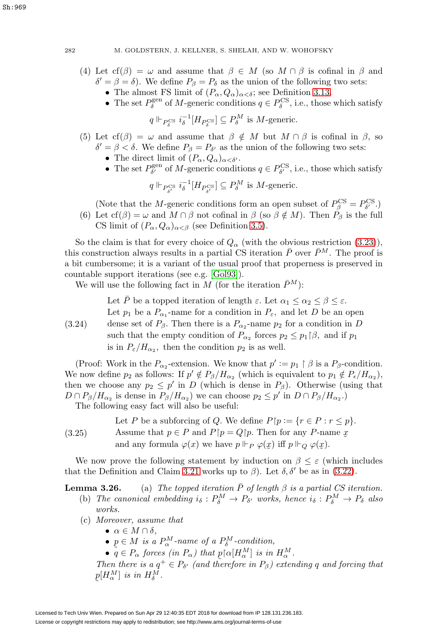- (4) Let  $cf(\beta) = \omega$  and assume that  $\beta \in M$  (so  $M \cap \beta$  is cofinal in  $\beta$  and  $\delta' = \beta = \delta$ . We define  $P_{\beta} = P_{\delta}$  as the union of the following two sets:
	- The almost FS limit of  $(P_\alpha, Q_\alpha)_{\alpha < \delta}$ ; see Definition [3.13.](#page-34-2)
	- The set  $P_{\delta}^{\text{gen}}$  of M-generic conditions  $q \in P_{\delta}^{\text{CS}}$ , i.e., those which satisfy

$$
q \Vdash_{P_{\delta}^{\text{CS}}} i_{\delta}^{-1}[H_{P_{\delta}^{\text{CS}}}] \subseteq P_{\delta}^M
$$
 is *M*-generic.

- (5) Let  $cf(\beta) = \omega$  and assume that  $\beta \notin M$  but  $M \cap \beta$  is cofinal in  $\beta$ , so  $\delta' = \beta < \delta$ . We define  $P_{\beta} = P_{\delta'}$  as the union of the following two sets:
	- The direct limit of  $(P_{\alpha}, Q_{\alpha})_{\alpha < \delta'}$ .
	- The set  $P_{\delta'}^{\text{gen}}$  of M-generic conditions  $q \in P_{\delta'}^{\text{CS}}$ , i.e., those which satisfy

$$
q \Vdash_{P_{\delta'}^{\text{CS}}} i_{\delta}^{-1}[H_{P_{\delta'}^{\text{CS}}}] \subseteq P_{\delta}^M
$$
 is *M*-generic.

(Note that the *M*-generic conditions form an open subset of  $P_{\beta}^{\text{CS}} = P_{\delta'}^{\text{CS}}$ .) (6) Let  $cf(\beta) = \omega$  and  $M \cap \beta$  not cofinal in  $\beta$  (so  $\beta \notin M$ ). Then  $P_{\beta}$  is the full CS limit of  $(P_{\alpha}, Q_{\alpha})_{\alpha < \beta}$  (see Definition [3.5\)](#page-30-0).

So the claim is that for every choice of  $Q_{\alpha}$  (with the obvious restriction [\(3.23\)](#page-36-1)), this construction always results in a partial CS iteration  $\bar{P}$  over  $\bar{P}^M$ . The proof is a bit cumbersome; it is a variant of the usual proof that properness is preserved in countable support iterations (see e.g. [\[Gol93\]](#page-61-6)).

We will use the following fact in M (for the iteration  $\bar{P}^M$ ):

<span id="page-37-0"></span>(3.24) Let  $\bar{P}$  be a topped iteration of length  $\varepsilon$ . Let  $\alpha_1 \leq \alpha_2 \leq \beta \leq \varepsilon$ . Let  $p_1$  be a  $P_{\alpha_1}$ -name for a condition in  $P_{\varepsilon}$ , and let D be an open dense set of  $P_\beta$ . Then there is a  $P_{\alpha_2}$ -name  $p_2$  for a condition in D such that the empty condition of  $P_{\alpha_2}$  forces  $p_2 \leq p_1 | \beta$ , and if  $p_1$ is in  $P_{\varepsilon}/H_{\alpha_2}$ , then the condition  $p_2$  is as well.

(Proof: Work in the  $P_{\alpha_2}$ -extension. We know that  $p' := p_1 \upharpoonright \beta$  is a  $P_{\beta}$ -condition. We now define  $p_2$  as follows: If  $p' \notin P_\beta/H_{\alpha_2}$  (which is equivalent to  $p_1 \notin P_\epsilon/H_{\alpha_2}$ ), then we choose any  $p_2 \leq p'$  in D (which is dense in  $P_\beta$ ). Otherwise (using that  $D \cap P_{\beta}/H_{\alpha_2}$  is dense in  $P_{\beta}/H_{\alpha_2}$ ) we can choose  $p_2 \le p'$  in  $D \cap P_{\beta}/H_{\alpha_2}$ . The following easy fact will also be useful:

<span id="page-37-1"></span>(3.25) Let P be a subforcing of Q. We define  $P[p := \{r \in P : r \leq p\}.$ Assume that  $p \in P$  and  $P[p = Q | p$ . Then for any P-name  $x$ and any formula  $\varphi(x)$  we have  $p \Vdash_P \varphi(x)$  iff  $p \Vdash_Q \varphi(x)$ .

We now prove the following statement by induction on  $\beta \leq \varepsilon$  (which includes that the Definition and Claim [3.21](#page-36-2) works up to  $\beta$ ). Let  $\delta, \delta'$  be as in [\(3.22\)](#page-36-3).

**Lemma 3.26.** (a) The topped iteration  $\overline{P}$  of length  $\beta$  is a partial CS iteration.

- (b) The canonical embedding  $i_{\delta}: P_{\delta}^M \to P_{\delta'}$  works, hence  $i_{\delta}: P_{\delta}^M \to P_{\delta}$  also works.
- (c) Moreover, assume that
	- $\alpha \in M \cap \delta$ .

˜

- $p \in M$  is a  $P^M_\alpha$ -name of a  $P^M_\delta$ -condition,
- $\tilde{q} \in P_{\alpha}$  forces (in  $P_{\alpha}$ ) that  $p[\alpha[H_{\alpha}^{M}]$  is in  $H_{\alpha}^{M}$ .<br>
Len there is a  $a^{+} \in P_{\alpha}$  (and therefore in  $P_{\alpha}$ ) exter

Then there is a  $q^+ \in P_{\delta'}$  (and therefore in  $P_{\beta}$ ) extending q and forcing that  $p[H^M_\alpha]$  is in  $H^M_\delta$ .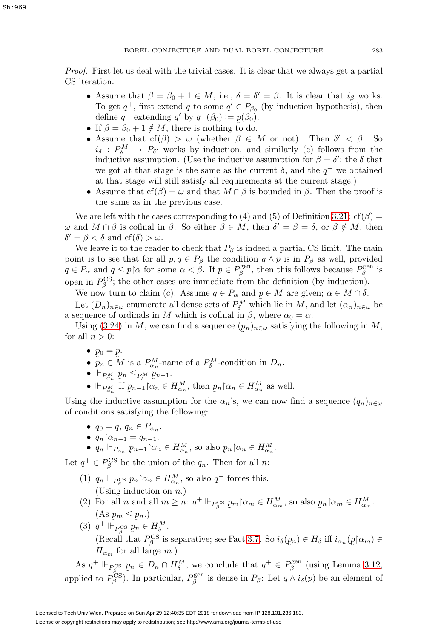Proof. First let us deal with the trivial cases. It is clear that we always get a partial CS iteration.

- Assume that  $\beta = \beta_0 + 1 \in M$ , i.e.,  $\delta = \delta' = \beta$ . It is clear that  $i_\beta$  works. To get  $q^+$ , first extend q to some  $q' \in P_{\beta_0}$  (by induction hypothesis), then define  $q^+$  extending  $q'$  by  $q^+(\beta_0) := p(\beta_0)$ .<br>If  $\beta = \beta_0 + 1 \notin M$ , there is nothing to do.
- If  $\beta = \beta_0 + 1 \notin M$ , there is nothing to do.
- Assume that  $cf(\beta) > \omega$  (whether  $\beta \in M$  or not). Then  $\delta' < \beta$ . So  $i_{\delta} : P_{\delta}^M \to P_{\delta'}$  works by induction, and similarly (c) follows from the inductive assumption. (Use the inductive assumption for  $\beta = \delta'$ ; the  $\delta$  that we got at that stage is the same as the current  $\delta$ , and the  $q^+$  we obtained at that stage will still satisfy all requirements at the current stage.)
- Assume that  $cf(\beta) = \omega$  and that  $M \cap \beta$  is bounded in  $\beta$ . Then the proof is the same as in the previous case.

We are left with the cases corresponding to (4) and (5) of Definition [3.21:](#page-36-2)  $cf(\beta)$  =  $ω$  and  $M ∩ β$  is cofinal in β. So either  $β ∈ M$ , then  $δ' = β = δ$ , or  $β ∉ M$ , then  $\delta' = \beta < \delta$  and cf( $\delta$ )  $> \omega$ .

We leave it to the reader to check that  $P_\beta$  is indeed a partial CS limit. The main point is to see that for all  $p, q \in P_\beta$  the condition  $q \wedge p$  is in  $P_\beta$  as well, provided  $q \in P_\alpha$  and  $q \leq p \upharpoonright \alpha$  for some  $\alpha < \beta$ . If  $p \in P_\beta^{\text{gen}}$ , then this follows because  $P_\beta^{\text{gen}}$  is open in  $P_\beta^{\text{CS}}$ ; the other cases are immediate from the definition (by induction).

We now turn to claim (c). Assume  $q \in P_{\alpha}$  and  $p \in M$  are given;  $\alpha \in M \cap \delta$ .<br>Let  $(D_{\alpha})_{\alpha}$  enumerate all dense sets of  $P_{\alpha}^{M}$  which lie in M, and let  $(\alpha_{\alpha})_{\alpha}$ .

Let  $(D_n)_{n \in \omega}$  enumerate all dense sets of  $P_\delta^M$  which lie in  $M$ , and let  $(\alpha_n)_{n \in \omega}$  be a sequence of ordinals in M which is cofinal in  $\beta$ , where  $\alpha_0 = \alpha$ .

Using [\(3.24\)](#page-37-0) in M, we can find a sequence  $(p_n)_{n\in\omega}$  satisfying the following in M, all  $n>0$ : for all  $n > 0$ :

- $p_0 = p$ .
- $p_0 = p$ .<br>•  $p_n \in M$  is a  $P_{\alpha_n}^M$ -name of a  $P_{\delta}^M$ -condition in  $D_n$ .
- $\widetilde{\mathbb{F}}_{P_{\alpha_n}} p_n \leq_{P_{\delta}^M} p_{n-1}.$
- $\Box_{\alpha_n}$  if  $p_{n-1} | \alpha_n \in H_{\alpha_n}^M$ , then  $p_n | \alpha_n \in H_{\alpha_n}^M$  as well.

Using the inductive assumption for the  $\alpha_n$ 's, we can now find a sequence  $(q_n)_{n\in\omega}$ of conditions satisfying the following:

- $q_0 = q, q_n \in P_{\alpha_n}$ .
- $q_n \upharpoonright \alpha_{n-1} = q_{n-1}.$
- $q_n \Vdash_{P_{\alpha_n}} p_{n-1} \upharpoonright \alpha_n \in H_{\alpha_n}^M$ , so also  $p_n \upharpoonright \alpha_n \in H_{\alpha_n}^M$ .

Let  $q^+ \in P_\beta^{\text{CS}}$  be the union of the  $q_n$ . Then for all n:

- (1)  $q_n \Vdash_{P_\beta^{CS}} p_n \upharpoonright \alpha_n \in H_{\alpha_n}^M$ , so also  $q^+$  forces this.  $\lim_{\beta} \frac{a_n}{\beta}$  is  $\lim_{n \to \infty} a_n$ .
- (2) For all *n* and all  $m \geq n$ :  $q^+ \Vdash_{P_S^{\text{CS}}}$  $\beta$   $\sim$  $p_m \nvert \alpha_m \in H_{\alpha_m}^M$ , so also  $p_n \nvert \alpha_m \in H_{\alpha_m}^M$ .
- $(As \underline{p}_m \leq \underline{p}_n)$ <br> $a^+ \Vdash_{PCS} n \in$ (3)  $q^+ \Vdash_{P^{\text{CS}}_{\beta}} p_n \in H^M_{\delta}.$ (Recall that  $P_\beta^{\text{CS}}$  is separative; see Fact [3.7.](#page-31-5) So  $i_\delta(p)$ <br>H<sub>e</sub> for all large m )  $p_n) \in H_\delta$  iff  $i_{\alpha_n}$  ( ˜  $p\upharpoonright\!\alpha_m)\in$  $H_{\alpha_m}$  for all large m.)

As  $q^+ \Vdash_{P_\beta^{CS}} p_n \in D_n \cap H_\delta^M$ , we conclude that  $q^+ \in P_\beta^{gen}$  (using Lemma [3.12,](#page-33-1) applied to  $P_\beta^{\text{gs}}$ ). In particular,  $P_\beta^{\text{gen}}$  is dense in  $P_\beta$ : Let  $q \wedge i_\delta(p)$  be an element of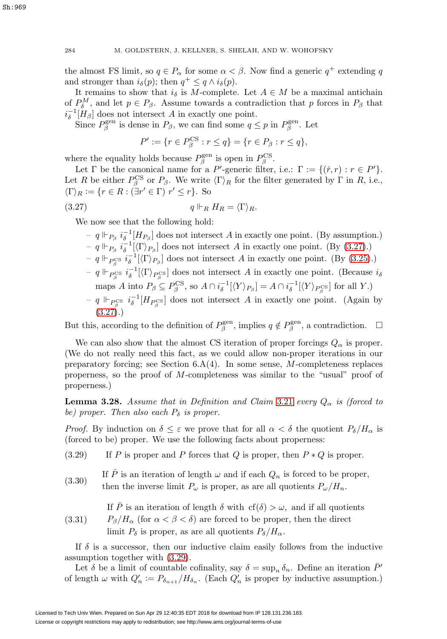the almost FS limit, so  $q \in P_\alpha$  for some  $\alpha < \beta$ . Now find a generic  $q^+$  extending q and stronger than  $i_{\delta}(p)$ ; then  $q^+ \leq q \wedge i_{\delta}(p)$ .

It remains to show that  $i_{\delta}$  is M-complete. Let  $A \in M$  be a maximal antichain of  $P_{\delta}^{M}$ , and let  $p \in P_{\beta}$ . Assume towards a contradiction that p forces in  $P_{\beta}$  that  $i_{\delta}^{-1}[H_{\beta}]$  does not intersect A in exactly one point.

Since  $P_{\beta}^{\text{gen}}$  is dense in  $P_{\beta}$ , we can find some  $q \leq p$  in  $P_{\beta}^{\text{gen}}$ . Let

$$
P' := \{ r \in P_{\beta}^{\text{CS}} : r \le q \} = \{ r \in P_{\beta} : r \le q \},\
$$

where the equality holds because  $P_\beta^{\text{gen}}$  is open in  $P_\beta^{\text{CS}}$ .

Let  $\Gamma$  be the canonical name for a P'-generic filter, i.e.:  $\Gamma := \{(\check{r}, r) : r \in P'\}.$ Let R be either  $P_{\beta}^{\text{CS}}$  or  $P_{\beta}$ . We write  $\langle \Gamma \rangle_R$  for the filter generated by  $\Gamma$  in R, i.e.,  $\langle \Gamma \rangle_R := \{r \in R : (\exists r' \in \Gamma) \ r' \leq r\}.$  So

<span id="page-39-0"></span>
$$
(3.27) \t\t q\Vdash_R H_R = \langle \Gamma \rangle_R.
$$

We now see that the following hold:

- $q \Vdash_{P_\beta} i_{\delta}^{-1}[H_{P_\beta}]$  does not intersect A in exactly one point. (By assumption.)  $− q \Vdash_{P_\beta} i_{\delta}^{-1} [\langle \Gamma \rangle_{P_\beta}]$  does not intersect A in exactly one point. (By [\(3.27\)](#page-39-0).) −  $q \Vdash_{P_{\beta}^{\text{CS}}} i_{\delta}^{-1}[\langle \Gamma \rangle_{P_{\beta}}]$  does not intersect A in exactly one point. (By [\(3.25\)](#page-37-1).)
- $− q \Vdash_{P_{\beta}^{\text{CS}}} i_{\delta}^{-1} [\langle \Gamma \rangle_{P_{\beta}^{\text{CS}}} ]$  does not intersect A in exactly one point. (Because  $i_{\delta}$ maps A into  $P_\beta \subseteq P_\beta^{\text{CS}},$  so  $A \cap i_{\delta}^{-1}[\langle Y \rangle_{P_\beta}] = A \cap i_{\delta}^{-1}[\langle Y \rangle_{P_\beta^{\text{CS}}} ]$  for all Y.)
- $− q \Vdash_{P_{\beta}^{\text{CS}}} i_{\delta}^{-1}[H_{P_{\beta}^{\text{CS}}}]$  does not intersect A in exactly one point. (Again by  $(3.27).$  $(3.27).$

But this, according to the definition of  $P_{\beta}^{\text{gen}}$ , implies  $q \notin P_{\beta}^{\text{gen}}$ , a contradiction.  $\Box$ 

We can also show that the almost CS iteration of proper forcings  $Q_{\alpha}$  is proper. (We do not really need this fact, as we could allow non-proper iterations in our preparatory forcing; see Section  $6.\dot{A}(4)$ . In some sense, M-completeness replaces properness, so the proof of M-completeness was similar to the "usual" proof of properness.)

**Lemma 3.28.** Assume that in Definition and Claim [3.21](#page-36-2) every  $Q_{\alpha}$  is (forced to be) proper. Then also each  $P_{\delta}$  is proper.

*Proof.* By induction on  $\delta \leq \varepsilon$  we prove that for all  $\alpha < \delta$  the quotient  $P_{\delta}/H_{\alpha}$  is (forced to be) proper. We use the following facts about properness:

<span id="page-39-1"></span>(3.29) If P is proper and P forces that Q is proper, then  $P * Q$  is proper.

<span id="page-39-2"></span>(3.30) If  $\overline{P}$  is an iteration of length  $\omega$  and if each  $Q_n$  is forced to be proper, then the inverse limit  $P_{\omega}$  is proper, as are all quotients  $P_{\omega}/H_n$ .

If  $\overline{P}$  is an iteration of length  $\delta$  with  $cf(\delta) > \omega$ , and if all quotients

<span id="page-39-3"></span>(3.31)  $P_{\beta}/H_{\alpha}$  (for  $\alpha < \beta < \delta$ ) are forced to be proper, then the direct limit  $P_\delta$  is proper, as are all quotients  $P_\delta/H_\alpha$ .

If  $\delta$  is a successor, then our inductive claim easily follows from the inductive assumption together with [\(3.29\)](#page-39-1).

Let  $\delta$  be a limit of countable cofinality, say  $\delta = \sup_n \delta_n$ . Define an iteration  $\bar{P}'$ of length  $\omega$  with  $Q'_n := P_{\delta_{n+1}}/H_{\delta_n}$ . (Each  $Q'_n$  is proper by inductive assumption.)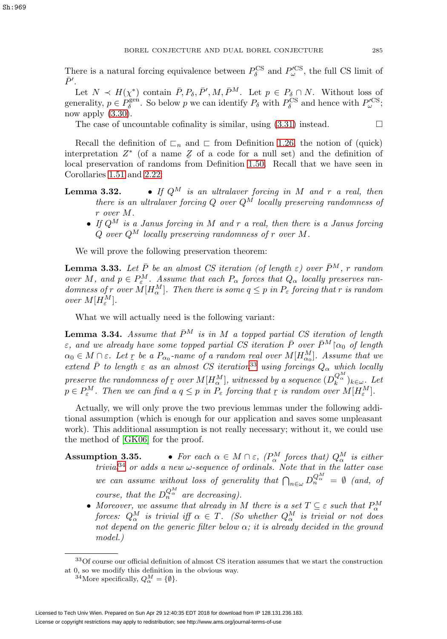There is a natural forcing equivalence between  $P_{\delta}^{\text{CS}}$  and  $P_{\omega}^{\prime\text{CS}}$ , the full CS limit of  $\bar{P}'$ .

Let  $N \prec H(\chi^*)$  contain  $\bar{P}, P_\delta, \bar{P}', M, \bar{P}^M$ . Let  $p \in P_\delta \cap N$ . Without loss of generality,  $p \in P_\delta^{\text{gen}}$ . So below p we can identify  $P_\delta$  with  $P_\delta^{\text{CS}}$  and hence with  $P_\omega^{\text{CS}}$ ; now apply  $(3.30)$ .

The case of uncountable cofinality is similar, using  $(3.31)$  instead.  $\Box$ 

Recall the definition of  $\Gamma_n$  and  $\Gamma$  from Definition [1.26,](#page-11-2) the notion of (quick) interpretation  $Z^*$  (of a name  $\bar{Z}$  of a code for a null set) and the definition of  $\bar{Z}^*$  (of a name  $\bar{Z}$  of a code for a null set) and the definition of  $\bar{Z}^*$ local preservation of randoms from Definition [1.50.](#page-18-3) Recall that we have seen in Corollaries [1.51](#page-18-2) and [2.22:](#page-26-2)

- **Lemma 3.32.** If  $Q^M$  is an ultralaver forcing in M and r a real, then there is an ultralaver forcing Q over  $Q^{\tilde{M}}$  locally preserving randomness of r over M.
	- If  $Q^M$  is a Janus forcing in M and r a real, then there is a Janus forcing  $Q$  over  $Q^M$  locally preserving randomness of r over M.

We will prove the following preservation theorem:

<span id="page-40-0"></span>**Lemma 3.33.** Let  $\bar{P}$  be an almost CS iteration (of length  $\varepsilon$ ) over  $\bar{P}^M$ , r random over M, and  $p \in P_{\varepsilon}^M$ . Assume that each  $P_{\alpha}$  forces that  $Q_{\alpha}$  locally preserves randomness of r over  $M[H^M_\alpha]$ . Then there is some  $q \leq p$  in  $P_\varepsilon$  forcing that r is random over  $M[H_{\varepsilon}^M]$ .

What we will actually need is the following variant:

<span id="page-40-3"></span>**Lemma 3.34.** Assume that  $\bar{P}^M$  is in M a topped partial CS iteration of length  $\varepsilon$ , and we already have some topped partial CS iteration  $\bar{P}$  over  $\bar{P}^M$   $\upharpoonright$   $\alpha_0$  of length  $\alpha_0 \in M \cap \varepsilon$ . Let  $\chi$  be a  $P_{\alpha_0}$ -name of a random real over  $M[H_{\alpha_0}^M]$ . Assume that we<br>cartered  $\bar{P}$  to length  $\epsilon$  as an almost  $CS$  iteration<sup>33</sup> using foresings  $Q$ , which legally extend  $\bar{P}$  to length  $\varepsilon$  as an almost CS iteration<sup>[33](#page-40-1)</sup> using forcings  $Q_{\alpha}$  which locally preserve the randomness of  $\gamma$  over  $M[H^M_\alpha]$ , witnessed by a sequence  $(D_k^{Q_M^{M}})_{k \in \omega}$ . Let  $n \in P^M$  Then we can find a  $a \leq n$  in  $P$  forcing that  $r$  is random over  $M[H^M]$  $p \in P_{\varepsilon}^M$ . Then we can find a  $q \leq p$  in  $P_{\varepsilon}$  forcing that  $\gamma$  is random over  $M[H_{\varepsilon}^M]$ .

Actually, we will only prove the two previous lemmas under the following additional assumption (which is enough for our application and saves some unpleasant work). This additional assumption is not really necessary; without it, we could use the method of [\[GK06\]](#page-61-7) for the proof.

- **Assumption 3.35.** For each  $\alpha \in M \cap \varepsilon$ ,  $(P^M_{\alpha}$  forces that)  $Q^M_{\alpha}$  is either trivial<sup>[34](#page-40-2)</sup> or adds a new  $\omega$ -sequence of ordinals. Note that in the latter case we can assume without loss of generality that  $\bigcap_{n\in\omega}D_n^{Q_n^M} = \emptyset$  (and, of course, that the  $D_n^{Q_M^M}$  are decreasing).
	- Moreover, we assume that already in M there is a set  $T \subseteq \varepsilon$  such that  $P^M_\alpha$  forces:  $Q^M_\alpha$  is trivial iff  $\alpha \in T$ . (So whether  $Q^M_\alpha$  is trivial or not does not depend on the generic filter below  $\alpha$ ; it is already decided in the ground model.)

<sup>33</sup>Of course our official definition of almost CS iteration assumes that we start the construction at 0, so we modify this definition in the obvious way.

<span id="page-40-2"></span><span id="page-40-1"></span><sup>&</sup>lt;sup>34</sup>More specifically,  $Q_{\alpha}^{M} = \{\emptyset\}.$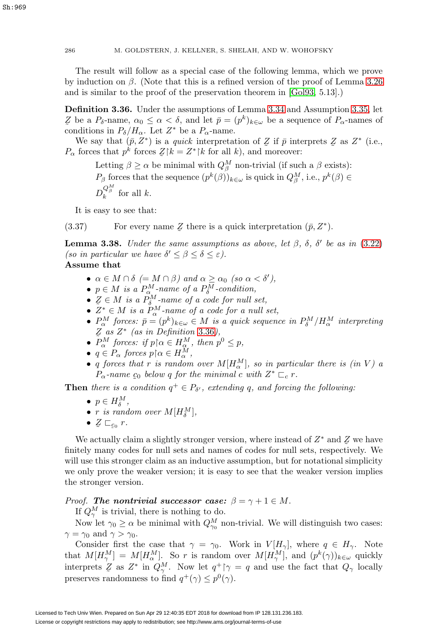286 M. GOLDSTERN, J. KELLNER, S. SHELAH, AND W. WOHOFSKY

The result will follow as a special case of the following lemma, which we prove by induction on  $\beta$ . (Note that this is a refined version of the proof of Lemma 3.26 and is similar to the proof of the preservation theorem in [\[Gol93,](#page-61-6) 5.13].)

<span id="page-41-0"></span>**Definition 3.36.** Under the assumptions of Lemma [3.34](#page-40-3) and Assumption 3.35, let conditions in  $P_{\delta}/H_{\alpha}$ . Let  $Z^*$  be a  $P_{\alpha}$ -name. Z be a  $P_{\delta}$ -name,  $\alpha_0 \leq \alpha < \delta$ , and let  $\bar{p} = (p^k)_{k \in \omega}$  be a sequence of  $P_{\alpha}$ -names of

We say that  $(\bar{p}, Z^*)$  is a quick interpretation of  $Z$  if  $\bar{p}$  interprets  $Z$  as  $Z^*$  (i.e., forces that  $n^k$  forces  $Z[k] - Z^* [k]$  for all  $k$ ) and moreover  $P_{\alpha}$  forces that  $p^k$  forces  $Z \upharpoonright k = Z^* \upharpoonright k$  for all k), and moreover:

Letting  $\beta \geq \alpha$  be minimal with  $Q_{\beta}^M$  non-trivial (if such a  $\beta$  exists):  $P_\beta$  forces that the sequence  $(p^k(\beta))_{k\in\omega}$  is quick in  $Q_\beta^M$ , i.e.,  $p^k(\beta) \in$  $D_k^{Q_\beta^M}$  for all k.

It is easy to see that:

<span id="page-41-1"></span>(3.37) For every name  $\mathcal{Z}$  there is a quick interpretation  $(\bar{p}, Z^*)$ .

**Lemma 3.38.** Under the same assumptions as above, let  $\beta$ ,  $\delta$ ,  $\delta'$  be as in [\(3.22\)](#page-36-3) (so in particular we have  $\delta' \leq \beta \leq \delta \leq \varepsilon$ ).

**Assume that**

- $\alpha \in M \cap \delta$  (=  $M \cap \beta$ ) and  $\alpha \ge \alpha_0$  (so  $\alpha < \delta'$ ),
- $p \in M$  is a  $P_{\alpha}^M$ -name of a  $P_{\delta}^M$ -condition,
- $Z \in M$  is a  $P_{\delta}^M$ -name of a code for null set,<br>•  $\tilde{Z}^* \in M$  is a  $P^M$  name of a code for a null
- $Z^* \in M$  is a  $P^M_{\alpha}$ -name of a code for a null set,
- $P^M_\alpha$  forces:  $\bar{p} = (p^k)_{k \in \omega} \in M$  is a quick sequence in  $P^M_\delta / H^M_\alpha$  interpreting  $Z$  as  $Z^*$  (as in Definition [3.36](#page-41-0)),
- $\overline{P}_{\alpha}^{M}$  forces: if  $p \upharpoonright \alpha \in H_{\alpha}^{M}$ , then  $p^{0} \leq p$ ,
- $q \in P_\alpha$  forces  $p \upharpoonright \alpha \in H_\alpha^M$ ,
- q forces that r is random over  $M[H^M_\alpha]$ , so in particular there is (in V) a  $P_{\alpha}$ -name  $c_0$  below q for the minimal c with  $Z^* \sqsubset_c r$ .

**Then** there is a condition  $q^+ \in P_{\delta'}$ , extending q, and forcing the following:

- $p \in H^M_\delta$ ,
- r is random over  $M[H_{\delta}^M]$ ,
- $Z \sqsubset_{\mathcal{L}_0} r$ .

We actually claim a slightly stronger version, where instead of  $Z^*$  and  $\overline{Z}$  we have  $\overline{Z}$  we have  $\overline{Z}$  we have  $\overline{Z}$  we have  $\overline{Z}$  we have  $\overline{Z}$  we have  $\overline{Z}$  we have  $\overline{Z}$  we have  $\overline{Z}$  we finitely many codes for null sets and names of codes for null sets, respectively. We will use this stronger claim as an inductive assumption, but for notational simplicity we only prove the weaker version; it is easy to see that the weaker version implies the stronger version.

*Proof.* The nontrivial successor case:  $\beta = \gamma + 1 \in M$ .

If  $Q_{\gamma}^M$  is trivial, there is nothing to do.

Now let  $\gamma_0 \ge \alpha$  be minimal with  $Q_{\gamma_0}^M$  non-trivial. We will distinguish two cases:  $\gamma = \gamma_0$  and  $\gamma > \gamma_0$ .

Consider first the case that  $\gamma = \gamma_0$ . Work in  $V[H_{\gamma}]$ , where  $q \in H_{\gamma}$ . Note that  $M[H^M_\gamma] = M[H^M_\alpha]$ . So r is random over  $M[H^M_\gamma]$ , and  $(p^k(\gamma))_{k \in \omega}$  quickly interprets  $\mathcal{Z}$  as  $Z^*$  in  $Q_{\gamma}^M$ . Now let  $q^+ \uparrow \gamma = q$  and use the fact that  $Q_{\gamma}$  locally preserves randomness to find  $q^+(\gamma) \leq p^0(\gamma)$ .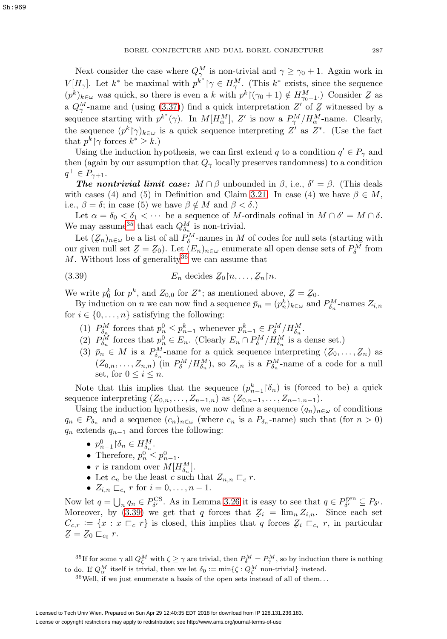Next consider the case where  $Q_{\gamma}^M$  is non-trivial and  $\gamma \geq \gamma_0 + 1$ . Again work in  $V[H_{\gamma}]$ . Let  $k^*$  be maximal with  $p^{k^*} \upharpoonright \gamma \in H_{\gamma}^M$ . (This  $k^*$  exists, since the sequence  $(p^k)_{k \in \omega}$  was quick, so there is even a k with  $p^k | (\gamma_0 + 1) \notin H_{\gamma_0+1}^M$ . Consider  $Z$  as a  $Q_{\gamma}^{M}$ -name and (using [\(3.37\)](#page-41-1)) find a quick interpretation Z' of Z witnessed by a<br>comparison testing with  $g^{*}(\alpha)$ . In  $M[IM]$ , Z' is now a  $DM/IM$  name. Clearly sequence starting with  $p^{k^*}(\gamma)$ . In  $M[H^M_\alpha]$ , Z' is now a  $P^M_\gamma/H^M_\alpha$ -name. Clearly, the sequence  $(p^k|\gamma)_{k\in\omega}$  is a quick sequence interpreting  $Z'$  as  $Z^*$ . (Use the fact that  $p^k \upharpoonright \gamma$  forces  $k^* \geq k$ .)

Using the induction hypothesis, we can first extend q to a condition  $q' \in P_\gamma$  and then (again by our assumption that  $Q_{\gamma}$  locally preserves randomness) to a condition  $q^+ \in P_{\gamma+1}.$ 

*The nontrivial limit case:*  $M \cap \beta$  unbounded in  $\beta$ , i.e.,  $\delta' = \beta$ . (This deals with cases (4) and (5) in Definition and Claim [3.21.](#page-36-2) In case (4) we have  $\beta \in M$ , i.e.,  $\beta = \delta$ ; in case (5) we have  $\beta \notin M$  and  $\beta < \delta$ .)

Let  $\alpha = \delta_0 < \delta_1 < \cdots$  be a sequence of M-ordinals cofinal in  $M \cap \delta' = M \cap \delta$ . We may assume<sup>[35](#page-42-0)</sup> that each  $Q_{\delta_n}^M$  is non-trivial.

Let  $(Z_n)_{n \in \omega}$  be a list of all  $P_{\delta}^M$ -names in M of codes for null sets (starting with r given null set  $Z - Z_0$ ) Let  $(E)$  - enumerate all open dense sets of  $P^M$  from our given null set  $Z = Z_0$ ). Let  $(E_n)_{n \in \omega}$  enumerate all open dense sets of  $P_\delta^M$  from  $M$  Without loss of generality<sup>36</sup> we can assume that M. Without loss of generality<sup>[36](#page-42-1)</sup> we can assume that

<span id="page-42-2"></span>(3.39) 
$$
E_n \text{ decides } \mathcal{Z}_0 \upharpoonright n, \ldots, \mathcal{Z}_n \upharpoonright n.
$$

We write  $p_0^k$  for  $p^k$ , and  $Z_{0,0}$  for  $Z^*$ ; as mentioned above,  $Z = Z_0$ .<br>By induction on *n* we can now find a sequence  $\bar{p} = (p_0^k)$ , and

By induction on *n* we can now find a sequence  $\bar{p}_n = (p_n^k)_{k \in \omega}$  and  $P_{\delta_n}^M$ -names  $Z_{i,n}$ for  $i \in \{0, \ldots, n\}$  satisfying the following:

- (1)  $P_{\delta_n}^M$  forces that  $p_n^0 \leq p_{n-1}^k$  whenever  $p_{n-1}^k \in P_{\delta}^M/H_{\delta_n}^M$ .
- (2)  $P_{\delta_n}^M$  forces that  $p_n^0 \in E_n$ . (Clearly  $E_n \cap P_{\delta}^M / H_{\delta_n}^M$  is a dense set.)
- (3)  $\bar{p}_n \in M$  is a  $P_{\delta_n}^M$ -name for a quick sequence interpreting  $(\mathcal{Z}_0, \ldots, \mathcal{Z}_n)$  as  $(Z_{0,n},\ldots,Z_{n,n})$  (in  $P_{\delta}^M/H_{\delta_n}^M$ ), so  $Z_{i,n}$  is a  $P_{\delta_n}^M$ -name of a code for a null set, for  $0 \leq i \leq n$ .

Note that this implies that the sequence  $(p_{n-1}^k | \delta_n)$  is (forced to be) a quick sequence interpreting  $(Z_{0,n},...,Z_{n-1,n})$  as  $(Z_{0,n-1},...,Z_{n-1,n-1})$ .

Using the induction hypothesis, we now define a sequence  $(q_n)_{n\in\omega}$  of conditions  $q_n \in P_{\delta_n}$  and a sequence  $(c_n)_{n \in \omega}$  (where  $c_n$  is a  $P_{\delta_n}$ -name) such that (for  $n > 0$ )  $q_n$  extends  $q_{n-1}$  and forces the following:

- $p_{n-1}^0 \restriction \delta_n \in H_{\delta_n}^M$ .
- Therefore,  $p_n^0 \leq p_{n-1}^0$ .
- *r* is random over  $M[H^M_{\delta_n}].$
- Let  $c_n$  be the least c such that  $Z_{n,n}\sqsubset_{c} r$ .
- $Z_{i,n} \sqsubset_{c_i} r$  for  $i = 0, \ldots, n-1$ .

Now let  $q = \bigcup_n q_n \in P_{\delta'}^{\text{CS}}$ . As in Lemma 3.26 it is easy to see that  $q \in P_{\delta'}^{\text{gen}} \subseteq P_{\delta'}$ . Moreover, by [\(3.39\)](#page-42-2) we get that q forces that  $Z_i = \lim_{n} Z_{i,n}$ . Since each set  $C \leftarrow f x \cdot x \sqsubset x$  is closed this implies that q forces  $Z \sqsubset x$  in particular  $C_{c,r} := \{x : x \sqsubset_c r\}$  is closed, this implies that q forces  $\mathcal{Z}_i \sqsubset_{c_i} r$ , in particular  $Z - Z_0 \sqsubset r$  $Z = Z_0 \sqsubset_{c_0} r$ .

 $^{35}$ If for some  $\gamma$  all  $Q_{\zeta}^M$  with  $\zeta \ge \gamma$  are trivial, then  $P_{\delta}^M = P_{\gamma}^M$ , so by induction there is nothing to do. If  $Q_\alpha^M$  itself is trivial, then we let  $\delta_0 := \min\{\zeta: Q_\zeta^M \text{ non-trivial}\}\$ instead.

<span id="page-42-1"></span><span id="page-42-0"></span> $36$  Well, if we just enumerate a basis of the open sets instead of all of them...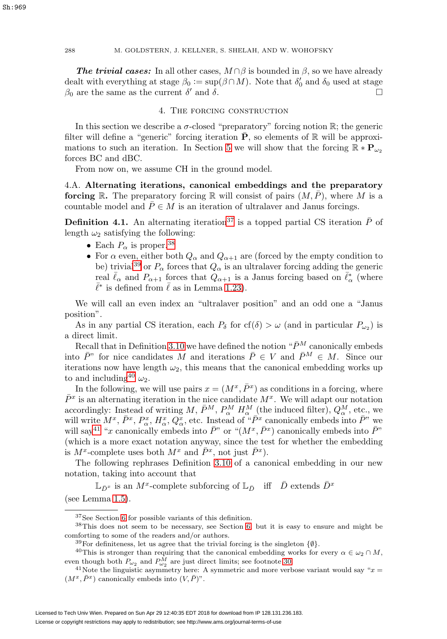**The trivial cases:** In all other cases,  $M \cap \beta$  is bounded in  $\beta$ , so we have already dealt with everything at stage  $\beta_0 := \sup(\beta \cap M)$ . Note that  $\delta'_0$  and  $\delta_0$  used at stage  $β_0$  are the same as the current δ' and δ.

## 4. The forcing construction

<span id="page-43-0"></span>In this section we describe a  $\sigma$ -closed "preparatory" forcing notion R; the generic filter will define a "generic" forcing iteration  $\overline{P}$ , so elements of R will be approxi-mations to such an iteration. In Section [5](#page-54-0) we will show that the forcing  $\mathbb{R} * \mathbf{P}_{\omega_2}$ forces BC and dBC.

From now on, we assume CH in the ground model.

4.A. **Alternating iterations, canonical embeddings and the preparatory forcing** R. The preparatory forcing R will consist of pairs  $(M, \overline{P})$ , where M is a countable model and  $\bar{P} \in M$  is an iteration of ultralaver and Janus forcings.

<span id="page-43-6"></span>**Definition 4.1.** An alternating iteration<sup>[37](#page-43-1)</sup> is a topped partial CS iteration  $\bar{P}$  of length  $\omega_2$  satisfying the following:

- Each  $P_{\alpha}$  is proper.<sup>[38](#page-43-2)</sup>
- For  $\alpha$  even, either both  $Q_{\alpha}$  and  $Q_{\alpha+1}$  are (forced by the empty condition to be) trivial<sup>[39](#page-43-3)</sup> or  $P_{\alpha}$  forces that  $Q_{\alpha}$  is an ultralaver forcing adding the generic real  $\bar{\ell}_{\alpha}$  and  $P_{\alpha+1}$  forces that  $Q_{\alpha+1}$  is a Janus forcing based on  $\bar{\ell}_{\alpha}^{*}$  (where  $\bar{\ell}^{*}$  is defined from  $\bar{\ell}$  as in Lemma [1.23\)](#page-10-1).

We will call an even index an "ultralaver position" and an odd one a "Janus position".

As in any partial CS iteration, each  $P_\delta$  for  $cf(\delta) > \omega$  (and in particular  $P_{\omega_2}$ ) is a direct limit.

Recall that in Definition [3.10](#page-32-2) we have defined the notion " $\bar{P}^M$  canonically embeds" into  $\bar{P}^"$  for nice candidates M and iterations  $\bar{P} \in V$  and  $\bar{P}^M \in M$ . Since our iterations now have length  $\omega_2$ , this means that the canonical embedding works up to and including<sup>[40](#page-43-4)</sup>  $\omega_2$ .

In the following, we will use pairs  $x = (M^x, \bar{P}^x)$  as conditions in a forcing, where  $\bar{P}^x$  is an alternating iteration in the nice candidate  $M^x$ . We will adapt our notation accordingly: Instead of writing  $M$ ,  $\bar{P}^M$ ,  $P^M_\alpha$   $H^M_\alpha$ <sub>(the induced filter),  $Q^M_\alpha$ , etc., we</sub> will write  $M^x$ ,  $\bar{P}^x$ ,  $P^x_\alpha$ ,  $H^x_\alpha$ ,  $Q^x_\alpha$ , etc. Instead of " $\bar{P}^x$  canonically embeds into  $\bar{P}^x$ " we will say<sup>[41](#page-43-5)</sup> "x canonically embeds into  $\bar{P}$ " or " $(M^x, \bar{P}^x)$  canonically embeds into  $\bar{P}$ " (which is a more exact notation anyway, since the test for whether the embedding is  $M^x$ -complete uses both  $M^x$  and  $\bar{P}^x$ , not just  $\bar{P}^x$ ).

The following rephrases Definition [3.10](#page-32-2) of a canonical embedding in our new notation, taking into account that

 $\mathbb{L}_{\bar{D}^x}$  is an  $M^x$ -complete subforcing of  $\mathbb{L}_{\bar{D}}$  iff  $\bar{D}$  extends  $\bar{D}^x$ (see Lemma [1.5\)](#page-6-2).

<span id="page-43-1"></span><sup>37</sup>See Section [6](#page-59-0) for possible variants of this definition.

<sup>38</sup>This does not seem to be necessary, see Section [6,](#page-59-0) but it is easy to ensure and might be comforting to some of the readers and/or authors.

<span id="page-43-4"></span><span id="page-43-3"></span><span id="page-43-2"></span><sup>&</sup>lt;sup>39</sup>For definiteness, let us agree that the trivial forcing is the singleton  $\{\emptyset\}$ .

<sup>&</sup>lt;sup>40</sup>This is stronger than requiring that the canonical embedding works for every  $\alpha \in \omega_2 \cap M$ , even though both  $P_{\omega_2}$  and  $P_{\omega_2}^M$  are just direct limits; see footnote 30.

<span id="page-43-5"></span><sup>&</sup>lt;sup>41</sup>Note the linguistic asymmetry here: A symmetric and more verbose variant would say " $x =$  $(M^x, \bar{P}^x)$  canonically embeds into  $(V, \bar{P})$ ".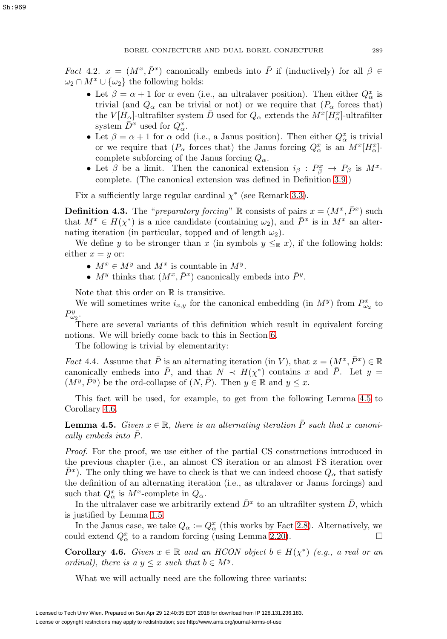Fact 4.2.  $x = (M^x, \overline{P}^x)$  canonically embeds into  $\overline{P}$  if (inductively) for all  $\beta \in$  $\omega_2 \cap M^x \cup {\omega_2}$  the following holds:

- Let  $\beta = \alpha + 1$  for  $\alpha$  even (i.e., an ultralaver position). Then either  $Q^x_{\alpha}$  is trivial (and  $Q_{\alpha}$  can be trivial or not) or we require that  $(P_{\alpha}$  forces that) the  $V[\hat{H}_{\alpha}]$ -ultrafilter system  $\bar{D}$  used for  $Q_{\alpha}$  extends the  $M^{x}[H^{x}_{\alpha}]$ -ultrafilter system  $\overline{D}^x$  used for  $Q^x_\alpha$ .
- Let  $\beta = \alpha + 1$  for  $\alpha$  odd (i.e., a Janus position). Then either  $Q^x_{\alpha}$  is trivial or we require that  $(P_\alpha$  forces that) the Janus forcing  $Q_\alpha^x$  is an  $M^x[H_\alpha^x]$ complete subforcing of the Janus forcing  $Q_{\alpha}$ .
- Let  $\beta$  be a limit. Then the canonical extension  $i_{\beta}: P_{\beta}^x \to P_{\beta}$  is  $M^x$ complete. (The canonical extension was defined in Definition [3.9.](#page-32-1))

Fix a sufficiently large regular cardinal  $\chi^*$  (see Remark [3.3\)](#page-29-0).

<span id="page-44-3"></span>**Definition 4.3.** The "*preparatory forcing*" R consists of pairs  $x = (M^x, \bar{P}^x)$  such that  $M^x \in H(\chi^*)$  is a nice candidate (containing  $\omega_2$ ), and  $\tilde{P}^x$  is in  $M^x$  an alternating iteration (in particular, topped and of length  $\omega_2$ ).

We define y to be stronger than x (in symbols  $y \leq_R x$ ), if the following holds: either  $x = y$  or:

- $M^x \in M^y$  and  $M^x$  is countable in  $M^y$ .
- $M^y$  thinks that  $(M^x, \bar{P}^x)$  canonically embeds into  $\bar{P}^y$ .

Note that this order on  $\mathbb R$  is transitive.

We will sometimes write  $i_{x,y}$  for the canonical embedding (in  $M<sup>y</sup>$ ) from  $P_{\omega_2}^x$  to  $P_{\omega_2}^y$ .

There are several variants of this definition which result in equivalent forcing notions. We will briefly come back to this in Section [6.](#page-59-0)

The following is trivial by elementarity:

<span id="page-44-2"></span>Fact 4.4. Assume that  $\bar{P}$  is an alternating iteration (in V), that  $x = (M^x, \bar{P}^x) \in \mathbb{R}$ canonically embeds into  $\bar{P}$ , and that  $N \prec H(\chi^*)$  contains x and  $\bar{P}$ . Let  $y =$  $(M^y, \bar{P}^y)$  be the ord-collapse of  $(N, \bar{P})$ . Then  $y \in \mathbb{R}$  and  $y \leq x$ .

This fact will be used, for example, to get from the following Lemma [4.5](#page-44-0) to Corollary [4.6.](#page-44-1)

<span id="page-44-0"></span>**Lemma 4.5.** Given  $x \in \mathbb{R}$ , there is an alternating iteration  $\overline{P}$  such that x canonically embeds into  $P$ .

Proof. For the proof, we use either of the partial CS constructions introduced in the previous chapter (i.e., an almost CS iteration or an almost FS iteration over  $\bar{P}^x$ ). The only thing we have to check is that we can indeed choose  $Q_\alpha$  that satisfy the definition of an alternating iteration (i.e., as ultralaver or Janus forcings) and such that  $Q^x_\alpha$  is  $M^x$ -complete in  $Q_\alpha$ .

In the ultralaver case we arbitrarily extend  $\bar{D}^x$  to an ultrafilter system  $\bar{D}$ , which is justified by Lemma [1.5.](#page-6-2)

In the Janus case, we take  $Q_{\alpha} := Q_{\alpha}^x$  (this works by Fact [2.8\)](#page-21-0). Alternatively, we could extend  $Q^x_{\alpha}$  to a random forcing (using Lemma [2.20\)](#page-25-0).

<span id="page-44-1"></span>**Corollary 4.6.** Given  $x \in \mathbb{R}$  and an HCON object  $b \in H(\chi^*)$  (e.g., a real or an ordinal), there is a  $y \leq x$  such that  $b \in M^y$ .

What we will actually need are the following three variants: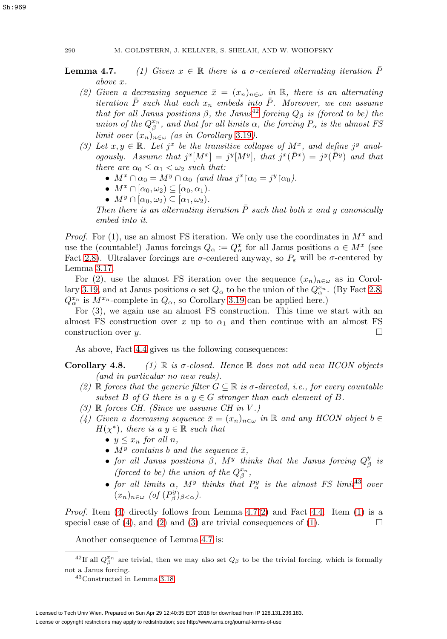- <span id="page-45-4"></span><span id="page-45-0"></span>**Lemma 4.7.** (1) Given  $x \in \mathbb{R}$  there is a  $\sigma$ -centered alternating iteration P above x.
	- (2) Given a decreasing sequence  $\bar{x}=(x_n)_{n\in\omega}$  in R, there is an alternating iteration  $\overline{P}$  such that each  $x_n$  embeds into  $\overline{P}$ . Moreover, we can assume that for all Janus positions  $\beta$ , the Janus<sup>[42](#page-45-1)</sup> forcing  $Q_\beta$  is (forced to be) the union of the  $Q^{x_n}_{\beta}$ , and that for all limits  $\alpha$ , the forcing  $P_{\alpha}$  is the almost FS limit over  $(x_n)_{n \in \omega}$  (as in Corollary [3.19](#page-36-4)).
	- (3) Let  $x, y \in \mathbb{R}$ . Let  $j^x$  be the transitive collapse of  $M^x$ , and define  $j^y$  analogously. Assume that  $j^x[M^x] = j^y[M^y]$ , that  $j^x(\overline{P}^x) = j^y(\overline{P}^y)$  and that there are  $\alpha_0 \leq \alpha_1 < \omega_2$  such that:
		- $M^x \cap \alpha_0 = M^y \cap \alpha_0$  (and thus  $j^x \nvert \alpha_0 = j^y \nvert \alpha_0$ ).
		- $M^x \cap [\alpha_0, \omega_2] \subseteq [\alpha_0, \alpha_1)$ .
		- $M^y \cap [\alpha_0, \omega_2) \subseteq [\alpha_1, \omega_2)$ .

Then there is an alternating iteration  $\overline{P}$  such that both x and y canonically embed into it.

*Proof.* For (1), use an almost FS iteration. We only use the coordinates in  $M^x$  and use the (countable!) Janus forcings  $Q_{\alpha} := Q_{\alpha}^x$  for all Janus positions  $\alpha \in M^x$  (see Fact [2.8\)](#page-21-0). Ultralaver forcings are  $\sigma$ -centered anyway, so  $P_{\varepsilon}$  will be  $\sigma$ -centered by Lemma [3.17.](#page-35-2)

For (2), use the almost FS iteration over the sequence  $(x_n)_{n\in\omega}$  as in Corol-lary [3.19,](#page-36-4) and at Janus positions  $\alpha$  set  $Q_{\alpha}$  to be the union of the  $Q_{\alpha}^{x_n}$ . (By Fact [2.8,](#page-21-0)  $Q_{\alpha}^{x_n}$  is  $M^{x_n}$ -complete in  $Q_{\alpha}$ , so Corollary [3.19](#page-36-4) can be applied here.)

For (3), we again use an almost FS construction. This time we start with an almost FS construction over x up to  $\alpha_1$  and then continue with an almost FS construction over  $y$ .

As above, Fact [4.4](#page-44-2) gives us the following consequences:

# <span id="page-45-6"></span><span id="page-45-5"></span>**Corollary 4.8.** (1)  $\mathbb R$  is  $\sigma$ -closed. Hence  $\mathbb R$  does not add new HCON objects (and in particular no new reals).

- (2) R forces that the generic filter  $G \subseteq \mathbb{R}$  is  $\sigma$ -directed, i.e., for every countable subset B of G there is a  $y \in G$  stronger than each element of B.
- <span id="page-45-7"></span><span id="page-45-3"></span> $(3)$  R forces CH. (Since we assume CH in V.)
- (4) Given a decreasing sequence  $\bar{x}=(x_n)_{n\in\omega}$  in R and any HCON object  $b\in\omega$  $H(\chi^*)$ , there is a  $y \in \mathbb{R}$  such that
	- $y \leq x_n$  for all n,
	- $M<sup>y</sup>$  contains b and the sequence  $\bar{x}$ ,
	- for all Janus positions  $\beta$ ,  $M<sup>y</sup>$  thinks that the Janus forcing  $Q^y_\beta$  is (forced to be) the union of the  $Q_{\beta}^{x_n}$ ,
	- for all limits  $\alpha$ ,  $M<sup>y</sup>$  thinks that  $P^y_\alpha$  is the almost FS limit<sup>[43](#page-45-2)</sup> over  $(x_n)_{n \in \omega}$  (of  $(P_\beta^y)_{\beta < \alpha}$ ).

*Proof.* Item [\(4\)](#page-45-3) directly follows from Lemma  $4.7(2)$  $4.7(2)$  and Fact [4.4.](#page-44-2) Item [\(1\)](#page-45-5) is a special case of [\(4\)](#page-45-3), and [\(2\)](#page-45-6) and [\(3\)](#page-45-7) are trivial consequences of [\(1\)](#page-45-5).

Another consequence of Lemma 4.7 is:

<sup>&</sup>lt;sup>42</sup>If all  $Q_{\beta}^{x_n}$  are trivial, then we may also set  $Q_{\beta}$  to be the trivial forcing, which is formally not a Janus forcing.

<span id="page-45-2"></span><span id="page-45-1"></span><sup>43</sup>Constructed in Lemma [3.18.](#page-35-1)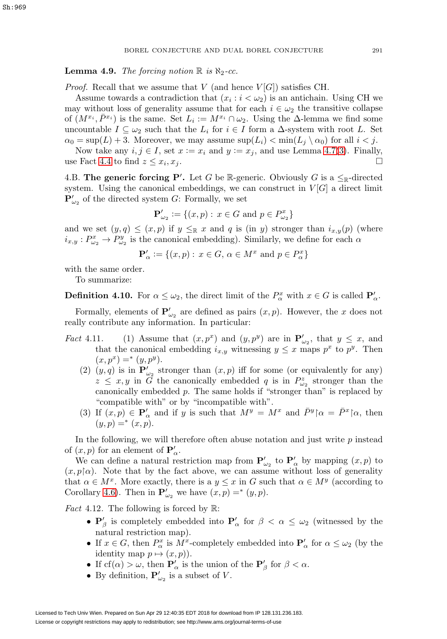**Lemma 4.9.** The forcing notion  $\mathbb{R}$  is  $\aleph_2$ -cc.

*Proof.* Recall that we assume that V (and hence  $V[G]$ ) satisfies CH.

Assume towards a contradiction that  $(x_i : i < \omega_2)$  is an antichain. Using CH we may without loss of generality assume that for each  $i \in \omega_2$  the transitive collapse of  $(M^{x_i}, \overline{P}^{x_i})$  is the same. Set  $L_i := M^{x_i} \cap \omega_2$ . Using the  $\Delta$ -lemma we find some uncountable  $I \subseteq \omega_2$  such that the  $L_i$  for  $i \in I$  form a  $\Delta$ -system with root L. Set  $\alpha_0 = \sup(L) + 3$ . Moreover, we may assume  $\sup(L_i) < \min(L_j \setminus \alpha_0)$  for all  $i < j$ .

Now take any  $i, j \in I$ , set  $x := x_i$  and  $y := x_j$ , and use Lemma 4.7[\(3\)](#page-45-0). Finally, use Fact [4.4](#page-44-2) to find  $z \leq x_i, x_j$ .

4.B. **The generic forcing P'.** Let G be R-generic. Obviously G is a  $\leq_{\mathbb{R}}$ -directed system. Using the canonical embeddings, we can construct in  $V[G]$  a direct limit  ${\bf P}^\prime_{\omega_2}$  of the directed system G: Formally, we set

$$
\mathbf{P}'_{\omega_2} := \{(x, p) : x \in G \text{ and } p \in P^x_{\omega_2}\}\
$$

and we set  $(y, q) \leq (x, p)$  if  $y \leq_{\mathbb{R}} x$  and q is (in y) stronger than  $i_{x,y}(p)$  (where  $i_{x,y}: P_{\omega_2}^x \to P_{\omega_2}^y$  is the canonical embedding). Similarly, we define for each  $\alpha$ 

$$
\mathbf{P}'_{\alpha} := \{ (x, p) : x \in G, \, \alpha \in M^x \text{ and } p \in P^x_{\alpha} \}
$$

with the same order.

To summarize:

**Definition 4.10.** For  $\alpha \leq \omega_2$ , the direct limit of the  $P^x_\alpha$  with  $x \in G$  is called  $\mathbf{P}'_\alpha$ .

Formally, elements of  $\mathbf{P}'_{\omega_2}$  are defined as pairs  $(x, p)$ . However, the x does not really contribute any information. In particular:

- Fact 4.11. (1) Assume that  $(x, p^x)$  and  $(y, p^y)$  are in  $\mathbf{P}'_{\omega_2}$ , that  $y \leq x$ , and that the canonical embedding  $i_{x,y}$  witnessing  $y \leq x$  maps  $p^x$  to  $p^y$ . Then  $(x, p^x) =^* (y, p^y).$ 
	- (2)  $(y, q)$  is in  $\mathbf{P}'_{\omega_2}$  stronger than  $(x, p)$  iff for some (or equivalently for any)  $z \leq x, y$  in  $\tilde{G}$  the canonically embedded q is in  $P^z_{\omega_2}$  stronger than the canonically embedded  $p$ . The same holds if "stronger than" is replaced by "compatible with" or by "incompatible with".
	- (3) If  $(x, p) \in \mathbf{P}'_{\alpha}$  and if y is such that  $M^y = M^x$  and  $\bar{P}^y \upharpoonright \alpha = \bar{P}^x \upharpoonright \alpha$ , then  $(y, p) =^* (x, p).$

<span id="page-46-1"></span>In the following, we will therefore often abuse notation and just write  $p$  instead of  $(x, p)$  for an element of  $\mathbf{P}'_{\alpha}$ .

We can define a natural restriction map from  $P'_{\omega_2}$  to  $P'_\alpha$  by mapping  $(x, p)$  to  $(x, p | \alpha)$ . Note that by the fact above, we can assume without loss of generality that  $\alpha \in M^x$ . More exactly, there is a  $y \leq x$  in G such that  $\alpha \in M^y$  (according to Corollary [4.6\)](#page-44-1). Then in  $\mathbf{P}'_{\omega_2}$  we have  $(x, p) =^*(y, p)$ .

<span id="page-46-0"></span>*Fact* 4.12. The following is forced by  $\mathbb{R}$ :

- $P'_{\beta}$  is completely embedded into  $P'_{\alpha}$  for  $\beta < \alpha \leq \omega_2$  (witnessed by the natural restriction map).
- If  $x \in G$ , then  $P^x_\alpha$  is  $M^x$ -completely embedded into  $\mathbf{P}'_\alpha$  for  $\alpha \leq \omega_2$  (by the identity map  $p \mapsto (x, p)$ .
- If  $cf(\alpha) > \omega$ , then  $\mathbf{P}'_{\alpha}$  is the union of the  $\mathbf{P}'_{\beta}$  for  $\beta < \alpha$ .
- By definition,  $\mathbf{P}'_{\omega_2}$  is a subset of V.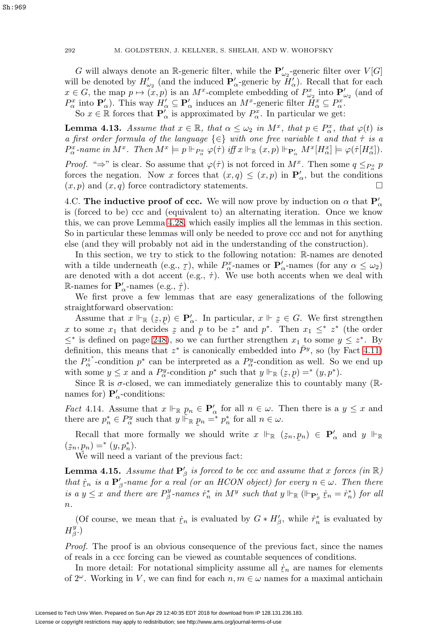G will always denote an  $\mathbb{R}$ -generic filter, while the  $\mathbf{P}'_{\omega_2}$ -generic filter over  $V[G]$ will be denoted by  $H'_{\omega_2}$  (and the induced  $P'_{\alpha}$ -generic by  $H'_{\alpha}$ ). Recall that for each  $x \in G$ , the map  $p \mapsto (x, p)$  is an  $M^x$ -complete embedding of  $P_{\omega_2}^x$  into  $\mathbf{P}'_{\omega_2}$  (and of  $P^x_\alpha$  into  $\mathbf{P}'_\alpha$ ). This way  $H'_\alpha \subseteq \mathbf{P}'_\alpha$  induces an  $M^x$ -generic filter  $\tilde{H}^x_\alpha \subseteq P^x_\alpha$ . So  $x \in \mathbb{R}$  forces that  $\mathbf{P}'_{\alpha}$  is approximated by  $P^x_{\alpha}$ . In particular we get:

<span id="page-47-2"></span>**Lemma 4.13.** Assume that  $x \in \mathbb{R}$ , that  $\alpha \leq \omega_2$  in  $M^x$ , that  $p \in P^x_\alpha$ , that  $\varphi(t)$  is a first order formula of the language  $\{\in\}$  with one free variable t and that  $\tau$  is a  $P^x_\alpha$ -name in  $M^x$ . Then  $M^x \models p \Vdash_{P^x_\alpha} \varphi(\tau)$  iff  $x \Vdash_{\mathbb{R}} (x, p) \Vdash_{\mathbf{P}'_\alpha} M^x[H^x_\alpha] \models \varphi(\tau[H^x_\alpha])$ .

*Proof.* " $\Rightarrow$ " is clear. So assume that  $\varphi(\tau)$  is not forced in  $M^x$ . Then some  $q \leq_{P^x_{\alpha}} p$ forces the negation. Now x forces that  $(x, q) \leq (x, p)$  in  $\mathbf{P}'_{\alpha}$ , but the conditions  $(x, p)$  and  $(x, q)$  force contradictory statements.

4.C. **The inductive proof of ccc.** We will now prove by induction on  $\alpha$  that  $P'_\alpha$ is (forced to be) ccc and (equivalent to) an alternating iteration. Once we know this, we can prove Lemma [4.28,](#page-53-0) which easily implies all the lemmas in this section. So in particular these lemmas will only be needed to prove ccc and not for anything else (and they will probably not aid in the understanding of the construction).

In this section, we try to stick to the following notation: R-names are denoted with a tilde underneath (e.g.,  $\tau$ ), while  $P_{\alpha}^x$ -names or  $\mathbf{P}'_{\alpha}$ -names (for any  $\alpha \leq \omega_2$ )<br>are denoted with a dot accent (e.g.,  $\dot{\tau}$ ). We use both accents when we deal with are denoted with a dot accent (e.g.,  $\dot{\tau}$ ). We use both accents when we deal with R-names for  $\mathbf{P}'_{\alpha}$ -names (e.g.,  $\dot{\tau}$ ).<br>We first prove a few lemma

We first prove a few lemmas that are easy generalizations of the following straightforward observation:

Assume that  $x \Vdash_{\mathbb{R}} (z, p) \in \mathbf{P}'_{\alpha}$ . In particular,  $x \Vdash z \in G$ . We first strengthen x to some  $x_1$  that decides  $z$  and  $p$  to be  $z^*$  and  $p^*$ . Then  $x_1 \leq z^*$  (the order  $\leq z^*$  is defined on page 248), so we can further strengthen  $x_1$  to some  $y \leq z^*$ . By  $\leq^*$  is defined on page [248\)](#page-3-1), so we can further strengthen  $x_1$  to some  $y \leq z^*$ . By definition, this means that  $z^*$  is canonically embedded into  $\bar{P}^y$ , so (by Fact 4.11) the  $P_{\alpha}^{z^*}$ -condition  $p^*$  can be interpreted as a  $P_{\alpha}^y$ -condition as well. So we end up with some  $y \leq x$  and a  $P^y_\alpha$ -condition  $p^*$  such that  $y \Vdash_{\mathbb{R}} (z, p) =^* (y, p^*)$ .

Since  $\mathbb R$  is  $\sigma$ -closed, we can immediately generalize this to countably many ( $\mathbb R$ names for)  $P'_{\alpha}$ -conditions:

<span id="page-47-0"></span>*Fact* 4.14. Assume that  $x \Vdash_{\mathbb{R}} p_n \in \mathbf{P}'_\alpha$  for all  $n \in \omega$ . Then there is a  $y \leq x$  and there are  $p_n^* \in P_\alpha^y$  such that  $y \rvert \rvert_{\mathbb{R}}^{\tilde{}} p_n = \rvert^* p_n^*$  for all  $n \in \omega$ .

Recall that more formally we should write  $x \Vdash_{\mathbb{R}} (z_n, p_n) \in \mathbf{P}'_\alpha$  and  $y \Vdash_{\mathbb{R}} (z_n, p_n) \to (u_n, v_n)$ ˜  $(z_n, p_n) =^* (y, p_n^*).$ <br>We will need a

˜ We will need a variant of the previous fact:

<span id="page-47-1"></span>**Lemma 4.15.** Assume that  $\mathbf{P}'_\beta$  is forced to be ccc and assume that x forces (in  $\mathbb{R}$ ) that  $\dot{r}_n$  is a  $\mathbf{P}'_\beta$ -name for a real (or an HCON object) for every  $n \in \omega$ . Then there is a  $y \leq x$  and there are  $P^y_\beta$ -names  $\dot{r}^*_n$  in  $M^y$  such that  $y \Vdash_{\mathbb{R}} (\Vdash_{\mathbf{P}'_\beta} \dot{r}_n = \dot{r}^*_n)$  for all  $\it n$ .

(Of course, we mean that  $\dot{r}_n$  is evaluated by  $G * H'_{\beta}$ , while  $\dot{r}_n^*$  is evaluated by  $H^y_\beta.$ 

Proof. The proof is an obvious consequence of the previous fact, since the names of reals in a ccc forcing can be viewed as countable sequences of conditions.

In more detail: For notational simplicity assume all  $\dot{\mathcal{I}}_n$  are names for elements  $2^{\omega}$ . Working in *V*, we can find for each *n*  $m \in \omega$  names for a maximal antichain of  $2^{\omega}$ . Working in V, we can find for each  $n, m \in \omega$  names for a maximal antichain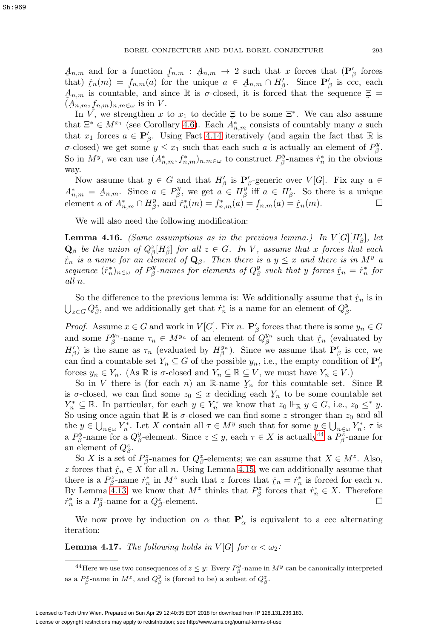that)  $\dot{r}_n(m) = f_{n,m}(a)$  for the unique  $a \in A_{n,m} \cap H'_\beta$ . Since  $\mathbf{P}'_\beta$  is ccc, each  $A_{n,m}$  is countable, and since  $\mathbb{R}$  is  $\sigma$ -closed, it is forced that the sequence  $\Xi$  $A_{n,m}$  and for a function  $f_{n,m}$ :  $A_{n,m} \to 2$  such that x forces that  $(\mathbf{P}'_\beta)$  forces that  $\mathbf{P}'_\beta$  forces that  $\mathbf{P}'_\beta$  forces that  $\mathbf{P}'_\beta$  forces that  $\mathbf{P}'_\beta$  forces that  $\mathbf{P}'_\beta$  for  $\mathbf{P}'_\beta$  is comp  $(A_{n,m}, f_{n,m})_{n,m\in\omega}$  is in V.<br>In V<sub>i</sub> we strengthen x.  $A_{n,m}$  is countable, and since  $\mathbb R$  is  $\sigma$ -closed, it is forced that the sequence  $\Xi =$ 

In  $\tilde{V}$ , we strengthen x to  $x_1$  to decide  $\Xi$  to be some  $\Xi^*$ . We can also assume<br>of  $\Xi^* \in M^{x_1}$  (see Corollary 4.6). Each  $\tilde{A}^*$  consists of countably many q such that  $\Xi^* \in M^{x_1}$  (see Corollary [4.6\)](#page-44-1). Each  $A^*_{n,m}$  consists of countably many a such that  $x_1$  forces  $a \in \mathbf{P}'_\beta$ . Using Fact [4.14](#page-47-0) iteratively (and again the fact that R is σ-closed) we get some  $y \leq x_1$  such that each such a is actually an element of  $P^y_\beta$ . So in  $M^y$ , we can use  $(A^*_{n,m}, f^*_{n,m})_{n,m\in\omega}$  to construct  $P^y_\beta$ -names  $\dot{r}^*_n$  in the obvious way.

Now assume that  $y \in G$  and that  $H'_{\beta}$  is  $\mathbf{P}'_{\beta}$ -generic over  $V[G]$ . Fix any  $a \in$  $A_{n,m}^* = A_{n,m}$ . Since  $a \in P_{\beta}^y$ , we get  $a \in H_{\beta}^y$  iff  $a \in H_{\beta}^{\prime}$ . So there is a unique contract  $A^* = \bigcap_{\alpha=1}^{H_{\beta}^y} H_{\beta}^*(\alpha) - f_{\beta}^*(\alpha) - f_{\beta}^*(\alpha) - f_{\beta}^*(\alpha)$ element a of  $A_{n,m}^* \cap H_{\beta}^y$ , and  $\dot{r}_n^*(m) = f_{n,m}^*(a) = f_{n,m}(a) = \dot{r}_n(m)$ .

We will also need the following modification:

<span id="page-48-1"></span>**Lemma 4.16.** (Same assumptions as in the previous lemma.) In  $V[G][H'_{\beta}]$ , let  $\mathbf{Q}_{\beta}$  be the union of  $Q_{\beta}^{z}[H_{\beta}^{z}]$  for all  $z \in G$ . In V, assume that x forces that each sequence  $(\dot{r}_n^*)_{n\in\omega}$  of  $P^y_\beta$ -names for elements of  $Q^y_\beta$  such that y forces  $\dot{r}_n = \dot{r}_n^*$  for  $\dot{r}_n$  is a name for an element of  $\mathbf{Q}_{\beta}$ . Then there is a  $y \leq x$  and there is in  $M^y$  a all n.

So the difference to the previous lemma is: We additionally assume that  $\dot{r}_n$  is in  $\hat{C}^z$  and we additionally get that  $\dot{r}^*$  is a name for an element of  $\hat{C}^y$  $\bigcup_{z \in G} Q^z_{\beta}$ , and we additionally get that  $\dot{r}^*_n$  is a name for an element of  $Q^y_{\beta}$ .

*Proof.* Assume  $x \in G$  and work in  $V[G]$ . Fix n.  $\mathbf{P}'_\beta$  forces that there is some  $y_n \in G$ and some  $P^{y_n}_{\beta}$ -name  $\tau_n \in M^{y_n}$  of an element of  $Q^{y_n}_{\beta}$  such that  $\dot{\tau}_n$  (evaluated by  $H'$ ) is the same as  $\tau_n$  (evaluated by  $H^{y_n}$ ). Since we assume that  $\mathbf{P}'$  is see we  $H'_{\beta}$ ) is the same as  $\tau_n$  (evaluated by  $H^{y_n}_{\beta}$ ). Since we assume that  $\mathbf{P}'_{\beta}$  is ccc, we can find a countable set  $Y_n \subseteq G$  of the possible  $y_n$ , i.e., the empty condition of  $\mathbf{P}'_\beta$ forces  $y_n \in Y_n$ . (As R is  $\sigma$ -closed and  $Y_n \subseteq \mathbb{R} \subseteq V$ , we must have  $Y_n \in V$ .)

So in V there is (for each n) an R-name  $Y_n$  for this countable set. Since R<br>colored we can find some  $z_0 \leq x$  deciding each V to be some countable set is  $\sigma$ -closed, we can find some  $z_0 \leq x$  deciding each  $Y_n$  to be some countable set<br> $V^* \subseteq \mathbb{R}$ . In particular, for each  $y \in V^*$  we know that  $z_0 \models_{\mathbb{R}} y \in G$  i.e.,  $z_0 \leq^* y$ .  $Y_n^* \subseteq \mathbb{R}$ . In particular, for each  $y \in Y_n^*$  we know that  $z_0 \Vdash_{\mathbb{R}} y \in G$ , i.e.,  $z_0 \leq^* y$ . So using once again that  $\mathbb R$  is  $\sigma$ -closed we can find some z stronger than  $z_0$  and all the  $y \in \bigcup_{n \in \omega} Y_n^*$ . Let X contain all  $\tau \in M^y$  such that for some  $y \in \bigcup_{n \in \omega} Y_n^*$ ,  $\tau$  is a  $P^y_\beta$ -name for a  $Q^y_\beta$ -element. Since  $z \leq y$ , each  $\tau \in X$  is actually<sup>[44](#page-48-0)</sup> a  $P^z_\beta$ -name for an element of  $Q^z_{\beta}$ .

So X is a set of  $P^z_{\beta}$ -names for  $Q^z_{\beta}$ -elements; we can assume that  $X \in M^z$ . Also, z forces that  $\dot{r}_n \in X$  for all n. Using Lemma [4.15,](#page-47-1) we can additionally assume that<br>there is a  $P^z$ -name  $\dot{r}^*$  in  $M^z$  such that z forces that  $\dot{r} = \dot{r}^*$  is forced for each n there is a  $P^z_{\beta}$ -name  $\dot{r}^*_n$  in  $M^z$  such that z forces that  $\dot{r}_n = \dot{r}^*_n$  is forced for each n.<br>By Lomma 4.13, we know that  $M^z$  thinks that  $P^z$  forces that  $\dot{r}^* \in X$ . Therefore By Lemma [4.13,](#page-47-2) we know that  $M^z$  thinks that  $P^z_\beta$  forces that  $\dot{r}^*_n \in X$ . Therefore  $\dot{r}_n^*$  is a  $P_\beta^z$ -name for a  $Q_\beta^z$ -element.

We now prove by induction on  $\alpha$  that  $P'_\alpha$  is equivalent to a ccc alternating iteration:

<span id="page-48-2"></span>**Lemma 4.17.** The following holds in  $V[G]$  for  $\alpha < \omega_2$ :

<span id="page-48-0"></span><sup>&</sup>lt;sup>44</sup>Here we use two consequences of  $z \leq y$ : Every  $P^y_\beta$ -name in  $M^y$  can be canonically interpreted as a  $P^z_\beta$ -name in  $M^z$ , and  $Q^y_\beta$  is (forced to be) a subset of  $Q^z_\beta$ .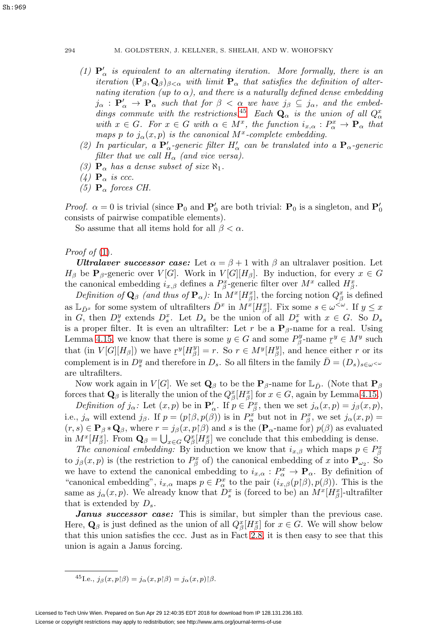- <span id="page-49-1"></span>(1)  $\mathbf{P}'_{\alpha}$  is equivalent to an alternating iteration. More formally, there is an iteration  $(\mathbf{P}_{\beta}, \mathbf{Q}_{\beta})_{\beta < \alpha}$  with limit  $\mathbf{P}_{\alpha}$  that satisfies the definition of alternating iteration (up to  $\alpha$ ), and there is a naturally defined dense embedding  $j_{\alpha}$  :  $P'_{\alpha} \to P_{\alpha}$  such that for  $\beta < \alpha$  we have  $j_{\beta} \subseteq j_{\alpha}$ , and the embed-dings commute with the restrictions.<sup>[45](#page-49-0)</sup> Each  $\mathbf{Q}_{\alpha}$  is the union of all  $Q_{\alpha}^x$ with  $x \in G$ . For  $x \in G$  with  $\alpha \in M^x$ , the function  $i_{x,\alpha}: P^x_{\alpha} \to \mathbf{P}_{\alpha}$  that maps p to  $j_{\alpha}(x, p)$  is the canonical M<sup>x</sup>-complete embedding.
- (2) In particular, a  $P'_\n\alpha$ -generic filter  $H'_\n\alpha$  can be translated into a  $P_\n\alpha$ -generic filter that we call  $H_{\alpha}$  (and vice versa).
- <span id="page-49-4"></span><span id="page-49-2"></span>(3)  $\mathbf{P}_{\alpha}$  has a dense subset of size  $\aleph_1$ .
- <span id="page-49-3"></span>(4)  $\mathbf{P}_{\alpha}$  is ccc.
- (5)  $\mathbf{P}_{\alpha}$  forces CH.

*Proof.*  $\alpha = 0$  is trivial (since  $P_0$  and  $P'_0$  are both trivial:  $P_0$  is a singleton, and  $P'_0$ consists of pairwise compatible elements).

So assume that all items hold for all  $\beta < \alpha$ .

*Proof of*  $(1)$ .

*Ultralaver successor case:* Let  $\alpha = \beta + 1$  with  $\beta$  an ultralaver position. Let  $H_{\beta}$  be **P**<sub>β</sub>-generic over  $V[G]$ . Work in  $V[G][H_{\beta}]$ . By induction, for every  $x \in G$ the canonical embedding  $i_{x,\beta}$  defines a  $P_{\beta}^x$ -generic filter over  $M^x$  called  $H_{\beta}^x$ .

Definition of  $\mathbf{Q}_{\beta}$  (and thus of  $\mathbf{P}_{\alpha}$ ): In  $M^x[H_{\beta}^x]$ , the forcing notion  $Q_{\beta}^x$  is defined as  $\mathbb{L}_{\bar{D}^x}$  for some system of ultrafilters  $\bar{D}^x$  in  $M^x[H_\beta^x]$ . Fix some  $s \in \omega^{\langle \omega \rangle}$ . If  $y \leq x$ in G, then  $D_s^y$  extends  $D_s^x$ . Let  $D_s$  be the union of all  $D_s^x$  with  $x \in G$ . So  $D_s$ is a proper filter. It is even an ultrafilter: Let r be a  $P_\beta$ -name for a real. Using Lemma [4.15,](#page-47-1) we know that there is some  $y \in G$  and some  $P_y^y$ -name  $x^y \in M^y$  such that (in  $V[C][H]$ ) we have  $x^y[H^y] = x$ . So  $x \in M^y[H^y]$  and hange either  $x$  or its that (in  $V[G][H_\beta]$ ) we have  $\mathcal{I}^y[H_\beta^y] = r$ . So  $r \in M^y[H_\beta^y]$ , and hence either r or its complement is in  $D_s^y$  and therefore in  $D_s$ . So all filters in the family  $\bar{D} = (D_s)_{s \in \omega}$ are ultrafilters.

Now work again in  $V[G]$ . We set  $\mathbf{Q}_{\beta}$  to be the  $\mathbf{P}_{\beta}$ -name for  $\mathbb{L}_{\bar{D}}$ . (Note that  $\mathbf{P}_{\beta}$ forces that  $\mathbf{Q}_{\beta}$  is literally the union of the  $Q_{\beta}^x[H_{\beta}^x]$  for  $x \in G$ , again by Lemma [4.15.](#page-47-1))

Definition of  $j_{\alpha}$ : Let  $(x, p)$  be in  $\mathbf{P}'_{\alpha}$ . If  $p \in P_{\beta}^{x}$ , then we set  $j_{\alpha}(x, p) = j_{\beta}(x, p)$ , i.e.,  $j_{\alpha}$  will extend  $j_{\beta}$ . If  $p = (p(\beta, p(\beta))$  is in  $P_{\alpha}^{x}$  but not in  $P_{\beta}^{x}$ , we set  $j_{\alpha}(x, p) =$  $(r, s) \in \mathbf{P}_{\beta} * \mathbf{Q}_{\beta}$ , where  $r = j_{\beta}(x, p | \beta)$  and s is the ( $\mathbf{P}_{\alpha}$ -name for)  $p(\beta)$  as evaluated in  $M^x[H^x_\beta]$ . From  $\mathbf{Q}_\beta = \bigcup_{x \in G} Q^x_\beta[H^x_\beta]$  we conclude that this embedding is dense.

The canonical embedding: By induction we know that  $i_{x,\beta}$  which maps  $p \in P_{\beta}^x$ to  $j_{\beta}(x,p)$  is (the restriction to  $P_{\beta}^{x}$  of) the canonical embedding of x into  $\mathbf{P}_{\omega_2}$ . So we have to extend the canonical embedding to  $i_{x,\alpha}: P^x_\alpha \to \mathbf{P}_\alpha$ . By definition of "canonical embedding",  $i_{x,\alpha}$  maps  $p \in P^x_\alpha$  to the pair  $(i_{x,\beta}(p \upharpoonright \beta), p(\beta))$ . This is the same as  $j_{\alpha}(x, p)$ . We already know that  $D_s^x$  is (forced to be) an  $M^x[H_{\beta}^x]$ -ultrafilter that is extended by  $D_s$ .

*Janus successor case:* This is similar, but simpler than the previous case. Here,  $\mathbf{Q}_{\beta}$  is just defined as the union of all  $Q_{\beta}^x[H_{\beta}^x]$  for  $x \in G$ . We will show below that this union satisfies the ccc. Just as in Fact [2.8,](#page-21-0) it is then easy to see that this union is again a Janus forcing.

<span id="page-49-0"></span><sup>45</sup>I.e.,  $j_{\beta}(x, p|\beta) = j_{\alpha}(x, p|\beta) = j_{\alpha}(x, p)|\beta.$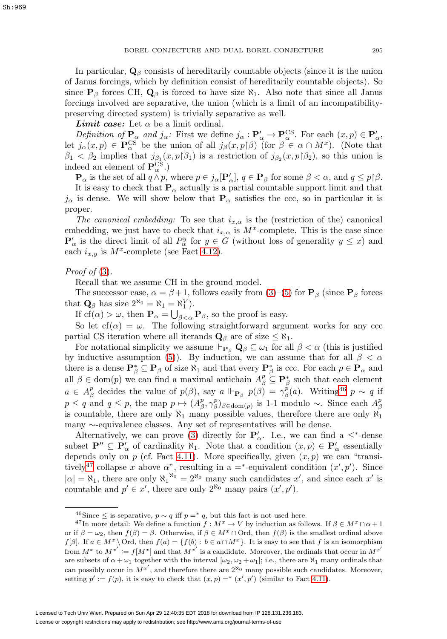In particular,  $\mathbf{Q}_{\beta}$  consists of hereditarily countable objects (since it is the union of Janus forcings, which by definition consist of hereditarily countable objects). So since  $P_\beta$  forces CH,  $Q_\beta$  is forced to have size  $\aleph_1$ . Also note that since all Janus forcings involved are separative, the union (which is a limit of an incompatibilitypreserving directed system) is trivially separative as well.

*Limit case:* Let  $\alpha$  be a limit ordinal.

Definition of  $P_{\alpha}$  and  $j_{\alpha}$ : First we define  $j_{\alpha} : P_{\alpha}' \to P_{\alpha}^{\text{CS}}$ . For each  $(x, p) \in P_{\alpha}'$ , let  $j_{\alpha}(x,p) \in \mathbf{P}_{\alpha}^{\text{CS}}$  be the union of all  $j_{\beta}(x,p)\beta)$  (for  $\beta \in \alpha \cap M^x$ ). (Note that  $\beta_1 < \beta_2$  implies that  $j_{\beta_1}(x, p|\beta_1)$  is a restriction of  $j_{\beta_2}(x, p|\beta_2)$ , so this union is indeed an element of  $\mathbf{P}_{\alpha}^{\mathrm{CS}}$ .)

 $\mathbf{P}_{\alpha}$  is the set of all  $q \wedge p$ , where  $p \in j_{\alpha}[\mathbf{P}'_{\alpha}], q \in \mathbf{P}_{\beta}$  for some  $\beta < \alpha$ , and  $q \le p \upharpoonright \beta$ .

It is easy to check that  $P_\alpha$  actually is a partial countable support limit and that  $j_{\alpha}$  is dense. We will show below that  $P_{\alpha}$  satisfies the ccc, so in particular it is proper.

The canonical embedding: To see that  $i_{x,\alpha}$  is the (restriction of the) canonical embedding, we just have to check that  $i_{x,\alpha}$  is  $M^x$ -complete. This is the case since  $\mathbf{P}'_{\alpha}$  is the direct limit of all  $P^y_{\alpha}$  for  $y \in G$  (without loss of generality  $y \leq x$ ) and each  $i_{x,y}$  is  $M^x$ -complete (see Fact [4.12\)](#page-46-0).

## Proof of  $(3)$ .

Recall that we assume CH in the ground model.

The successor case,  $\alpha = \beta + 1$ , follows easily from [\(3\)](#page-49-2)–[\(5\)](#page-49-3) for **P**<sub>β</sub> (since **P**<sub>β</sub> forces that  $\mathbf{Q}_{\beta}$  has size  $2^{\aleph_0} = \aleph_1 = \aleph_1^V$ .

If  $cf(\alpha) > \omega$ , then  $\mathbf{P}_{\alpha} = \bigcup_{\beta < \alpha} \mathbf{P}_{\beta}$ , so the proof is easy.

So let  $cf(\alpha) = \omega$ . The following straightforward argument works for any ccc partial CS iteration where all iterands  $\mathbf{Q}_{\beta}$  are of size  $\leq \aleph_1$ .

For notational simplicity we assume  $\Vdash_{\mathbf{P}_{\beta}} \mathbf{Q}_{\beta} \subseteq \omega_1$  for all  $\beta < \alpha$  (this is justified by inductive assumption [\(5\)](#page-49-3)). By induction, we can assume that for all  $\beta < \alpha$ there is a dense  $P^*_{\beta} \subseteq P_{\beta}$  of size  $\aleph_1$  and that every  $P^*_{\beta}$  is ccc. For each  $p \in P_{\alpha}$  and all  $\beta \in \text{dom}(p)$  we can find a maximal antichain  $A_{\beta}^p \subseteq \mathbf{P}_{\beta}^*$  such that each element  $a \in A_{\beta}^p$  decides the value of  $p(\beta)$ , say  $a \Vdash_{\mathbf{P}_{\beta}} p(\beta) = \gamma_{\beta}^p(a)$ . Writing<sup>[46](#page-50-0)</sup>  $p \sim q$  if  $p \le q$  and  $q \le p$ , the map  $p \mapsto (A_{\beta}^p, \gamma_{\beta}^p)_{\beta \in \text{dom}(p)}$  is 1-1 modulo ~. Since each  $A_{\beta}^p$ is countable, there are only  $\aleph_1$  many possible values, therefore there are only  $\aleph_1$ many ∼-equivalence classes. Any set of representatives will be dense.

Alternatively, we can prove [\(3\)](#page-49-2) directly for  $P'_{\alpha}$ . I.e., we can find a  $\leq^*$ -dense subset  $P'' \subseteq P'_\alpha$  of cardinality  $\aleph_1$ . Note that a condition  $(x, p) \in P'_\alpha$  essentially depends only on p (cf. Fact 4.11). More specifically, given  $(x, p)$  we can "transi-tively<sup>[47](#page-50-1)</sup> collapse x above  $\alpha$ ", resulting in a =<sup>\*</sup>-equivalent condition  $(x', p')$ . Since  $|\alpha| = \aleph_1$ , there are only  $\aleph_1^{\aleph_0} = 2^{\aleph_0}$  many such candidates  $x'$ , and since each  $x'$  is countable and  $p' \in x'$ , there are only  $2^{\aleph_0}$  many pairs  $(x', p')$ .

<span id="page-50-1"></span><span id="page-50-0"></span><sup>&</sup>lt;sup>46</sup>Since ≤ is separative,  $p \sim q$  iff  $p = * q$ , but this fact is not used here.

<sup>&</sup>lt;sup>47</sup>In more detail: We define a function  $f : M^x \to V$  by induction as follows. If  $\beta \in M^x \cap \alpha + 1$ or if  $\beta = \omega_2$ , then  $f(\beta) = \beta$ . Otherwise, if  $\beta \in M^x \cap \text{Ord}$ , then  $f(\beta)$  is the smallest ordinal above  $f[\beta]$ . If  $a \in M^x \setminus \text{Ord}$ , then  $f(a) = \{f(b) : b \in a \cap M^x\}$ . It is easy to see that f is an isomorphism from  $M^x$  to  $M^{x'} := f[M^x]$  and that  $M^{x'}$  is a candidate. Moreover, the ordinals that occur in  $M^{x'}$ are subsets of  $\alpha + \omega_1$  together with the interval  $[\omega_2, \omega_2 + \omega_1]$ ; i.e., there are  $\aleph_1$  many ordinals that can possibly occur in  $M^{x'}$ , and therefore there are  $2^{\aleph_0}$  many possible such candidates. Moreover, setting  $p' := f(p)$ , it is easy to check that  $(x, p) =^* (x', p')$  (similar to Fact 4.11).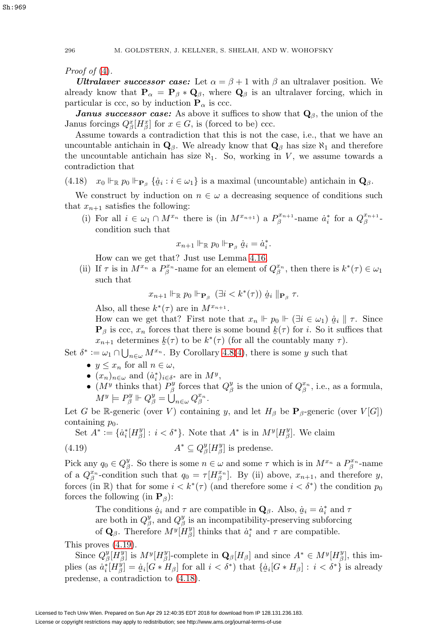Proof of  $(4)$ .

*Ultralaver successor case:* Let  $\alpha = \beta + 1$  with  $\beta$  an ultralaver position. We already know that  $P_{\alpha} = P_{\beta} * Q_{\beta}$ , where  $Q_{\beta}$  is an ultralaver forcing, which in particular is ccc, so by induction  $P_\alpha$  is ccc.

*Janus successor case:* As above it suffices to show that **Q**β, the union of the Janus forcings  $Q_{\beta}^x[H_{\beta}^x]$  for  $x \in G$ , is (forced to be) ccc.

Assume towards a contradiction that this is not the case, i.e., that we have an uncountable antichain in  $\mathbf{Q}_{\beta}$ . We already know that  $\mathbf{Q}_{\beta}$  has size  $\aleph_1$  and therefore the uncountable antichain has size  $\aleph_1$ . So, working in V, we assume towards a contradiction that

<span id="page-51-1"></span>(4.18)  $x_0 \Vdash_{\mathbf{P}_{\beta}} \{ \dot{a}_i : i \in \omega_1 \}$  is a maximal (uncountable) antichain in  $\mathbf{Q}_{\beta}$ .

We construct by induction on  $n \in \omega$  a decreasing sequence of conditions such that  $x_{n+1}$  satisfies the following:

(i) For all  $i \in \omega_1 \cap M^{x_n}$  there is  $(\text{in } M^{x_{n+1}})$  a  $P_{\beta}^{x_{n+1}}$ -name  $a_i^*$  for a  $Q_{\beta}^{x_{n+1}}$ condition such that

$$
x_{n+1} \Vdash_{\mathbb{R}} p_0 \Vdash_{\mathbf{P}_{\beta}} \dot{a}_i = \dot{a}_i^*.
$$

How can we get that? Just use Lemma [4.16.](#page-48-1)

(ii) If  $\tau$  is in  $M^{x_n}$  a  $P^{x_n}_{\beta}$ -name for an element of  $Q^{x_n}_{\beta}$ , then there is  $k^*(\tau) \in \omega_1$ such that

$$
x_{n+1} \Vdash_{\mathbb{R}} p_0 \Vdash_{\mathbf{P}_{\beta}} (\exists i < k^*(\tau)) \dot{a}_i \Vdash_{\mathbf{P}_{\beta}} \tau.
$$

Also, all these  $k^*(\tau)$  are in  $M^{x_{n+1}}$ .

How can we get that? First note that  $x_n \Vdash p_0 \Vdash (\exists i \in \omega_1) \dot{a}_i \Vdash \tau$ . Since  $\mathbf{P}_{\beta}$  is ccc,  $x_n$  forces that there is some bound  $k(\tau)$  for i. So it suffices that  $x_{n+1}$  determines  $k(\tau)$  to be  $k^*(\tau)$  (for all the countably many  $\tau$ ).

Set  $\delta^* := \omega_1 \cap \bigcup_{n \in \omega} M^{x_n}$ . By Corollary 4.8[\(4\)](#page-45-3), there is some y such that

- $y \leq x_n$  for all  $n \in \omega$ ,
- $(x_n)_{n \in \omega}$  and  $(\dot{a}_i^*)_{i \in \delta^*}$  are in  $M^y$ ,
- ( $M^y$  thinks that)  $P^y_\beta$  forces that  $Q^y_\beta$  is the union of  $Q^{x_n}_\beta$ , i.e., as a formula,  $M^y \models P^y_\beta \Vdash Q^y_\beta = \bigcup_{n \in \omega} Q^{x_n}_\beta.$

Let G be R-generic (over V) containing y, and let  $H_\beta$  be  $\mathbf{P}_\beta$ -generic (over  $V[G]$ ) containing  $p_0$ .

Set  $A^* := \{a_i^*[H_\beta^y] : i < \delta^*\}$ . Note that  $A^*$  is in  $M^y[H_\beta^y]$ . We claim

<span id="page-51-0"></span>(4.19) 
$$
A^* \subseteq Q_\beta^y[H_\beta^y] \text{ is predense.}
$$

Pick any  $q_0 \in Q^y_\beta$ . So there is some  $n \in \omega$  and some  $\tau$  which is in  $M^{x_n}$  a  $P^{x_n}_\beta$ -name of a  $Q_{\beta}^{x_n}$ -condition such that  $q_0 = \tau[H_{\beta}^{x_n}]$ . By (ii) above,  $x_{n+1}$ , and therefore y, forces (in R) that for some  $i < k^*(\tau)$  (and therefore some  $i < \delta^*$ ) the condition  $p_0$ forces the following (in  $P_\beta$ ):

> The conditions  $\dot{a}_i$  and  $\tau$  are compatible in  $\mathbf{Q}_{\beta}$ . Also,  $\dot{a}_i = \dot{a}_i^*$  and  $\tau$ <br>are both in  $O^y$  and  $O^y$  is an incompatibility-preserving subforcing are both in  $Q^y_\beta$ , and  $Q^y_\beta$  is an incompatibility-preserving subforcing of  $\mathbf{Q}_{\beta}$ . Therefore  $M^{y}[\overline{H}_{\beta}^{y}]$  thinks that  $\dot{a}_{i}^{*}$  and  $\tau$  are compatible.

This proves [\(4.19\)](#page-51-0).

Since  $Q_{\beta}^{y}[\dot{H}_{\beta}^{y}]$  is  $M^{y}[H_{\beta}^{y}]$ -complete in  $\mathbf{Q}_{\beta}[H_{\beta}]$  and since  $A^* \in M^{y}[H_{\beta}^{y}]$ , this implies (as  $\dot{a}_i^* [H_{\beta}^{\tilde{y}}] = \dot{a}_i [G * H_{\beta}]$  for all  $i < \delta^*$ ) that  $\{\dot{a}_i [G * H_{\beta}] : i < \delta^*\}$  is already predense, a contradiction to [\(4.18\)](#page-51-1).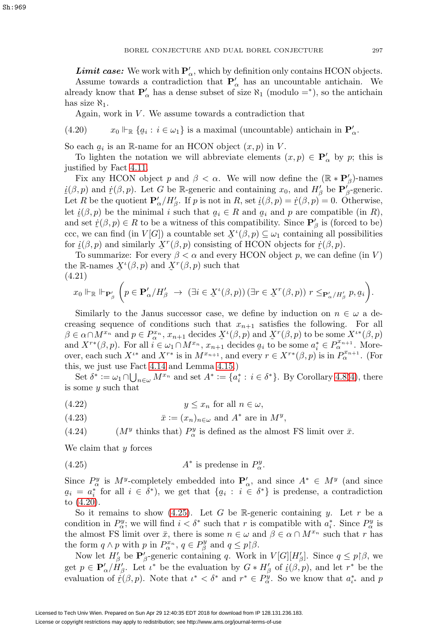**Limit case:** We work with  $P'_{\alpha}$ , which by definition only contains HCON objects.

Assume towards a contradiction that  $P'_{\alpha}$  has an uncountable antichain. We already know that  $P'_{\alpha}$  has a dense subset of size  $\aleph_1$  (modulo =<sup>\*</sup>), so the antichain has size  $\aleph_1$ .

Again, work in  $V$ . We assume towards a contradiction that

<span id="page-52-0"></span>(4.20)  $x_0 \Vdash_{\mathbb{R}} \{q_i : i \in \omega_1\}$  is a maximal (uncountable) antichain in  $\mathbf{P}'_{\alpha}$ .

So each  $q_i$  is an R-name for an HCON object  $(x, p)$  in V.<br>To lighten the notation we will abbreviate elements (

To lighten the notation we will abbreviate elements  $(x, p) \in \mathbf{P}'_{\alpha}$  by p; this is justified by Fact 4.11.

Fix any HCON object p and  $\beta < \alpha$ . We will now define the  $(\mathbb{R} * \mathbf{P}'_{\beta})$ -names Let R be the quotient  $\mathbf{P}'_{\alpha}/H'_{\beta}$ . If p is not in R, set  $\underline{i}(\beta, p) = \dot{r}(\beta, p) = 0$ . Otherwise,<br>lot  $\overline{i}(\beta, p)$  be the minimal is such that  $a \in \mathbb{R}$  and  $a$  and p are compatible (in R)  $\underline{i}(\beta, p)$  and  $\underline{r}(\beta, p)$ . Let G be R-generic and containing  $x_0$ , and  $H'_\beta$  be  $\mathbf{P}'_\beta$ -generic.<br>Let B be the quotient  $\mathbf{P}'/H'$ . If n is not in B, set  $i(\beta, p) = \dot{x}(\beta, p) = 0$ . Otherwise let  $\dot{\mathcal{L}}(\beta, p)$  be the minimal i such that  $q_i \in R$  and  $q_i$  and p are compatible (in R),<br>and set  $\dot{r}(\beta, n) \in R$  to be a witness of this compatibility. Since  $\mathbf{P}'$  is (forced to be) and set  $\dot{x}(\beta, p) \in R$  to be a witness of this compatibility. Since  $\mathbf{P}'_{\beta}$  is (forced to be)<br>assume an find (in  $V(C)$ ) a countable set  $X^{\ell}(\beta, p) \subseteq L$  containing all possibilities ccc, we can find (in  $V[G]$ ) a countable set  $X^{\ell}(\beta, p) \subseteq \omega_1$  containing all possibilities<br>for  $i(\beta, p)$  and similarly  $X^{\ell}(\beta, p)$  consisting of HCON objects for  $\dot{x}(\beta, p)$ for  $\dot{\mathfrak{z}}(\beta, p)$  and similarly  $\dot{X}^r(\beta, p)$  consisting of HCON objects for  $\dot{\mathfrak{x}}(\beta, p)$ .<br>To summarize: For every  $\beta \leq \alpha$  and every HCON object n, we can define

To summarize: For every  $\beta < \alpha$  and every HCON object p, we can define (in V) the R-names  $\mathcal{X}^{\iota}(\beta, p)$  and  $\mathcal{X}^{r}(\beta, p)$  such that  $(4, 21)$ (4.21)

$$
x_0 \Vdash_{\mathbb{R}} \Vdash_{\mathbf{P}'_\beta} \left( p \in \mathbf{P}'_\alpha / H'_\beta \rightarrow (\exists i \in \mathfrak{X}^\iota(\beta, p)) \left( \exists r \in \mathfrak{X}^r(\beta, p) \right) r \leq_{\mathbf{P}'_\alpha / H'_\beta} p, g_i \right).
$$

Similarly to the Janus successor case, we define by induction on  $n \in \omega$  a decreasing sequence of conditions such that  $x_{n+1}$  satisfies the following. For all  $\beta \in \alpha \cap M^{x_n}$  and  $p \in P^{x_n}_\alpha$ ,  $x_{n+1}$  decides  $X^{\iota}(\beta, p)$  and  $X^r(\beta, p)$  to be some  $X^{\iota*}(\beta, p)$ <br>and  $X^{r*}(\beta, p)$ . For all  $i \in \omega$ ,  $\bigcap_{x \in R} X^{x_n}$ ,  $x_{\alpha}$ , decides q, to be some  $a^* \in P^{x_{n+1}}$ . More and  $X^{r*}(\beta, p)$ . For all  $i \in \omega_1 \cap M^{x_n}$ ,  $x_{n+1}$  decides  $a_i$  to be some  $a_i^* \in P^{x_{n+1}}_{\alpha}$ . More-<br>over each such  $X^{t*}$  and  $X^{r*}$  is in  $M^{x_{n+1}}$  and every  $r \in X^{r*}(\beta, p)$  is in  $P^{x_{n+1}}$  (For over, each such  $X^{i*}$  and  $X^{r*}$  is in  $M^{x_{n+1}}$ , and every  $r \in X^{r*}(\beta, p)$  is in  $P_\alpha^{x_{n+1}}$ . (For this, we just use Fact [4.14](#page-47-0) and Lemma [4.15.](#page-47-1))

Set  $\delta^* := \omega_1 \cap \bigcup_{n \in \omega} M^{x_n}$  and set  $A^* := \{a_i^* : i \in \delta^*\}$ . By Corollary 4.8[\(4\)](#page-45-3), there is some y such that

(4.22)  $y \leq x_n$  for all  $n \in \omega$ ,

(4.23) 
$$
\bar{x} := (x_n)_{n \in \omega} \text{ and } A^* \text{ are in } M^y,
$$

<span id="page-52-2"></span>(4.24)  $(M<sup>y</sup>$  thinks that)  $P^y_\alpha$  is defined as the almost FS limit over  $\bar{x}$ .

We claim that y forces

<span id="page-52-1"></span>(4.25) 
$$
A^* \text{ is predense in } P^y_\alpha.
$$

Since  $P^y_\alpha$  is  $M^y$ -completely embedded into  $\mathbf{P}'_\alpha$ , and since  $A^* \in M^y$  (and since  $\frac{5i}{10}$  [\(4.20\)](#page-52-0).  $a_i = a_i^*$  for all  $i \in \delta^*$ , we get that  $\{a_i : i \in \delta^*\}$  is predense, a contradiction  $(a, a, a)$ 

So it remains to show [\(4.25\)](#page-52-1). Let G be R-generic containing y. Let r be a condition in  $P^y_\alpha$ ; we will find  $i < \delta^*$  such that r is compatible with  $a_i^*$ . Since  $P^y_\alpha$  is the almost FS limit over  $\bar{x}$ , there is some  $n \in \omega$  and  $\beta \in \alpha \cap M^{x_n}$  such that r has the form  $q \wedge p$  with p in  $P_{\alpha}^{x_n}$ ,  $q \in P_{\beta}^y$  and  $q \leq p \upharpoonright \beta$ .

Now let  $H'_{\beta}$  be  $P'_{\beta}$ -generic containing q. Work in  $V[G][H'_{\beta}]$ . Since  $q \leq p \upharpoonright \beta$ , we get  $p \in \mathbf{P}'_{\alpha}/H'_{\beta}$ . Let  $\iota^*$  be the evaluation by  $G * H'_{\beta}$  of  $\underline{i}(\beta, p)$ , and let  $r^*$  be the evaluation of  $\vec{r}(\beta, p)$ . Note that  $\iota^* \leq \delta^*$  and  $r^* \in B''$ . So we know that  $\iota^*$  and  $r^*$ evaluation of  $\dot{x}(\beta, p)$ . Note that  $\iota^* < \delta^*$  and  $r^* \in P^y_\alpha$ . So we know that  $a_{\iota^*}^*$  and p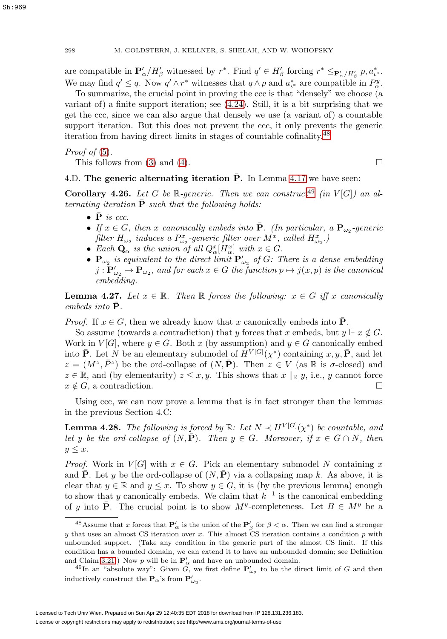are compatible in  $\mathbf{P}'_{\alpha}/H'_{\beta}$  witnessed by  $r^*$ . Find  $q' \in H'_{\beta}$  forcing  $r^* \leq_{\mathbf{P}'_{\alpha}/H'_{\beta}} p, a^*_{\iota^*}$ . We may find  $q' \leq q$ . Now  $q' \wedge r^*$  witnesses that  $q \wedge p$  and  $a_{\iota^*}^*$  are compatible in  $P^y_{\alpha}$ .

To summarize, the crucial point in proving the ccc is that "densely" we choose (a variant of) a finite support iteration; see [\(4.24\)](#page-52-2). Still, it is a bit surprising that we get the ccc, since we can also argue that densely we use (a variant of) a countable support iteration. But this does not prevent the ccc, it only prevents the generic iteration from having direct limits in stages of countable cofinality.[48](#page-53-1)

*Proof of*  $(5)$ .

This follows from [\(3\)](#page-49-2) and [\(4\)](#page-49-4).  $\Box$ 

## 4.D. **The generic alternating iteration P.** In Lemma [4.17](#page-48-2) we have seen:

<span id="page-53-4"></span>**Corollary 4.26.** Let G be R-generic. Then we can construct<sup>[49](#page-53-2)</sup> (in  $V[G]$ ) an alternating iteration  $P$  such that the following holds:

- $\bullet$  **P** is ccc.
- If  $x \in G$ , then x canonically embeds into  $\bar{P}$ . (In particular, a  $P_{\omega_2}$ -generic filter  $H_{\omega_2}$  induces a  $P_{\omega_2}^x$ -generic filter over  $M^x$ , called  $H_{\omega_2}^x$ .)
- Each  $\mathbf{Q}_{\alpha}$  is the union of all  $Q_{\alpha}^{x}[H_{\alpha}^{x}]$  with  $x \in G$ .
- $\mathbf{P}_{\omega_2}$  is equivalent to the direct limit  $\mathbf{P}'_{\omega_2}$  of G: There is a dense embedding  $j: \mathbf{P}'_{\omega_2} \to \mathbf{P}_{\omega_2},$  and for each  $x \in G$  the function  $p \mapsto j(x,p)$  is the canonical embedding.

<span id="page-53-3"></span>**Lemma 4.27.** Let  $x \in \mathbb{R}$ . Then  $\mathbb{R}$  forces the following:  $x \in G$  iff x canonically  $embeds$  into  $\bf{P}$ .

*Proof.* If  $x \in G$ , then we already know that x canonically embeds into **P**.

So assume (towards a contradiction) that y forces that x embeds, but  $y \Vdash x \notin G$ . Work in  $V[G]$ , where  $y \in G$ . Both x (by assumption) and  $y \in G$  canonically embed into **P**. Let N be an elementary submodel of  $H^{V[G]}(\chi^*)$  containing  $x, y, \bar{P}$ , and let  $z = (M^z, \bar{P}^z)$  be the ord-collapse of  $(N, \bar{P})$ . Then  $z \in V$  (as R is  $\sigma$ -closed) and  $z \in \mathbb{R}$ , and (by elementarity)  $z \leq x, y$ . This shows that  $x \parallel_{\mathbb{R}} y$ , i.e., y cannot force  $x \notin G$ , a contradiction.

Using ccc, we can now prove a lemma that is in fact stronger than the lemmas in the previous Section 4.C:

<span id="page-53-0"></span>**Lemma 4.28.** The following is forced by  $\mathbb{R}$ : Let  $N \prec H^{V[G]}(\chi^*)$  be countable, and let y be the ord-collapse of  $(N, \bar{P})$ . Then  $y \in G$ . Moreover, if  $x \in G \cap N$ , then  $y \leq x$ .

*Proof.* Work in  $V[G]$  with  $x \in G$ . Pick an elementary submodel N containing x and **P**. Let y be the ord-collapse of  $(N, \mathbf{P})$  via a collapsing map k. As above, it is clear that  $y \in \mathbb{R}$  and  $y \leq x$ . To show  $y \in G$ , it is (by the previous lemma) enough to show that y canonically embeds. We claim that  $k^{-1}$  is the canonical embedding of y into **P**. The crucial point is to show  $M^y$ -completeness. Let  $B \in M^y$  be a

<span id="page-53-1"></span><sup>&</sup>lt;sup>48</sup>Assume that x forces that  $P'_\n{\alpha}$  is the union of the  $P'_\n{\beta}$  for  $\beta < \alpha$ . Then we can find a stronger  $y$  that uses an almost CS iteration over  $x$ . This almost CS iteration contains a condition  $p$  with unbounded support. (Take any condition in the generic part of the almost CS limit. If this condition has a bounded domain, we can extend it to have an unbounded domain; see Definition and Claim [3.21.](#page-36-2)) Now p will be in  $P'_{\alpha}$  and have an unbounded domain.

<span id="page-53-2"></span>l Claim 3.21.) Now p will be in  $\mathbf{P}'_{\alpha}$  and have an unbounded domain.<br><sup>49</sup>In an "absolute way": Given G, we first define  $\mathbf{P}'_{\omega_2}$  to be the direct limit of G and then inductively construct the  $P_\alpha$ 's from  $P'_{\omega_2}$ .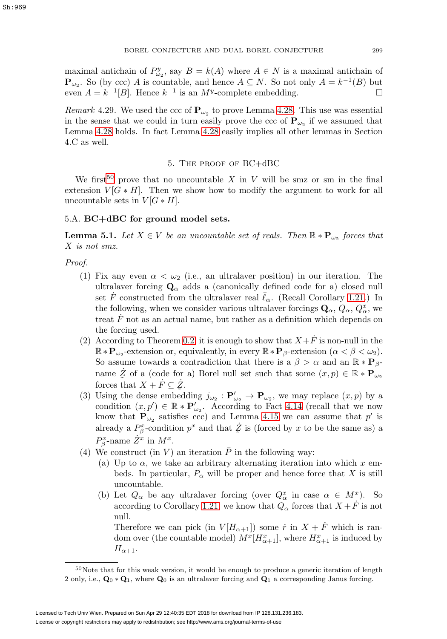maximal antichain of  $P_{\omega_2}^y$ , say  $B = k(A)$  where  $A \in N$  is a maximal antichain of **P**<sub>ω2</sub>. So (by ccc) A is countable, and hence  $A ⊆ N$ . So not only  $A = k^{-1}(B)$  but even  $A = k^{-1}[B]$ . Hence  $k^{-1}$  is an  $M^y$ -complete embedding.

*Remark* 4.29. We used the ccc of  $P_{\omega_2}$  to prove Lemma [4.28.](#page-53-0) This use was essential in the sense that we could in turn easily prove the ccc of  $\mathbf{P}_{\omega}$  if we assumed that Lemma [4.28](#page-53-0) holds. In fact Lemma [4.28](#page-53-0) easily implies all other lemmas in Section 4.C as well.

## 5. The proof of BC+dBC

<span id="page-54-0"></span>We first<sup>[50](#page-54-1)</sup> prove that no uncountable X in V will be smz or sm in the final extension  $V[G * H]$ . Then we show how to modify the argument to work for all uncountable sets in  $V[G * H]$ .

## <span id="page-54-3"></span>5.A. **BC+dBC for ground model sets.**

<span id="page-54-2"></span>**Lemma 5.1.** Let  $X \in V$  be an uncountable set of reals. Then  $\mathbb{R} * \mathbf{P}_{\omega_2}$  forces that X is not smz.

Proof.

- (1) Fix any even  $\alpha < \omega_2$  (i.e., an ultralaver position) in our iteration. The ultralaver forcing  $\mathbf{Q}_{\alpha}$  adds a (canonically defined code for a) closed null set F constructed from the ultralaver real  $\bar{\ell}_{\alpha}$ . (Recall Corollary [1.21.](#page-9-0)) In the following, when we consider various ultralaver forcings  $\mathbf{Q}_{\alpha}, Q_{\alpha}, Q_{\alpha}^{x}$ , we treat  $\ddot{F}$  not as an actual name, but rather as a definition which depends on the forcing used.
- (2) According to Theorem [0.2,](#page-4-0) it is enough to show that  $X+\dot{F}$  is non-null in the  $\mathbb{R} * \mathbf{P}_{\omega_2}$ -extension or, equivalently, in every  $\mathbb{R} * \mathbf{P}_{\beta}$ -extension  $(\alpha < \beta < \omega_2)$ . So assume towards a contradiction that there is a  $\beta > \alpha$  and an  $\mathbb{R} * \mathbf{P}_{\beta}$ name  $\dot{\mathcal{Z}}$  of a (code for a) Borel null set such that some  $(x, p) \in \mathbb{R} * \mathbf{P}_{\omega_2}$ forces that  $X + \dot{F} \subseteq \dot{Z}$ .<br>Using the dense embed
- (3) Using the dense embedding  $j_{\omega_2} : \mathbf{P}'_{\omega_2} \to \mathbf{P}_{\omega_2}$ , we may replace  $(x, p)$  by a condition  $(x, p') \in \mathbb{R} * \mathbf{P}'_{\omega_2}$ . According to Fact [4.14](#page-47-0) (recall that we now know that  $\mathbf{P}_{\omega_2}$  satisfies ccc) and Lemma [4.15](#page-47-1) we can assume that p' is already a  $P^x_\beta$ -condition  $p^x$  and that  $\dot{\mathcal{Z}}$  is (forced by x to be the same as) a  $P^x_\beta$ -name  $\dot{Z}^x$  in  $M^x$ .
- (4) We construct (in V) an iteration  $\bar{P}$  in the following way:
	- (a) Up to  $\alpha$ , we take an arbitrary alternating iteration into which x embeds. In particular,  $P_{\alpha}$  will be proper and hence force that X is still uncountable.
	- (b) Let  $Q_{\alpha}$  be any ultralaver forcing (over  $Q_{\alpha}^x$  in case  $\alpha \in M^x$ ). So according to Corollary [1.21,](#page-9-0) we know that  $Q_{\alpha}$  forces that  $X + \dot{F}$  is not null.

Therefore we can pick (in  $V[H_{\alpha+1}]$ ) some  $\dot{r}$  in  $X + \dot{F}$  which is random over (the countable model)  $M^x[H^x_{\alpha+1}]$ , where  $H^x_{\alpha+1}$  is induced by  $H_{\alpha+1}$ .

<span id="page-54-1"></span> $50$ Note that for this weak version, it would be enough to produce a generic iteration of length 2 only, i.e., **Q**<sup>0</sup> ∗ **Q**1, where **Q**<sup>0</sup> is an ultralaver forcing and **Q**<sup>1</sup> a corresponding Janus forcing.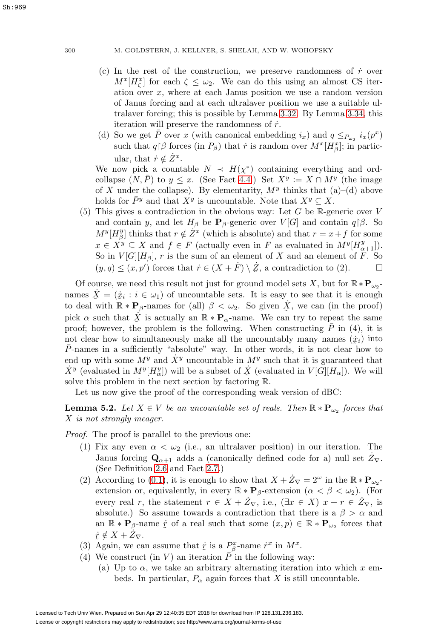- (c) In the rest of the construction, we preserve randomness of  $\dot{r}$  over  $M^{x}[H_{\zeta}^{x}]$  for each  $\zeta \leq \omega_{2}$ . We can do this using an almost CS iteration over  $x$ , where at each Janus position we use a random version of Janus forcing and at each ultralaver position we use a suitable ultralaver forcing; this is possible by Lemma 3.32. By Lemma [3.34,](#page-40-3) this iteration will preserve the randomness of  $\dot{r}$ .
- (d) So we get  $\overline{P}$  over x (with canonical embedding  $i_x$ ) and  $q \leq_{P_{\omega_2}} i_x(p^x)$ such that  $q \mid \beta$  forces (in  $P_{\beta}$ ) that  $\dot{r}$  is random over  $M^x[H_{\beta}^x]$ ; in particular, that  $\dot{r} \notin \dot{Z}^x$ .

We now pick a countable  $N \prec H(\chi^*)$  containing everything and ordcollapse  $(N, \overline{P})$  to  $y \leq x$ . (See Fact [4.4.](#page-44-2)) Set  $X^y := X \cap M^y$  (the image of X under the collapse). By elementarity,  $M<sup>y</sup>$  thinks that (a)–(d) above holds for  $\overline{P}y$  and that  $X^y$  is uncountable. Note that  $X^y \subseteq X$ .

(5) This gives a contradiction in the obvious way: Let  $G$  be R-generic over  $V$ and contain y, and let  $H_\beta$  be **P**<sub>β</sub>-generic over  $V[G]$  and contain  $q \upharpoonright \beta$ . So  $M^{y}[H_{\beta}^{y}]$  thinks that  $r \notin \dot{Z}^{x}$  (which is absolute) and that  $r = x + f$  for some  $x \in X^y \subseteq X$  and  $f \in F$  (actually even in F as evaluated in  $M^y[H^y_{\alpha+1}].$ So in  $V[G][H_\beta]$ , r is the sum of an element of X and an element of F. So  $(y,q) \leq (x,p')$  forces that  $\dot{r} \in (X+\dot{F}) \setminus \dot{\mathcal{Z}}$ , a contradiction to (2).

Of course, we need this result not just for ground model sets X, but for  $\mathbb{R} * \mathbf{P}_{\omega_2}$ names  $\dot{X} = (\dot{x}_i : i \in \omega_1)$  of uncountable sets. It is easy to see that it is enough<br>to deal with  $\mathbb{P} * \mathbf{P}$ , names for (all)  $\beta \leq \omega_1$ . So given  $\dot{X}$  we gan (in the proof) to deal with  $\mathbb{R} * \mathbf{P}_{\beta}$ -names for (all)  $\beta < \omega_2$ . So given  $\dot{X}$ , we can (in the proof) pick  $\alpha$  such that  $\dot{X}$  is actually an  $\mathbb{R} * \mathbf{P}_{\alpha}$ -name. We can try to repeat the same<br>proof: however, the problem is the following. When constructing  $\bar{P}$  in (4) it is proof; however, the problem is the following. When constructing  $\overline{P}$  in (4), it is not clear how to simultaneously make all the uncountably many names  $(\dot{x}_i)$  into  $\bar{P}_{\text{anames}}$  in a sufficiently "absolute" way. In other words it is not clear how to P-names in a sufficiently "absolute" way. In other words, it is not clear how to end up with some  $M^y$  and  $\dot{X}^y$  uncountable in  $M^y$  such that it is guaranteed that  $\dot{X}^y$  (evaluated in  $M^y[H^y_\alpha]$ ) will be a subset of  $\dot{X}$  (evaluated in  $V[\tilde{G}][H_\alpha]$ ). We will solve this problem in the next section by factoring  $\mathbb R$ solve this problem in the next section by factoring R.

Let us now give the proof of the corresponding weak version of dBC:

<span id="page-55-0"></span>**Lemma 5.2.** Let  $X \in V$  be an uncountable set of reals. Then  $\mathbb{R} * \mathbf{P}_{\omega_2}$  forces that X is not strongly meager.

Proof. The proof is parallel to the previous one:

- (1) Fix any even  $\alpha < \omega_2$  (i.e., an ultralaver position) in our iteration. The Janus forcing  $\mathbf{Q}_{\alpha+1}$  adds a (canonically defined code for a) null set  $\dot{Z}_{\nabla}$ . (See Definition [2.6](#page-21-6) and Fact [2.7.](#page-21-1))
- (2) According to [\(0.1\)](#page-4-3), it is enough to show that  $X + \dot{Z}_{\nabla} = 2^{\omega}$  in the  $\mathbb{R} * \mathbf{P}_{\omega_2}$ extension or, equivalently, in every  $\mathbb{R} * \mathbf{P}_{\beta}$ -extension  $(\alpha < \beta < \omega_2)$ . (For every real r, the statement  $r \in X + \dot{Z}_{\nabla}$ , i.e.,  $(\exists x \in X)$   $x + r \in \dot{Z}_{\nabla}$ , is absolute.) So assume towards a contradiction that there is a  $\beta > \alpha$  and an  $\mathbb{R} * \mathbf{P}_{\beta}$ -name  $\dot{r}$  of a real such that some  $(x, p) \in \mathbb{R} * \mathbf{P}_{\omega_2}$  forces that  $\dot{x} \notin X + \dot{Z}_{\nabla}.$
- (3) Again, we can assume that  $\dot{\mathcal{I}}$  is a  $P^x_\beta$ -name  $\dot{r}^x$  in  $M^x$ .<br>(4) We construct (in V) on iteration  $\overline{R}$  in the following r
- (4) We construct (in  $V$ ) an iteration  $P$  in the following way:
	- (a) Up to  $\alpha$ , we take an arbitrary alternating iteration into which x embeds. In particular,  $P_{\alpha}$  again forces that X is still uncountable.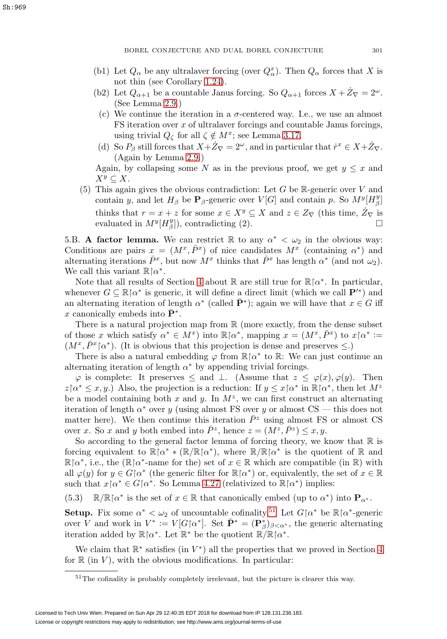- (b1) Let  $Q_{\alpha}$  be any ultralaver forcing (over  $Q_{\alpha}^{x}$ ). Then  $Q_{\alpha}$  forces that X is not thin (see Corollary [1.24\)](#page-10-0).
- (b2) Let  $Q_{\alpha+1}$  be a countable Janus forcing. So  $Q_{\alpha+1}$  forces  $X + \dot{Z}_{\nabla} = 2^{\omega}$ . (See Lemma [2.9.](#page-22-0))
- (c) We continue the iteration in a  $\sigma$ -centered way. I.e., we use an almost FS iteration over x of ultralaver forcings and countable Janus forcings, using trivial  $Q_{\zeta}$  for all  $\zeta \notin M^x$ ; see Lemma [3.17.](#page-35-2)
- (d) So  $P_{\beta}$  still forces that  $X + \dot{Z}_{\nabla} = 2^{\omega}$ , and in particular that  $\dot{r}^x \in X + \dot{Z}_{\nabla}$ . (Again by Lemma [2.9.](#page-22-0))

Again, by collapsing some N as in the previous proof, we get  $y \leq x$  and  $X^y \subseteq X$ .

(5) This again gives the obvious contradiction: Let  $G$  be R-generic over V and contain y, and let  $H_\beta$  be **P**<sub>β</sub>-generic over  $V[G]$  and contain p. So  $M^y[H_\beta^y]$ thinks that  $r = x + z$  for some  $x \in X^y \subseteq X$  and  $z \in Z_{\nabla}$  (this time,  $Z_{\nabla}$  is evaluated in  $M^y[H^y_{\beta}]$ , contradicting (2).

5.B. **A factor lemma.** We can restrict  $\mathbb R$  to any  $\alpha^* < \omega_2$  in the obvious way: Conditions are pairs  $x = (M^x, \bar{P}^x)$  of nice candidates  $M^x$  (containing  $\alpha^*$ ) and alternating iterations  $\bar{P}^x$ , but now  $M^x$  thinks that  $\bar{P}^x$  has length  $\alpha^*$  (and not  $\omega_2$ ). We call this variant  $\mathbb{R} \upharpoonright \alpha^*$ .

Note that all results of Section [4](#page-43-0) about  $\mathbb R$  are still true for  $\mathbb R\backslash\alpha^*$ . In particular, whenever  $G \subseteq \mathbb{R} \upharpoonright \alpha^*$  is generic, it will define a direct limit (which we call  $\mathbf{P}'^*$ ) and an alternating iteration of length  $\alpha^*$  (called  $\mathbf{P}^*$ ); again we will have that  $x \in G$  iff x canonically embeds into  $\mathbf{P}^*$ .

There is a natural projection map from  $\mathbb R$  (more exactly, from the dense subset of those x which satisfy  $\alpha^* \in M^x$ ) into  $\mathbb{R}[\alpha^*, \text{ mapping } x = (M^x, \overline{P}^x)$  to  $x | \alpha^* :=$  $(M^x, \bar{P}^x | \alpha^*)$ . (It is obvious that this projection is dense and preserves  $\leq$ .)

There is also a natural embedding  $\varphi$  from  $\mathbb{R} \upharpoonright \alpha^*$  to  $\mathbb{R}$ : We can just continue an alternating iteration of length  $\alpha^*$  by appending trivial forcings.

 $\varphi$  is complete: It preserves  $\leq$  and  $\perp$ . (Assume that  $z \leq \varphi(x), \varphi(y)$ . Then  $z\upharpoonright\alpha^* \leq x, y$ . Also, the projection is a reduction: If  $y \leq x\upharpoonright\alpha^*$  in  $\mathbb{R}\upharpoonright\alpha^*$ , then let  $M^z$ be a model containing both x and y. In  $M^z$ , we can first construct an alternating iteration of length  $\alpha^*$  over y (using almost FS over y or almost CS — this does not matter here). We then continue this iteration  $\bar{P}^z$  using almost FS or almost CS over x. So x and y both embed into  $\bar{P}^z$ , hence  $z = (M^z, \bar{P}^z) \leq x, y$ .

So according to the general factor lemma of forcing theory, we know that  $\mathbb R$  is forcing equivalent to  $\mathbb{R}[\alpha^* * (\mathbb{R}/\mathbb{R}[\alpha^*])$ , where  $\mathbb{R}/\mathbb{R}[\alpha^*]$  is the quotient of  $\mathbb{R}$  and  $\mathbb{R} \upharpoonright \alpha^*$ , i.e., the  $(\mathbb{R} \upharpoonright \alpha^*$ -name for the) set of  $x \in \mathbb{R}$  which are compatible (in  $\mathbb{R}$ ) with all  $\varphi(y)$  for  $y \in G \upharpoonright \alpha^*$  (the generic filter for  $\mathbb{R} \upharpoonright \alpha^*$ ) or, equivalently, the set of  $x \in \mathbb{R}$ such that  $x \upharpoonright \alpha^* \in G \upharpoonright \alpha^*$ . So Lemma [4.27](#page-53-3) (relativized to  $\mathbb{R} \upharpoonright \alpha^*$ ) implies:

(5.3)  $\mathbb{R}/\mathbb{R} \upharpoonright \alpha^*$  is the set of  $x \in \mathbb{R}$  that canonically embed (up to  $\alpha^*$ ) into  $\mathbf{P}_{\alpha^*}$ .

**Setup.** Fix some  $\alpha^* < \omega_2$  of uncountable cofinality.<sup>[51](#page-56-0)</sup> Let  $G\upharpoonright \alpha^*$  be  $\mathbb{R}\upharpoonright \alpha^*$ -generic over V and work in  $V^* := V[G \upharpoonright \alpha^*]$ . Set  $\overline{P}^* = (\mathbf{P}^*_{\beta})_{\beta < \alpha^*}$ , the generic alternating iteration added by  $\mathbb{R} \upharpoonright \alpha^*$ . Let  $\mathbb{R}^*$  be the quotient  $\mathbb{R}/\mathbb{R} \upharpoonright \alpha^*$ .

We claim that  $\mathbb{R}^*$  satisfies (in  $V^*$ ) all the properties that we proved in Section [4](#page-43-0) for  $\mathbb R$  (in V), with the obvious modifications. In particular:

<span id="page-56-0"></span> $51$ The cofinality is probably completely irrelevant, but the picture is clearer this way.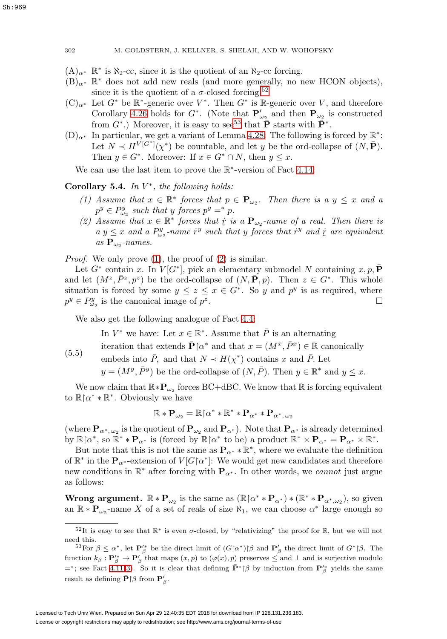- $(A)_{\alpha^*}$  R<sup>∗</sup> is  $\aleph_2$ -cc, since it is the quotient of an  $\aleph_2$ -cc forcing.
- $(B)_{\alpha^*}$  R<sup>∗</sup> does not add new reals (and more generally, no new HCON objects), since it is the quotient of a  $\sigma$ -closed forcing.<sup>[52](#page-57-0)</sup>
- $(C)_{\alpha^*}$  Let  $G^*$  be  $\mathbb{R}^*$ -generic over  $V^*$ . Then  $G^*$  is  $\mathbb{R}$ -generic over V, and therefore Corollary [4.26](#page-53-4) holds for  $G^*$ . (Note that  $P'_{\omega_2}$  and then  $P_{\omega_2}$  is constructed from  $G^*$ .) Moreover, it is easy to see<sup>[53](#page-57-1)</sup> that  $\bar{\mathbf{P}}$  starts with  $\bar{\mathbf{P}}^*$ .
- $(D)_{\alpha^*}$  In particular, we get a variant of Lemma [4.28:](#page-53-0) The following is forced by  $\mathbb{R}^*$ : Let  $N \prec H^{V[G^*]}(\chi^*)$  be countable, and let y be the ord-collapse of  $(N, \bar{P})$ . Then  $y \in G^*$ . Moreover: If  $x \in G^* \cap N$ , then  $y \leq x$ .

We can use the last item to prove the R∗-version of Fact [4.14:](#page-47-0)

# <span id="page-57-4"></span><span id="page-57-2"></span>**Corollary 5.4.** In  $V^*$ , the following holds:

- (1) Assume that  $x \in \mathbb{R}^*$  forces that  $p \in \mathbf{P}_{\omega_2}$ . Then there is a  $y \leq x$  and a  $p^y \in P_{\omega_2}^y$  such that y forces  $p^y =^* p$ .
- <span id="page-57-3"></span>(2) Assume that  $x \in \mathbb{R}^*$  forces that  $\dot{x}$  is a  $\mathbf{P}_{\omega_2}$ -name of a real. Then there is a  $y \leq x$  and a  $P^y$ -name  $\dot{x}^y$  such that u forces that  $\dot{x}^y$  and  $\dot{x}$  are equivalent  $a y \leq x$  and  $a P_{\omega_2}^y$ -name  $\dot{r}^y$  such that y forces that  $\dot{r}^y$  and  $\dot{r}$  are equivalent  $as$   $\mathbf{P}_{\omega_2}$ -names.

Proof. We only prove [\(1\)](#page-57-2), the proof of [\(2\)](#page-57-3) is similar.

Let  $G^*$  contain x. In  $V[G^*]$ , pick an elementary submodel N containing  $x, p, \overline{P}$ and let  $(M^z, \bar{P}^z, p^z)$  be the ord-collapse of  $(N, \bar{P}, p)$ . Then  $z \in G^*$ . This whole situation is forced by some  $y \leq z \leq x \in G^*$ . So y and  $p^y$  is as required, where  $p^y \in P_{\omega_2}^y$  is the canonical image of  $p^z$ .

We also get the following analogue of Fact [4.4:](#page-44-2)

In  $V^*$  we have: Let  $x \in \mathbb{R}^*$ . Assume that  $\overline{P}$  is an alternating

<span id="page-57-5"></span>(5.5) iteration that extends  $\bar{\mathbf{P}} \upharpoonright \alpha^*$  and that  $x = (M^x, \bar{P}^x) \in \mathbb{R}$  canonically

embeds into  $\overline{P}$ , and that  $N \prec H(\chi^*)$  contains x and  $\overline{P}$ . Let

 $y = (M^y, \bar{P}^y)$  be the ord-collapse of  $(N, \bar{P})$ . Then  $y \in \mathbb{R}^*$  and  $y \leq x$ .

We now claim that  $\mathbb{R} * \mathbf{P}_{\omega_2}$  forces BC+dBC. We know that  $\mathbb R$  is forcing equivalent to  $\mathbb{R} \upharpoonright \alpha^* * \mathbb{R}^*$ . Obviously we have

$$
\mathbb{R} * \mathbf{P}_{\omega_2} = \mathbb{R} \!\hspace*{.3mm} \upharpoonright\hspace*{.5mm} \alpha^* * \mathbb{R}^* * \mathbf{P}_{\alpha^*} * \mathbf{P}_{\alpha^*,\, \omega_2}
$$

(where  $\mathbf{P}_{\alpha^*,\omega_2}$  is the quotient of  $\mathbf{P}_{\omega_2}$  and  $\mathbf{P}_{\alpha^*}$ ). Note that  $\mathbf{P}_{\alpha^*}$  is already determined by  $\mathbb{R} \upharpoonright \alpha^*$ , so  $\mathbb{R}^* * \mathbf{P}_{\alpha^*}$  is (forced by  $\mathbb{R} \upharpoonright \alpha^*$  to be) a product  $\mathbb{R}^* \times \mathbf{P}_{\alpha^*} = \mathbf{P}_{\alpha^*} \times \mathbb{R}^*$ .

But note that this is not the same as  $\mathbf{P}_{\alpha^*} * \mathbb{R}^*$ , where we evaluate the definition of  $\mathbb{R}^*$  in the  $\mathbf{P}_{\alpha^*}$ -extension of  $V[G\upharpoonright\!\alpha^*]$ : We would get new candidates and therefore new conditions in R<sup>∗</sup> after forcing with **P**α<sup>∗</sup> . In other words, we cannot just argue as follows:

**Wrong argument.**  $\mathbb{R} * \mathbf{P}_{\omega_2}$  is the same as  $(\mathbb{R} \restriction \alpha^* * \mathbf{P}_{\alpha^*}) * (\mathbb{R}^* * \mathbf{P}_{\alpha^*,\omega_2})$ , so given an  $\mathbb{R} * \mathbf{P}_{\omega_2}$ -name X of a set of reals of size  $\aleph_1$ , we can choose  $\alpha^*$  large enough so

<span id="page-57-0"></span><sup>&</sup>lt;sup>52</sup>It is easy to see that  $\mathbb{R}^*$  is even  $\sigma$ -closed, by "relativizing" the proof for  $\mathbb{R}$ , but we will not need this.

<span id="page-57-1"></span><sup>&</sup>lt;sup>53</sup>For  $\beta \le \alpha^*$ , let  $\mathbf{P}'_{\beta}$  be the direct limit of  $(G_{\alpha^*})\beta$  and  $\mathbf{P}'_{\beta}$  the direct limit of  $G^*\beta$ . The function  $k_\beta : \mathbf{P}'_\beta^* \to \mathbf{P}'_\beta$  that maps  $(x, p)$  to  $(\varphi(x), p)$  preserves  $\leq$  and  $\perp$  and is surjective modulo  $=$ \*; see Fact 4.11[\(3\)](#page-46-1). So it is clear that defining  $\bar{P}$ <sup>\*</sup> | $\beta$  by induction from  $P'^*_{\beta}$  yields the same result as defining  $\bar{\mathbf{P}} \upharpoonright \beta$  from  $\mathbf{P}'_{\beta}$ .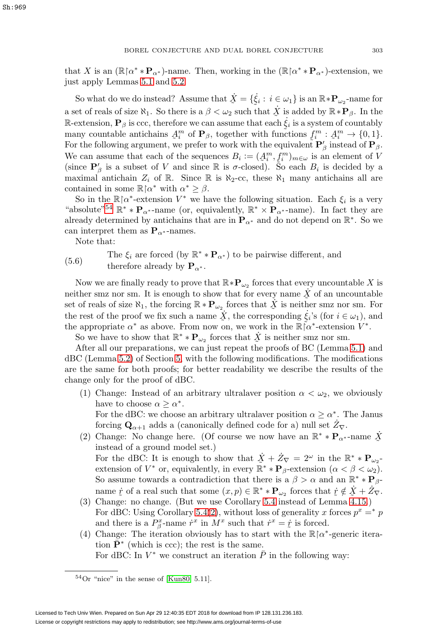that X is an  $(\mathbb{R} \wedge^* * \mathbf{P}_{\alpha^*})$ -name. Then, working in the  $(\mathbb{R} \wedge^* * \mathbf{P}_{\alpha^*})$ -extension, we just apply Lemmas [5.1](#page-54-2) and [5.2.](#page-55-0)

So what do we do instead? Assume that  $\dot{X} = {\{\dot{\xi}_i : i \in \omega_1\}}$  is an  $\mathbb{R} * \mathbf{P}_{\omega_2}$ -name for a set of reals of size  $\aleph_1$ . So there is a  $\beta < \omega_2$  such that  $\dot{X}$  is added by  $\mathbb{R} * \mathbf{P}_{\beta}$ . In the R-extension,  $P_\beta$  is ccc, therefore we can assume that each  $\dot{\xi}_i$  is a system of countably many countable antichains  $A^m$  of  $P_\beta$ , together with functions  $f^m : A^m \to \{0, 1\}$ . many countable antichains  $A_i^m$  of  $\mathbf{P}_{\beta}$ , together with functions  $f_i^m : A_i^m \to \{0,1\}$ .<br>For the following argument, we prefer to work with the equivalent  $\mathbf{P}'_a$  instead of  $\mathbf{P}_a$ . For the following argument, we prefer to work with the equivalent  $\mathbf{P}'_\beta$  instead of  $\mathbf{P}_\beta$ . We can assume that each of the sequences  $B_i := (A_i^m, f_i^m)_{m \in \omega}$  is an element of V<br>(since  $\mathbf{P}'$  is a subset of V and since  $\mathbb{R}$  is  $\sigma$  closed). So each R, is decided by a (since  $P'_{\beta}$  is a subset of V and since R is  $\sigma$ -closed). So each  $B_i$  is decided by a maximal antichain  $Z_i$  of R. Since R is  $\aleph_2$ -cc, these  $\aleph_1$  many antichains all are contained in some  $\mathbb{R} \upharpoonright \alpha^*$  with  $\alpha^* \geq \beta$ .

So in the  $\mathbb{R} \upharpoonright \alpha^*$ -extension  $V^*$  we have the following situation. Each  $\xi_i$  is a very "absolute"<sup>[54](#page-58-0)</sup>  $\mathbb{R}^* * \mathbf{P}_{\alpha^*}$ -name (or, equivalently,  $\mathbb{R}^* \times \mathbf{P}_{\alpha^*}$ -name). In fact they are already determined by antichains that are in  $\mathbf{P}_{\alpha^*}$  and do not depend on  $\mathbb{R}^*$ . So we can interpret them as  $\mathbf{P}_{\alpha^*}$ -names.

Note that:

# <span id="page-58-1"></span>(5.6) The  $\xi_i$  are forced (by  $\mathbb{R}^* * \mathbf{P}_{\alpha^*}$ ) to be pairwise different, and therefore already by  $\mathbf{P}_{\alpha^*}$ .

Now we are finally ready to prove that  $\mathbb{R} * \mathbf{P}_{\omega_2}$  forces that every uncountable X is neither smz nor sm. It is enough to show that for every name  $\dot{X}$  of an uncountable<br>set of reals of size  $\aleph_1$ , the forcing  $\mathbb{R} * \mathbf{P}$  forces that  $\dot{X}$  is neither smz nor sm. For set of reals of size  $\aleph_1$ , the forcing  $\mathbb{R} * \mathbf{P}_{\omega_2}$  forces that  $\check{X}$  is neither smz nor sm. For the rest of the proof we fix such a name  $\dot{X}$ , the corresponding  $\dot{\xi}_i$ 's (for  $i \in \omega_1$ ), and the appropriate  $\alpha^*$  as above. From now on, we work in the  $\mathbb{R} \tilde{I} \alpha^*$ -extension  $V^*$ . the appropriate  $\alpha^*$  as above. From now on, we work in the  $\mathbb{R} \upharpoonright \alpha^*$ -extension  $V^*$ .

So we have to show that  $\mathbb{R}^* * \mathbf{P}_{\omega_2}$  forces that  $\dot{X}$  is neither smz nor sm.

After all our preparations, we can just repeat the proofs of BC (Lemma [5.1\)](#page-54-2) and dBC (Lemma [5.2\)](#page-55-0) of Section [5,](#page-54-3) with the following modifications. The modifications are the same for both proofs; for better readability we describe the results of the change only for the proof of dBC.

- (1) Change: Instead of an arbitrary ultralaver position  $\alpha < \omega_2$ , we obviously have to choose  $\alpha > \alpha^*$ . For the dBC: we choose an arbitrary ultralaver position  $\alpha \geq \alpha^*$ . The Janus forcing  $\mathbf{Q}_{\alpha+1}$  adds a (canonically defined code for a) null set  $\dot{Z}_{\nabla}$ .
- (2) Change: No change here. (Of course we now have an  $\mathbb{R}^* * \mathbf{P}_{\alpha^*}$ -name  $\dot{X}$  instead of a ground model set ) instead of a ground model set.) For the dBC: It is enough to show that  $\dot{X} + \dot{Z}_{\nabla} = 2^{\omega}$  in the  $\mathbb{R}^* * \mathbf{P}_{\omega_2}$ -extension of  $V^*$  or equivalently in every  $\mathbb{R}^* * \mathbf{P}_{\omega_2}$ -extension  $(\alpha \leq \beta \leq \omega_0)$ extension of  $V^*$  or, equivalently, in every  $\mathbb{R}^* * \mathbf{P}_{\beta}$ -extension  $(\alpha < \beta < \omega_2)$ . So assume towards a contradiction that there is a  $\beta > \alpha$  and an  $\mathbb{R}^* * \mathbf{P}_{\beta}$ name  $\dot{r}$  of a real such that some  $(x, p) \in \mathbb{R}^* * \mathbf{P}_{\omega_2}$  forces that  $\dot{r} \notin \dot{X} + \dot{Z}_{\nabla}$ .<br>Change: no change (But we use Corollary 5.4 instead of Lemma 4.15)
- (3) Change: no change. (But we use Corollary [5.4](#page-57-4) instead of Lemma [4.15.](#page-47-1)) For dBC: Using Corollary [5.4\(](#page-57-4)[2\)](#page-57-3), without loss of generality x forces  $p^x =^* p$ and there is a  $P_{\beta}^x$ -name  $\dot{r}^x$  in  $M^x$  such that  $\dot{r}^x = \dot{r}$  is forced.<br>Change: The iteration obviously has to start with the  $\mathbb{R} \uparrow \alpha^*$
- (4) Change: The iteration obviously has to start with the  $\mathbb{R} \upharpoonright \alpha^*$ -generic iteration  $\bar{P}^*$  (which is ccc); the rest is the same. For dBC: In  $V^*$  we construct an iteration  $\bar{P}$  in the following way:

<span id="page-58-0"></span> $54$ Or "nice" in the sense of [\[Kun80,](#page-62-8) 5.11].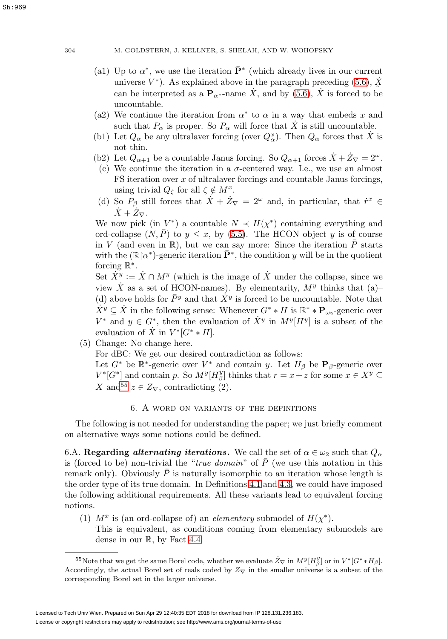- (a1) Up to  $\alpha^*$ , we use the iteration  $\bar{\mathbf{P}}^*$  (which already lives in our current universe  $V^*$ ). As explained above in the paragraph preceding [\(5.6\)](#page-58-1),  $\dot{X}$  can be interpreted as a **P** name  $\dot{X}$  and by (5.6),  $\dot{X}$  is forced to be can be interpreted as a  $\mathbf{P}_{\alpha^*}$ -name  $\dot{X}$ , and by [\(5.6\)](#page-58-1),  $\dot{X}$  is forced to be uncountable.
- (a2) We continue the iteration from  $\alpha^*$  to  $\alpha$  in a way that embeds x and such that  $P_{\alpha}$  is proper. So  $P_{\alpha}$  will force that X is still uncountable.
- (b1) Let  $Q_{\alpha}$  be any ultralaver forcing (over  $Q_{\alpha}^{x}$ ). Then  $Q_{\alpha}$  forces that  $\dot{X}$  is not thin.
- (b2) Let  $Q_{\alpha+1}$  be a countable Janus forcing. So  $Q_{\alpha+1}$  forces  $\dot{X} + \dot{Z}_{\nabla} = 2^{\omega}$ .
- (c) We continue the iteration in a  $\sigma$ -centered way. I.e., we use an almost  $FS$  iteration over  $x$  of ultralaver forcings and countable Janus forcings, using trivial  $Q_{\zeta}$  for all  $\zeta \notin M^x$ .
- (d) So  $P_\beta$  still forces that  $\dot{X} + \dot{Z}_{\nabla} = 2^{\omega}$  and, in particular, that  $\dot{r}^x \in$  $\dot{X}+\dot{Z}_{\nabla}$ .

We now pick (in  $V^*$ ) a countable  $N \prec H(\chi^*)$  containing everything and ord-collapse  $(N, \overline{P})$  to  $y \leq x$ , by [\(5.5\)](#page-57-5). The HCON object y is of course in V (and even in R), but we can say more: Since the iteration  $\overline{P}$  starts with the  $(\mathbb{R} \upharpoonright \alpha^*)$ -generic iteration  $\bar{\mathbf{P}}^*$ , the condition y will be in the quotient forcing  $\mathbb{R}^*$ .

Set  $X^y := X \cap M^y$  (which is the image of X under the collapse, since we view X as a set of HCON-names). By elementarity,  $M<sup>y</sup>$  thinks that (a)– (d) above holds for  $\bar{P}y$  and that  $\dot{X}y$  is forced to be uncountable. Note that  $\dot{X}^y \subseteq \dot{X}$  in the following sense: Whenever  $G^* * H$  is  $\mathbb{R}^* * \mathbf{P}_{\omega_2}$ -generic over  $V^*$  and  $y \in G^*$ , then the evaluation of  $\dot{X}^y$  in  $M^y[H^y]$  is a subset of the evaluation of  $\dot{X}$  in  $V^*[G^* * H]$ .

(5) Change: No change here. For dBC: We get our desired contradiction as follows: Let  $G^*$  be  $\mathbb{R}^*$ -generic over  $V^*$  and contain y. Let  $H_\beta$  be  $\mathbf{P}_\beta$ -generic over  $V^*[G^*]$  and contain p. So  $M^y[H_\beta^y]$  thinks that  $r = x+z$  for some  $x \in X^y \subseteq$ X and<sup>[55](#page-59-1)</sup>  $z \in Z_{\nabla}$ , contradicting (2).

# 6. A word on variants of the definitions

<span id="page-59-0"></span>The following is not needed for understanding the paper; we just briefly comment on alternative ways some notions could be defined.

6.A. **Regarding** *alternating iterations*. We call the set of  $\alpha \in \omega_2$  such that  $Q_\alpha$ is (forced to be) non-trivial the "*true domain*" of  $\overline{P}$  (we use this notation in this remark only). Obviously  $\bar{P}$  is naturally isomorphic to an iteration whose length is the order type of its true domain. In Definitions [4.1](#page-43-6) and [4.3,](#page-44-3) we could have imposed the following additional requirements. All these variants lead to equivalent forcing notions.

(1)  $M^x$  is (an ord-collapse of) an *elementary* submodel of  $H(\chi^*)$ . This is equivalent, as conditions coming from elementary submodels are dense in our R, by Fact [4.4.](#page-44-2)

<span id="page-59-1"></span><sup>&</sup>lt;sup>55</sup>Note that we get the same Borel code, whether we evaluate  $\dot{Z}_{\nabla}$  in  $M^{y}[H^{y}_{\beta}]$  or in  $V^{*}[G^{*}*H_{\beta}]$ . Accordingly, the actual Borel set of reals coded by  $Z_{\nabla}$  in the smaller universe is a subset of the corresponding Borel set in the larger universe.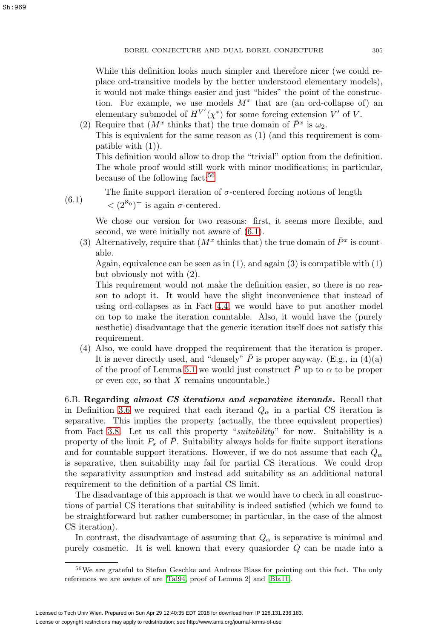While this definition looks much simpler and therefore nicer (we could replace ord-transitive models by the better understood elementary models), it would not make things easier and just "hides" the point of the construction. For example, we use models  $M^x$  that are (an ord-collapse of) an elementary submodel of  $H^{V'}(\chi^*)$  for some forcing extension  $V'$  of V.

(2) Require that  $(M^x)$  thinks that) the true domain of  $\bar{P}^x$  is  $\omega_2$ . This is equivalent for the same reason as (1) (and this requirement is compatible with  $(1)$ ). This definition would allow to drop the "trivial" option from the definition.

The whole proof would still work with minor modifications; in particular, because of the following fact:[56](#page-60-0)

<span id="page-60-1"></span>The finite support iteration of  $\sigma$ -centered forcing notions of length  $(6.1)$ 

 $\langle (2^{\aleph_0})^+$  is again  $\sigma$ -centered.

We chose our version for two reasons: first, it seems more flexible, and second, we were initially not aware of [\(6.1\)](#page-60-1).

(3) Alternatively, require that  $(M^x \text{ thinks that})$  the true domain of  $\overline{P}^x$  is countable.

Again, equivalence can be seen as in  $(1)$ , and again  $(3)$  is compatible with  $(1)$ but obviously not with (2).

This requirement would not make the definition easier, so there is no reason to adopt it. It would have the slight inconvenience that instead of using ord-collapses as in Fact [4.4,](#page-44-2) we would have to put another model on top to make the iteration countable. Also, it would have the (purely aesthetic) disadvantage that the generic iteration itself does not satisfy this requirement.

(4) Also, we could have dropped the requirement that the iteration is proper. It is never directly used, and "densely"  $\overline{P}$  is proper anyway. (E.g., in (4)(a) of the proof of Lemma [5.1](#page-54-2) we would just construct  $\bar{P}$  up to  $\alpha$  to be proper or even  $\operatorname{ccc}$ , so that X remains uncountable.)

6.B. **Regarding** *almost CS iterations and separative iterands***.** Recall that in Definition [3.6](#page-31-0) we required that each iterand  $Q_{\alpha}$  in a partial CS iteration is separative. This implies the property (actually, the three equivalent properties) from Fact [3.8.](#page-31-3) Let us call this property "suitability" for now. Suitability is a property of the limit  $P_{\varepsilon}$  of  $\overline{P}$ . Suitability always holds for finite support iterations and for countable support iterations. However, if we do not assume that each  $Q_{\alpha}$ is separative, then suitability may fail for partial CS iterations. We could drop the separativity assumption and instead add suitability as an additional natural requirement to the definition of a partial CS limit.

The disadvantage of this approach is that we would have to check in all constructions of partial CS iterations that suitability is indeed satisfied (which we found to be straightforward but rather cumbersome; in particular, in the case of the almost CS iteration).

In contrast, the disadvantage of assuming that  $Q_{\alpha}$  is separative is minimal and purely cosmetic. It is well known that every quasiorder Q can be made into a

<span id="page-60-0"></span><sup>56</sup>We are grateful to Stefan Geschke and Andreas Blass for pointing out this fact. The only references we are aware of are [\[Tal94,](#page-62-9) proof of Lemma 2] and [\[Bla11\]](#page-61-13).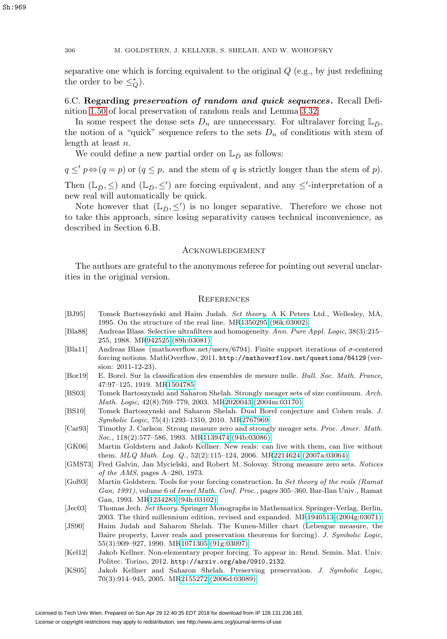separative one which is forcing equivalent to the original  $Q$  (e.g., by just redefining the order to be  $\leq_Q^*$ ).

6.C. **Regarding** *preservation of random and quick sequences***.** Recall Definition [1.50](#page-18-3) of local preservation of random reals and Lemma 3.32.

In some respect the dense sets  $D_n$  are unnecessary. For ultralaver forcing  $\mathbb{L}_{\bar{D}}$ , the notion of a "quick" sequence refers to the sets  $D_n$  of conditions with stem of length at least n.

We could define a new partial order on  $\mathbb{L}_{\bar{D}}$  as follows:

 $q \leq' p \Leftrightarrow (q = p)$  or  $(q \leq p$ , and the stem of q is strictly longer than the stem of p).

Then  $(\mathbb{L}_{\bar{D}}, \leq)$  and  $(\mathbb{L}_{\bar{D}}, \leq')$  are forcing equivalent, and any  $\leq'$ -interpretation of a new real will automatically be quick.

Note however that  $(\mathbb{L}_{\bar{D}}, \leq')$  is no longer separative. Therefore we chose not to take this approach, since losing separativity causes technical inconvenience, as described in Section 6.B.

### **ACKNOWLEDGEMENT**

The authors are grateful to the anonymous referee for pointing out several unclarities in the original version.

### **REFERENCES**

- <span id="page-61-3"></span>[BJ95] Tomek Bartoszyński and Haim Judah. Set theory. A K Peters Ltd., Wellesley, MA, 1995. On the structure of the real line. M[R1350295 \(96k:03002\)](http://www.ams.org/mathscinet-getitem?mr=1350295)
- <span id="page-61-9"></span>[Bla88] Andreas Blass. Selective ultrafilters and homogeneity. Ann. Pure Appl. Logic, 38(3):215– 255, 1988. M[R942525 \(89h:03081\)](http://www.ams.org/mathscinet-getitem?mr=942525)
- <span id="page-61-13"></span>[Bla11] Andreas Blass (mathoverflow.net/users/6794). Finite support iterations of σ-centered forcing notions. MathOverflow, 2011. http://mathoverflow.net/questions/84129 (version: 2011-12-23).
- <span id="page-61-0"></span>[Bor19] E. Borel. Sur la classification des ensembles de mesure nulle. Bull. Soc. Math. France, 47:97–125, 1919. M[R1504785](http://www.ams.org/mathscinet-getitem?mr=1504785)
- <span id="page-61-5"></span>[BS03] Tomek Bartoszynski and Saharon Shelah. Strongly meager sets of size continuum. Arch. Math. Logic, 42(8):769–779, 2003. M[R2020043 \(2004m:03170\)](http://www.ams.org/mathscinet-getitem?mr=2020043)
- <span id="page-61-4"></span>[BS10] Tomek Bartoszynski and Saharon Shelah. Dual Borel conjecture and Cohen reals. J. Symbolic Logic, 75(4):1293–1310, 2010. M[R2767969](http://www.ams.org/mathscinet-getitem?mr=2767969)
- <span id="page-61-2"></span>[Car93] Timothy J. Carlson. Strong measure zero and strongly meager sets. Proc. Amer. Math. Soc., 118(2):577–586, 1993. M[R1139474 \(94b:03086\)](http://www.ams.org/mathscinet-getitem?mr=1139474)
- <span id="page-61-7"></span>[GK06] Martin Goldstern and Jakob Kellner. New reals: can live with them, can live without them. MLQ Math. Log. Q., 52(2):115–124, 2006. M[R2214624 \(2007a:03064\)](http://www.ams.org/mathscinet-getitem?mr=2214624)
- <span id="page-61-1"></span>[GMS73] Fred Galvin, Jan Mycielski, and Robert M. Solovay. Strong measure zero sets. Notices of the AMS, pages A–280, 1973.
- <span id="page-61-6"></span>[Gol93] Martin Goldstern. Tools for your forcing construction. In Set theory of the reals (Ramat Gan, 1991), volume 6 of Israel Math. Conf. Proc., pages 305–360. Bar-Ilan Univ., Ramat Gan, 1993. M[R1234283 \(94h:03102\)](http://www.ams.org/mathscinet-getitem?mr=1234283)
- <span id="page-61-10"></span>[Jec03] Thomas Jech. Set theory. Springer Monographs in Mathematics. Springer-Verlag, Berlin, 2003. The third millennium edition, revised and expanded. M[R1940513 \(2004g:03071\)](http://www.ams.org/mathscinet-getitem?mr=1940513)
- <span id="page-61-12"></span>[JS90] Haim Judah and Saharon Shelah. The Kunen-Miller chart (Lebesgue measure, the Baire property, Laver reals and preservation theorems for forcing). J. Symbolic Logic, 55(3):909–927, 1990. M[R1071305 \(91g:03097\)](http://www.ams.org/mathscinet-getitem?mr=1071305)
- <span id="page-61-8"></span>[Kel12] Jakob Kellner. Non-elementary proper forcing. To appear in: Rend. Semin. Mat. Univ. Politec. Torino, 2012. http://arxiv.org/abs/0910.2132.
- <span id="page-61-11"></span>[KS05] Jakob Kellner and Saharon Shelah. Preserving preservation. J. Symbolic Logic, 70(3):914–945, 2005. M[R2155272 \(2006d:03089\)](http://www.ams.org/mathscinet-getitem?mr=2155272)